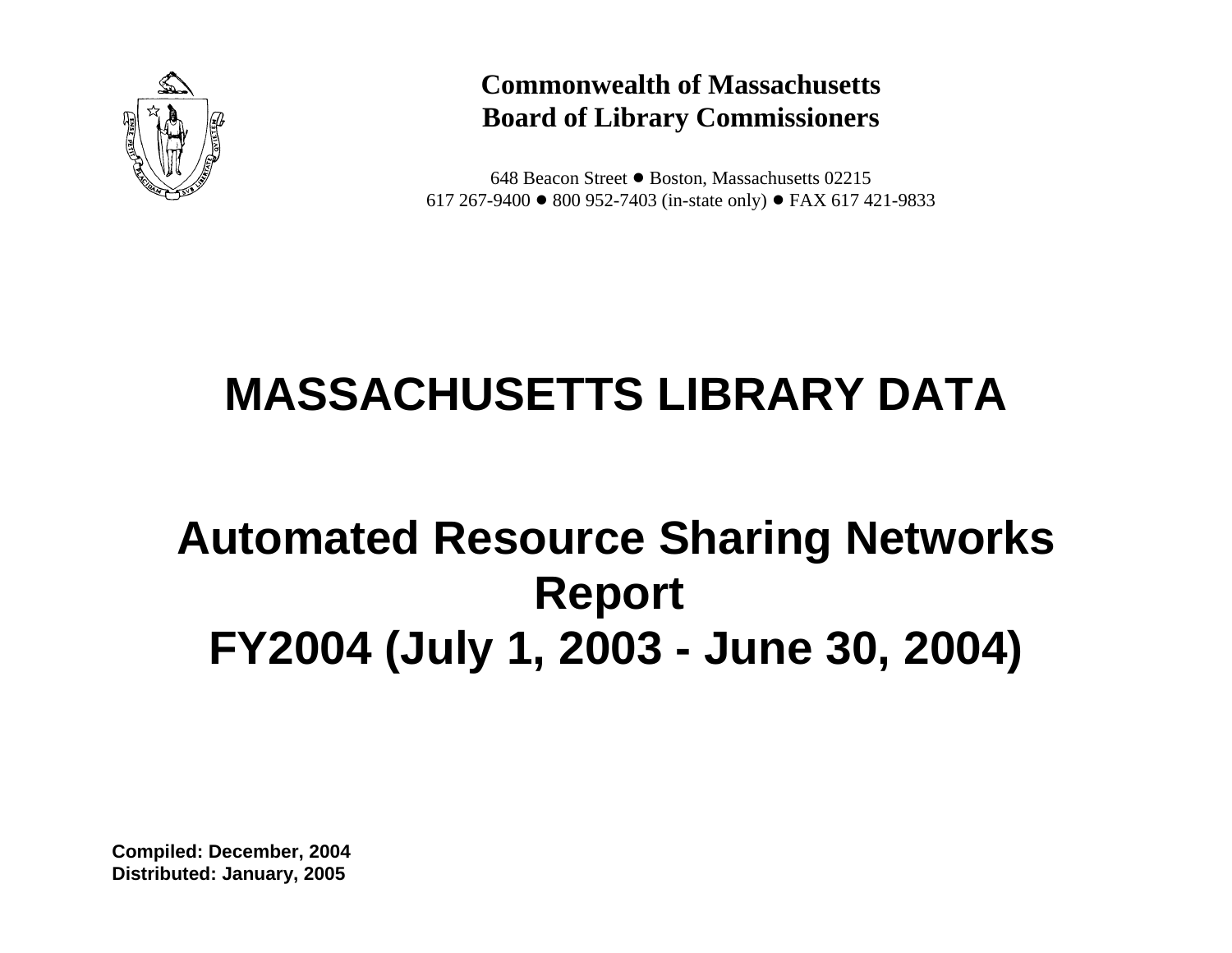

## **Commonwealth of Massachusetts Board of Library Commissioners**

648 Beacon Street ● Boston, Massachusetts 02215 617 267-9400  $\bullet$  800 952-7403 (in-state only)  $\bullet$  FAX 617 421-9833

# **MASSACHUSETTS LIBRARY DATA**

## **Automated Resource Sharing Networks Report FY2004 (July 1, 2003 - June 30, 2004)**

**Compiled: December, 2004 Distributed: January, 2005**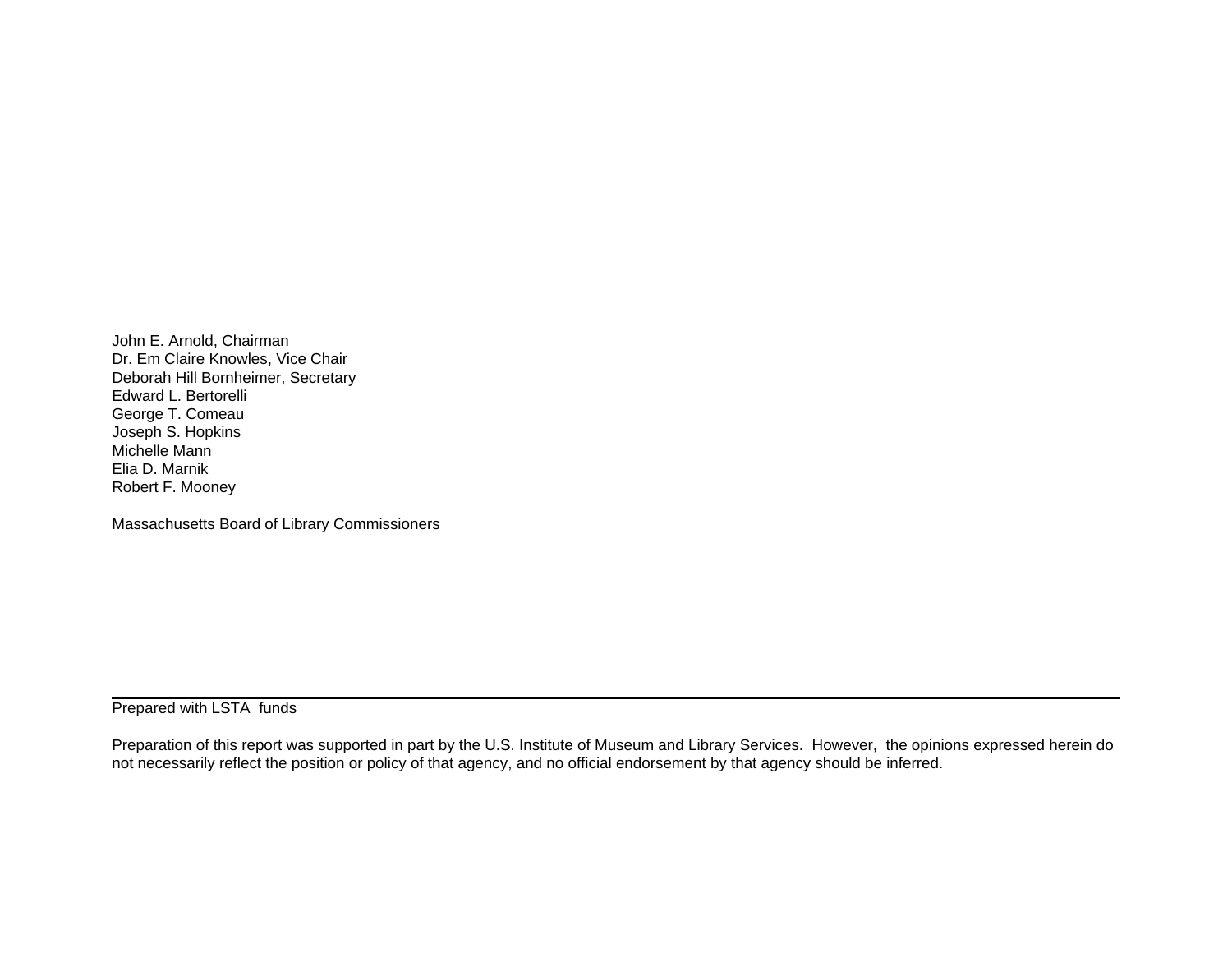John E. Arnold, Chairman Dr. Em Claire Knowles, Vice Chair Deborah Hill Bornheimer, Secretary Edward L. Bertorelli George T. Comeau Joseph S. Hopkins Michelle Mann Elia D. Marnik Robert F. Mooney

Massachusetts Board of Library Commissioners

Prepared with LSTA funds

Preparation of this report was supported in part by the U.S. Institute of Museum and Library Services. However, the opinions expressed herein do not necessarily reflect the position or policy of that agency, and no official endorsement by that agency should be inferred.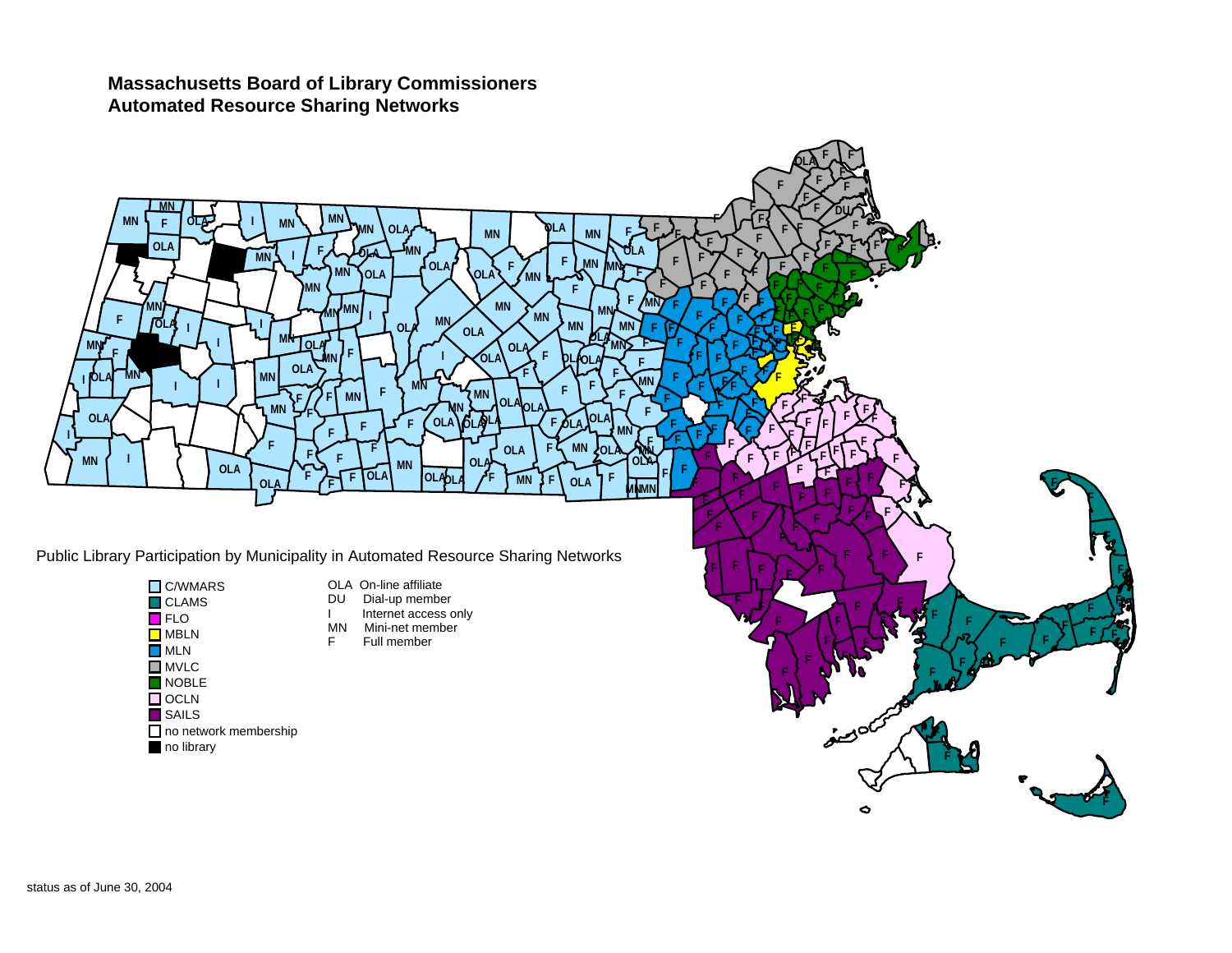#### **Massachusetts Board of Library Commissioners Automated Resource Sharing Networks**

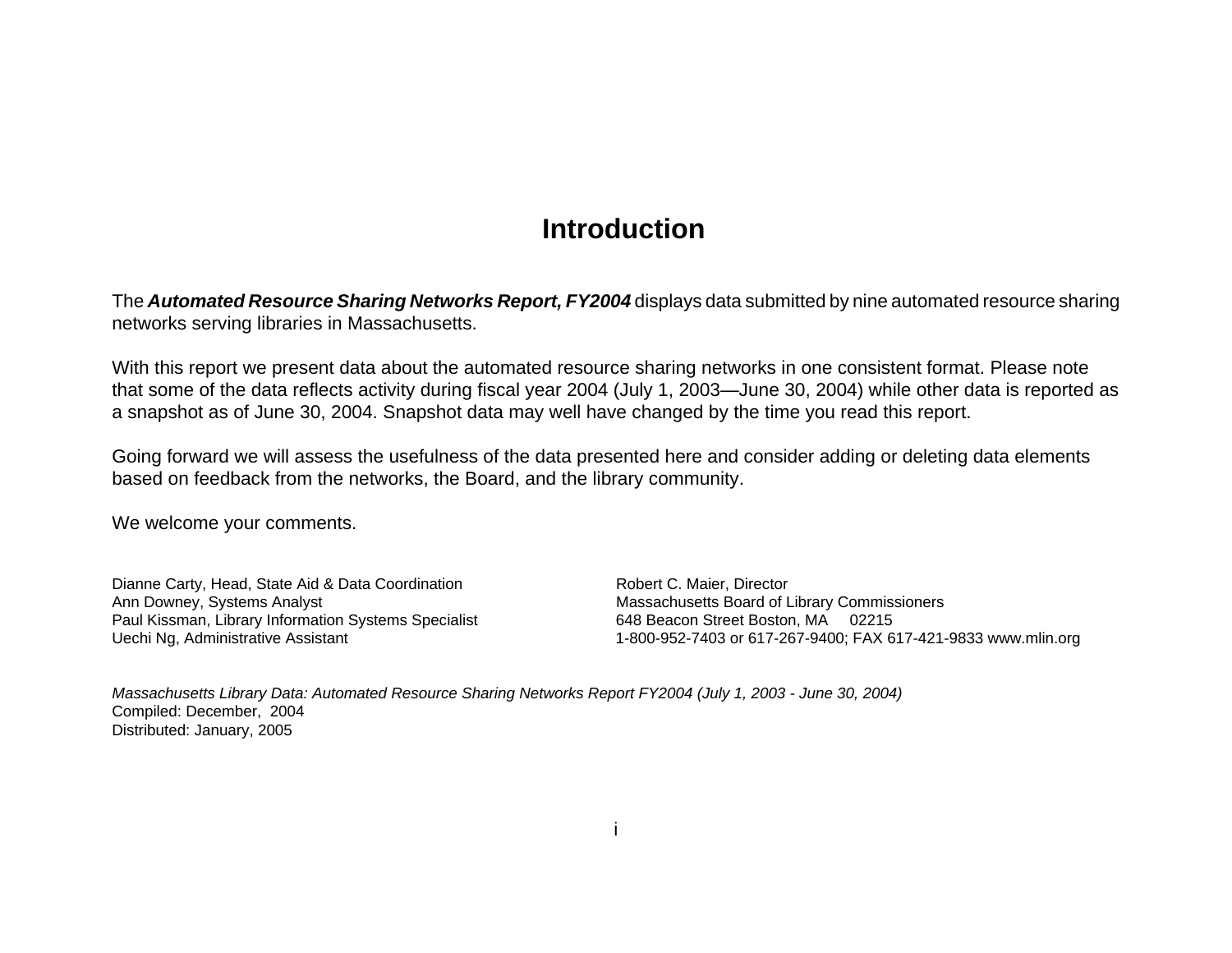## **Introduction**

The *Automated Resource Sharing Networks Report, FY2004* displays data submitted by nine automated resource sharing networks serving libraries in Massachusetts.

With this report we present data about the automated resource sharing networks in one consistent format. Please note that some of the data reflects activity during fiscal year 2004 (July 1, 2003—June 30, 2004) while other data is reported as a snapshot as of June 30, 2004. Snapshot data may well have changed by the time you read this report.

Going forward we will assess the usefulness of the data presented here and consider adding or deleting data elements based on feedback from the networks, the Board, and the library community.

We welcome your comments.

Dianne Carty, Head, State Aid & Data Coordination Ann Downey, Systems Analyst Paul Kissman, Library Information Systems Specialist Uechi Ng, Administrative Assistant

Robert C. Maier, Director Massachusetts Board of Library Commissioners 648 Beacon Street Boston, MA 02215 1-800-952-7403 or 617-267-9400; FAX 617-421-9833 www.mlin.org

*Massachusetts Library Data: Automated Resource Sharing Networks Report FY2004 (July 1, 2003 - June 30, 2004)*  Compiled: December, 2004 Distributed: January, 2005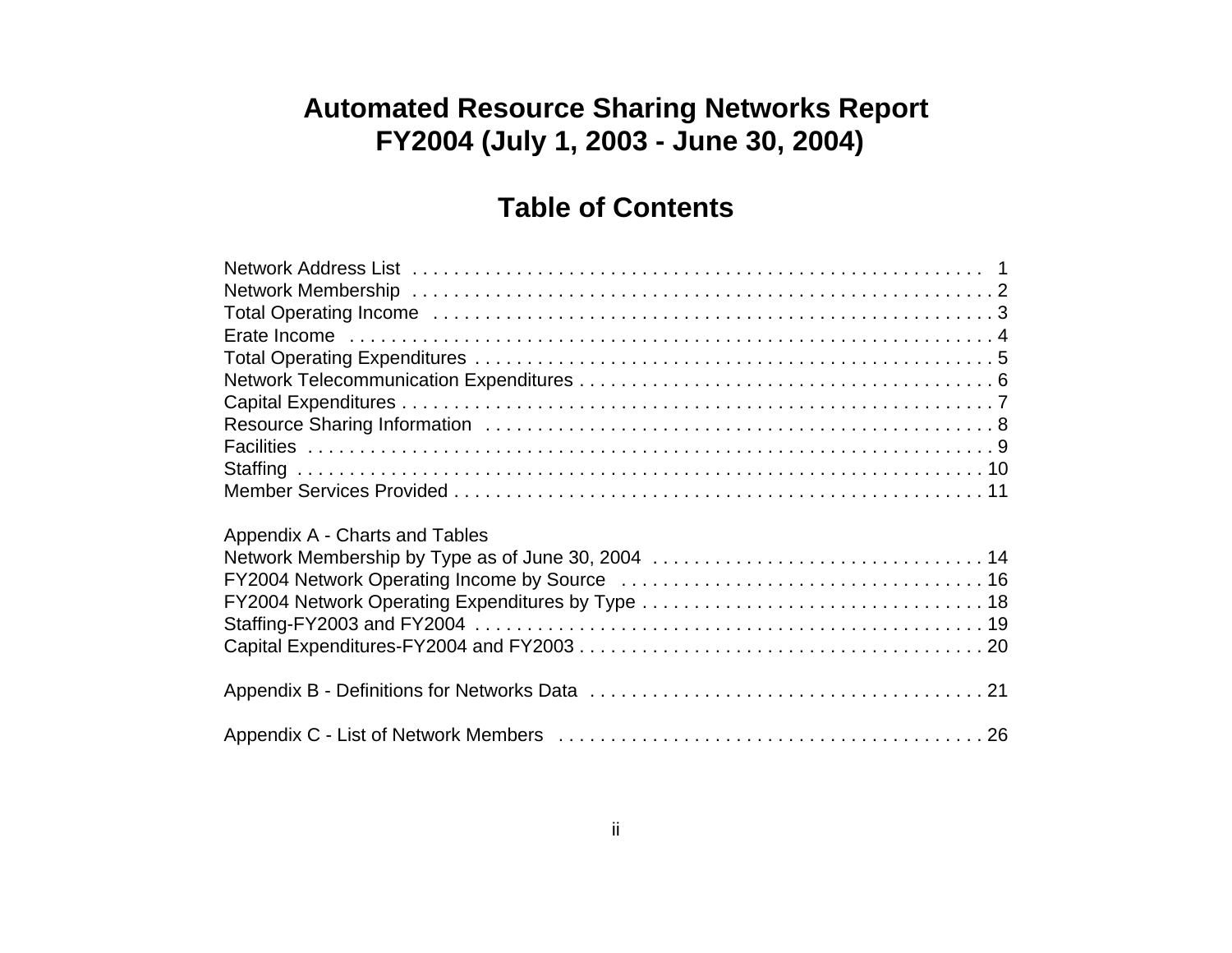## **Automated Resource Sharing Networks Report FY2004 (July 1, 2003 - June 30, 2004)**

## **Table of Contents**

| Appendix A - Charts and Tables |
|--------------------------------|
|                                |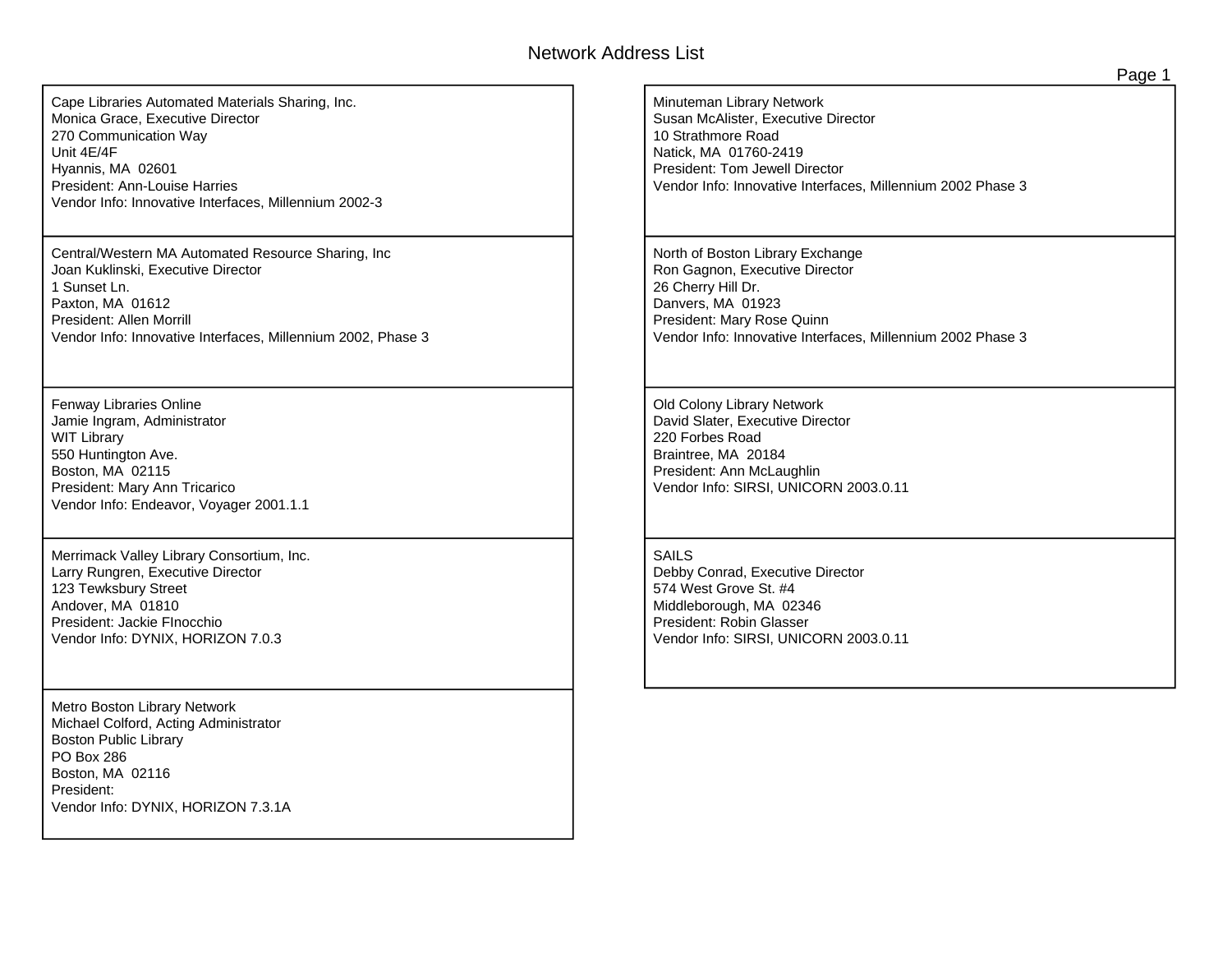#### Network Address List

<span id="page-6-0"></span>Cape Libraries Automated Materials Sharing, Inc. Monica Grace, Executive Director 270 Communication Way Unit 4E/4F Hyannis, MA 02601 President: Ann-Louise Harries Vendor Info: Innovative Interfaces, Millennium 2002-3

Central/Western MA Automated Resource Sharing, Inc Joan Kuklinski, Executive Director 1 Sunset Ln. Paxton, MA 01612 President: Allen Morrill Vendor Info: Innovative Interfaces, Millennium 2002, Phase 3

Fenway Libraries Online Jamie Ingram, Administrator WIT Library 550 Huntington Ave. Boston, MA 02115 President: Mary Ann Tricarico Vendor Info: Endeavor, Voyager 2001.1.1

Merrimack Valley Library Consortium, Inc. Larry Rungren, Executive Director 123 Tewksbury Street Andover, MA 01810 President: Jackie FInocchio Vendor Info: DYNIX, HORIZON 7.0.3

Metro Boston Library Network Michael Colford, Acting Administrator Boston Public Library PO Box 286 Boston, MA 02116 President: Vendor Info: DYNIX, HORIZON 7.3.1A Minuteman Library Network Susan McAlister, Executive Director 10 Strathmore Road Natick, MA 01760-2419 President: Tom Jewell Director Vendor Info: Innovative Interfaces, Millennium 2002 Phase 3

North of Boston Library Exchange Ron Gagnon, Executive Director 26 Cherry Hill Dr. Danvers, MA 01923 President: Mary Rose Quinn Vendor Info: Innovative Interfaces, Millennium 2002 Phase 3

Old Colony Library Network David Slater, Executive Director 220 Forbes Road Braintree, MA 20184 President: Ann McLaughlin Vendor Info: SIRSI, UNICORN 2003.0.11

#### SAILS

Debby Conrad, Executive Director 574 West Grove St. #4 Middleborough, MA 02346 President: Robin Glasser Vendor Info: SIRSI, UNICORN 2003.0.11 Page 1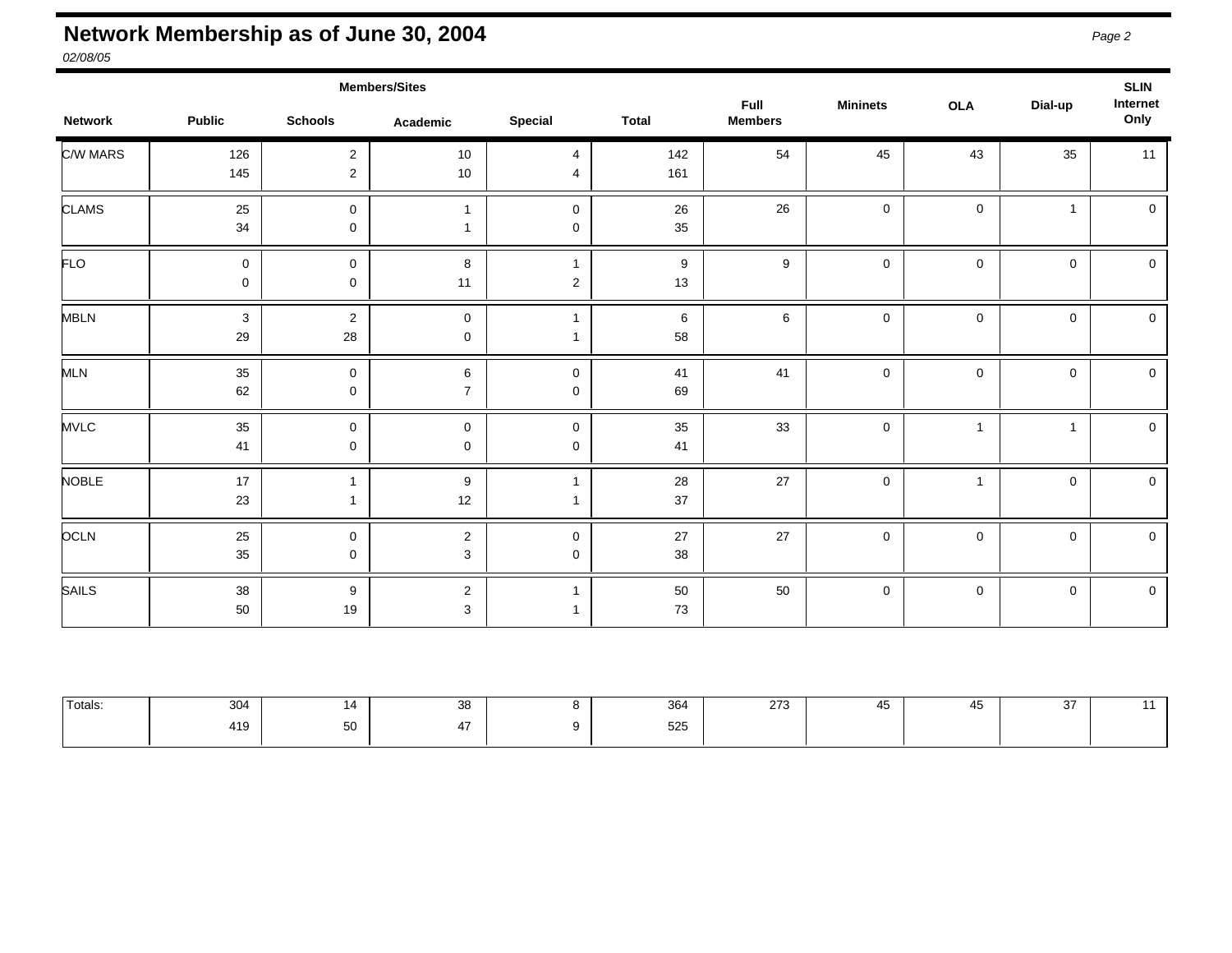## <span id="page-7-0"></span>**Network Membership as of June 30, 2004** *Page 2*

*02/08/05* 

|                |                            |                                  | <b>Members/Sites</b>            |                            |                        | Full           |                 |                     |              | <b>SLIN</b><br>Internet |
|----------------|----------------------------|----------------------------------|---------------------------------|----------------------------|------------------------|----------------|-----------------|---------------------|--------------|-------------------------|
| <b>Network</b> | <b>Public</b>              | <b>Schools</b>                   | Academic                        | <b>Special</b>             | <b>Total</b>           | <b>Members</b> | <b>Mininets</b> | <b>OLA</b>          | Dial-up      | Only                    |
| C/W MARS       | 126<br>145                 | $\overline{c}$<br>$\overline{c}$ | 10<br>10                        | 4<br>4                     | 142<br>161             | 54             | 45              | 43                  | 35           | 11                      |
| <b>CLAMS</b>   | 25<br>34                   | $\mathbf 0$<br>$\mathbf 0$       | $\overline{1}$<br>-1            | $\mathbf 0$<br>$\mathbf 0$ | 26<br>35               | 26             | $\mathsf 0$     | $\mathbf 0$         | $\mathbf{1}$ | $\mathsf 0$             |
| FLO            | $\mathbf 0$<br>$\mathbf 0$ | $\mathbf 0$<br>$\mathbf 0$       | 8<br>11                         | $\overline{2}$             | $\boldsymbol{9}$<br>13 | 9              | $\mathbf 0$     | 0                   | $\mathbf 0$  | $\mathsf 0$             |
| <b>MBLN</b>    | $\mathbf{3}$<br>29         | $\overline{c}$<br>28             | $\mathbf 0$<br>$\pmb{0}$        | -1                         | $\,6\,$<br>58          | 6              | $\mathsf 0$     | $\mathsf{O}\xspace$ | $\mathbf 0$  | $\mathsf 0$             |
| MLN            | $35\,$<br>62               | $\mathbf 0$<br>0                 | $\,6$<br>$\boldsymbol{7}$       | $\mathbf 0$<br>$\mathbf 0$ | 41<br>69               | 41             | $\mathsf 0$     | 0                   | $\mathbf 0$  | $\mathbf 0$             |
| <b>MVLC</b>    | 35<br>41                   | $\mathbf 0$<br>$\mathbf 0$       | $\mathbf 0$<br>$\pmb{0}$        | $\mathbf 0$<br>$\mathbf 0$ | 35<br>41               | 33             | $\mathsf 0$     | $\overline{1}$      | $\mathbf{1}$ | $\pmb{0}$               |
| <b>NOBLE</b>   | 17<br>23                   | $\mathbf{1}$<br>1                | $\boldsymbol{9}$<br>12          |                            | 28<br>$37\,$           | 27             | $\mathsf 0$     | $\mathbf{1}$        | $\mathbf 0$  | $\mathsf 0$             |
| <b>OCLN</b>    | 25<br>$35\,$               | 0<br>$\mathbf 0$                 | $\boldsymbol{2}$<br>3           | $\mathbf 0$<br>$\mathbf 0$ | 27<br>38               | 27             | $\mathbf 0$     | 0                   | $\mathsf{O}$ | $\mathbf 0$             |
| <b>SAILS</b>   | 38<br>50                   | 9<br>19                          | $\boldsymbol{2}$<br>$\mathsf 3$ | $\mathbf{1}$               | 50<br>73               | 50             | $\mathsf 0$     | $\mathbf 0$         | $\mathbf 0$  | $\mathsf 0$             |

| <sup>I</sup> Totals: | $\Omega$<br>304 | . . | $\sim$<br>ິ | $\sim$<br>-364 | $\sim$<br>ں ہے | $\overline{\phantom{a}}$<br>40. | $\sim$<br>ັ |  |
|----------------------|-----------------|-----|-------------|----------------|----------------|---------------------------------|-------------|--|
|                      | 419             | --  |             | 525            |                |                                 |             |  |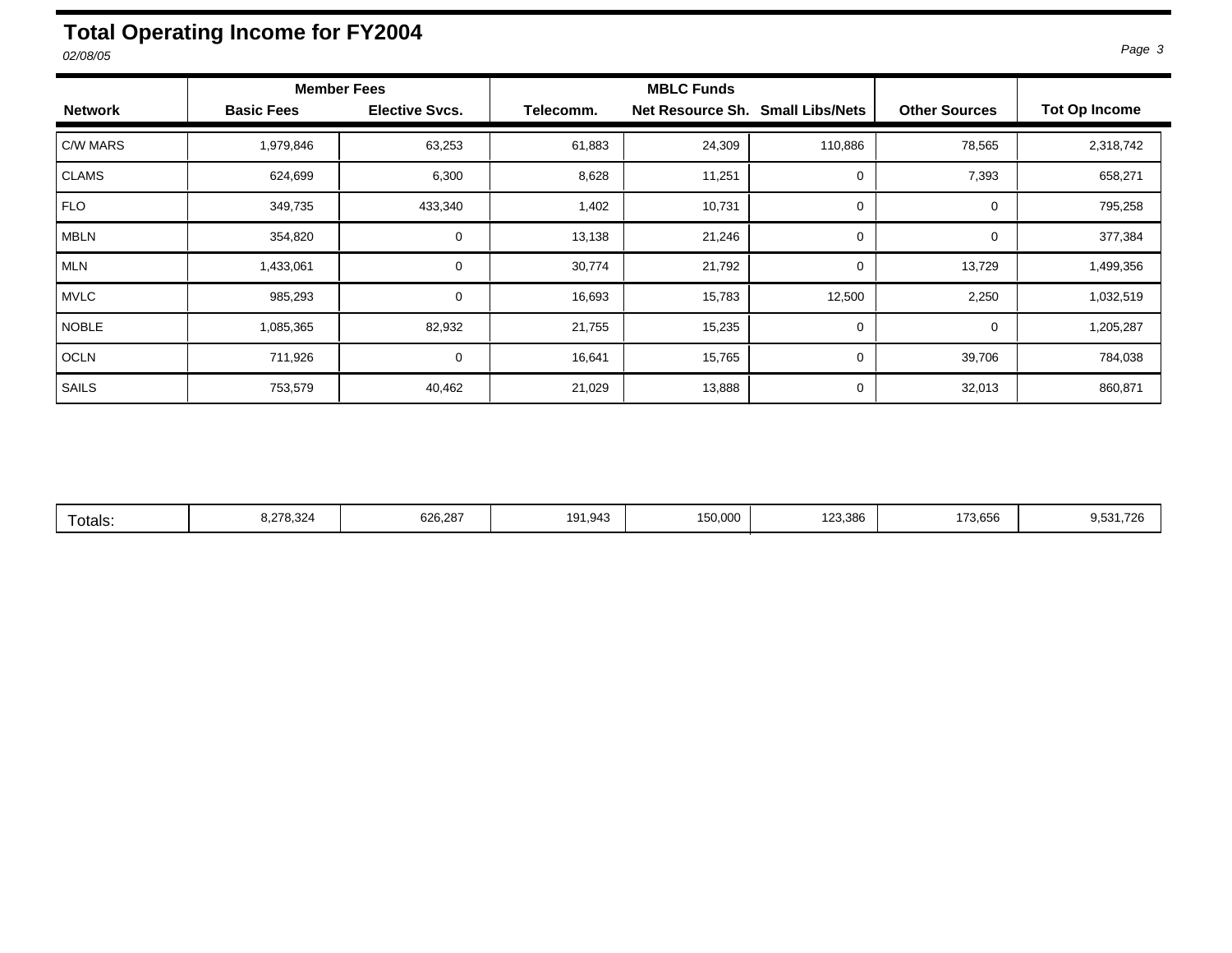## <span id="page-8-0"></span>**Total Operating Income for FY2004**

|                |                   | <b>Member Fees</b>    |           | <b>MBLC Funds</b>                |             |                      |                      |
|----------------|-------------------|-----------------------|-----------|----------------------------------|-------------|----------------------|----------------------|
| <b>Network</b> | <b>Basic Fees</b> | <b>Elective Svcs.</b> | Telecomm. | Net Resource Sh. Small Libs/Nets |             | <b>Other Sources</b> | <b>Tot Op Income</b> |
| C/W MARS       | 1,979,846         | 63,253                | 61,883    | 24,309                           | 110,886     | 78,565               | 2,318,742            |
| <b>CLAMS</b>   | 624,699           | 6,300                 | 8,628     | 11,251                           | 0           | 7,393                | 658,271              |
| <b>FLO</b>     | 349,735           | 433,340               | 1,402     | 10,731                           | 0           | $\Omega$             | 795,258              |
| <b>MBLN</b>    | 354,820           | $\mathbf 0$           | 13,138    | 21,246                           | 0           | 0                    | 377,384              |
| <b>MLN</b>     | 1,433,061         | $\Omega$              | 30,774    | 21,792                           | $\mathbf 0$ | 13,729               | 1,499,356            |
| <b>MVLC</b>    | 985,293           | 0                     | 16,693    | 15,783                           | 12,500      | 2,250                | 1,032,519            |
| <b>NOBLE</b>   | 1,085,365         | 82,932                | 21,755    | 15,235                           | $\mathbf 0$ | $\Omega$             | 1,205,287            |
| OCLN           | 711,926           | $\mathbf 0$           | 16,641    | 15,765                           | 0           | 39,706               | 784,038              |
| SAILS          | 753,579           | 40,462                | 21,029    | 13,888                           | $\mathbf 0$ | 32,013               | 860,871              |

| 626,287<br>150,000<br>8,278,324<br>191.943<br>∣otals: | 123.386<br>173,656 | 0.524.726<br>9,531,726 |
|-------------------------------------------------------|--------------------|------------------------|
|-------------------------------------------------------|--------------------|------------------------|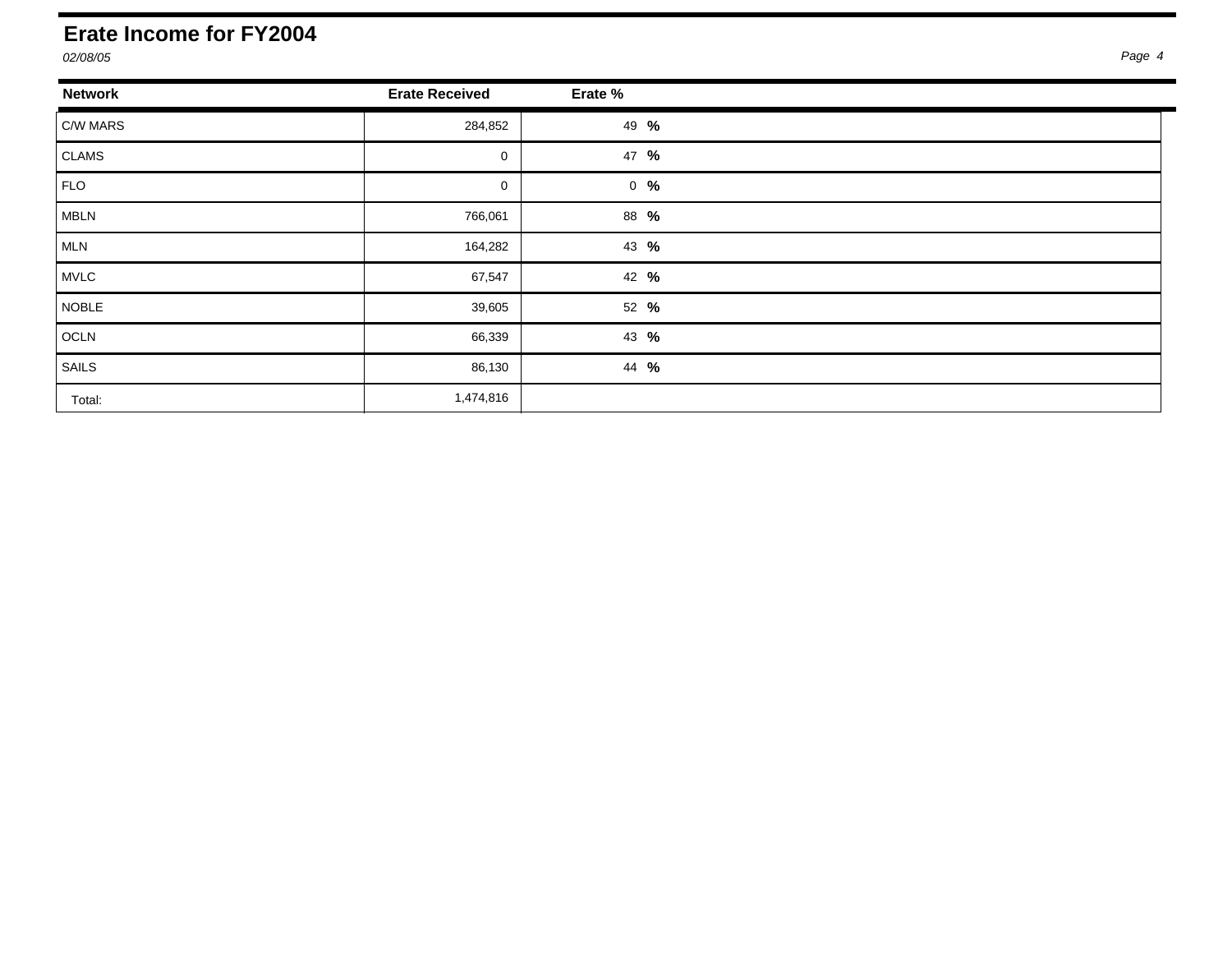#### <span id="page-9-0"></span>**Erate Income for FY2004**

| <b>Network</b> | <b>Erate Received</b> | Erate %         |
|----------------|-----------------------|-----------------|
| C/W MARS       | 284,852               | 49 %            |
| CLAMS          | $\mathbf 0$           | 47 %            |
| FLO            | 0                     | $0 \frac{9}{6}$ |
| MBLN           | 766,061               | 88 %            |
| MLN            | 164,282               | 43 %            |
| MVLC           | 67,547                | 42 %            |
| NOBLE          | 39,605                | 52 %            |
| OCLN           | 66,339                | 43 %            |
| SAILS          | 86,130                | 44 %            |
| Total:         | 1,474,816             |                 |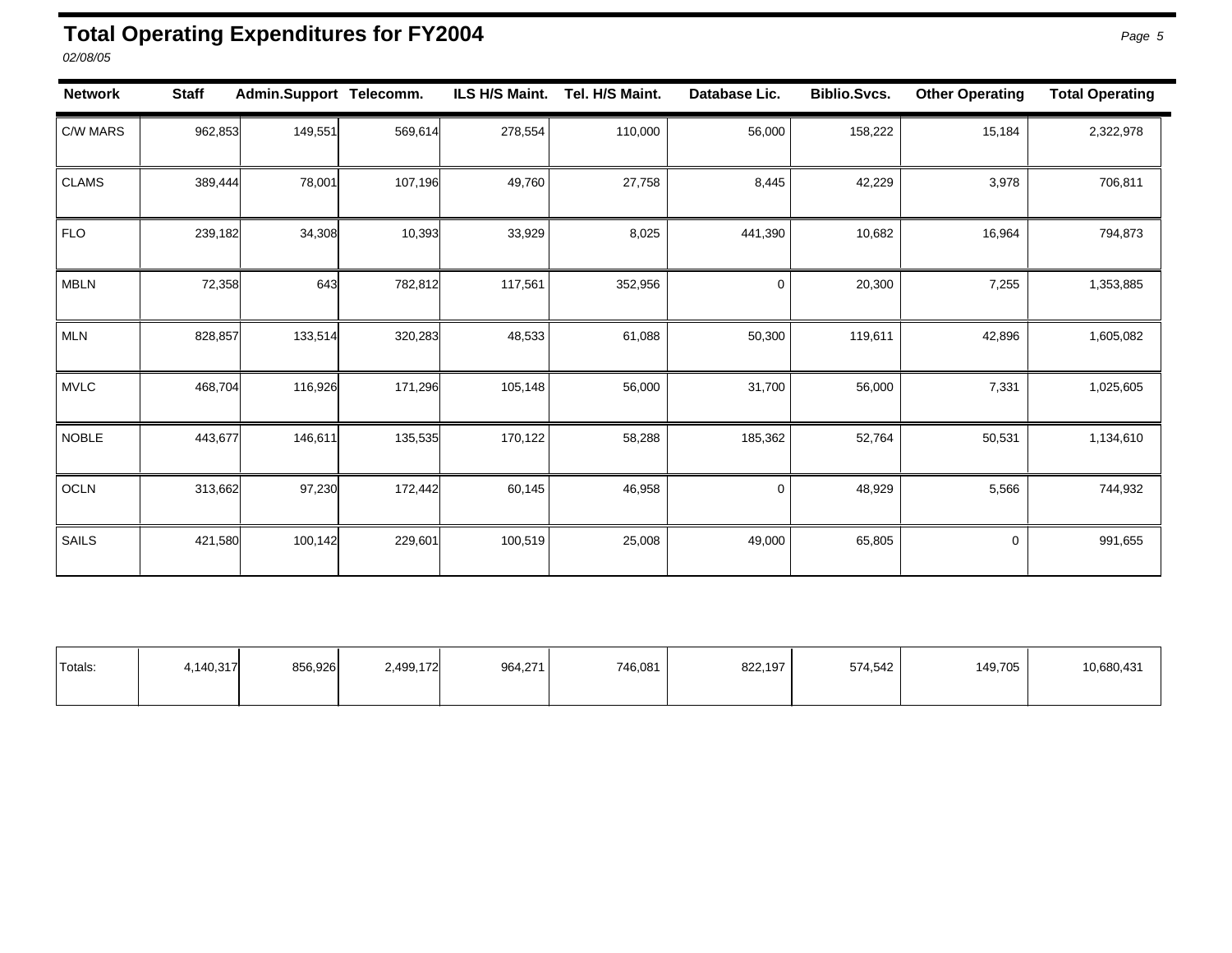#### <span id="page-10-0"></span>**Total Operating Expenditures for FY2004** *Page 5*

*02/08/05* 

| <b>Network</b> | <b>Staff</b> | Admin.Support Telecomm. |         | ILS H/S Maint. | Tel. H/S Maint. | Database Lic. | <b>Biblio.Svcs.</b> | <b>Other Operating</b> | <b>Total Operating</b> |
|----------------|--------------|-------------------------|---------|----------------|-----------------|---------------|---------------------|------------------------|------------------------|
| C/W MARS       | 962,853      | 149,551                 | 569,614 | 278,554        | 110,000         | 56,000        | 158,222             | 15,184                 | 2,322,978              |
| <b>CLAMS</b>   | 389,444      | 78,001                  | 107,196 | 49,760         | 27,758          | 8,445         | 42,229              | 3,978                  | 706,811                |
| <b>FLO</b>     | 239,182      | 34,308                  | 10,393  | 33,929         | 8,025           | 441,390       | 10,682              | 16,964                 | 794,873                |
| <b>MBLN</b>    | 72,358       | 643                     | 782,812 | 117,561        | 352,956         | 0             | 20,300              | 7,255                  | 1,353,885              |
| <b>MLN</b>     | 828,857      | 133,514                 | 320,283 | 48,533         | 61,088          | 50,300        | 119,611             | 42,896                 | 1,605,082              |
| <b>MVLC</b>    | 468,704      | 116,926                 | 171,296 | 105,148        | 56,000          | 31,700        | 56,000              | 7,331                  | 1,025,605              |
| <b>NOBLE</b>   | 443,677      | 146,611                 | 135,535 | 170,122        | 58,288          | 185,362       | 52,764              | 50,531                 | 1,134,610              |
| <b>OCLN</b>    | 313,662      | 97,230                  | 172,442 | 60,145         | 46,958          | $\mathbf 0$   | 48,929              | 5,566                  | 744,932                |
| SAILS          | 421,580      | 100,142                 | 229,601 | 100,519        | 25,008          | 49,000        | 65,805              | 0                      | 991,655                |

| <sup>1</sup> Totals: | .140.317 | 856,926 | 2,499,172 | 964,271 | 746,081 | 822,197 | 574,542 | 149.705 | 10,680,431 |
|----------------------|----------|---------|-----------|---------|---------|---------|---------|---------|------------|
|                      |          |         |           |         |         |         |         |         |            |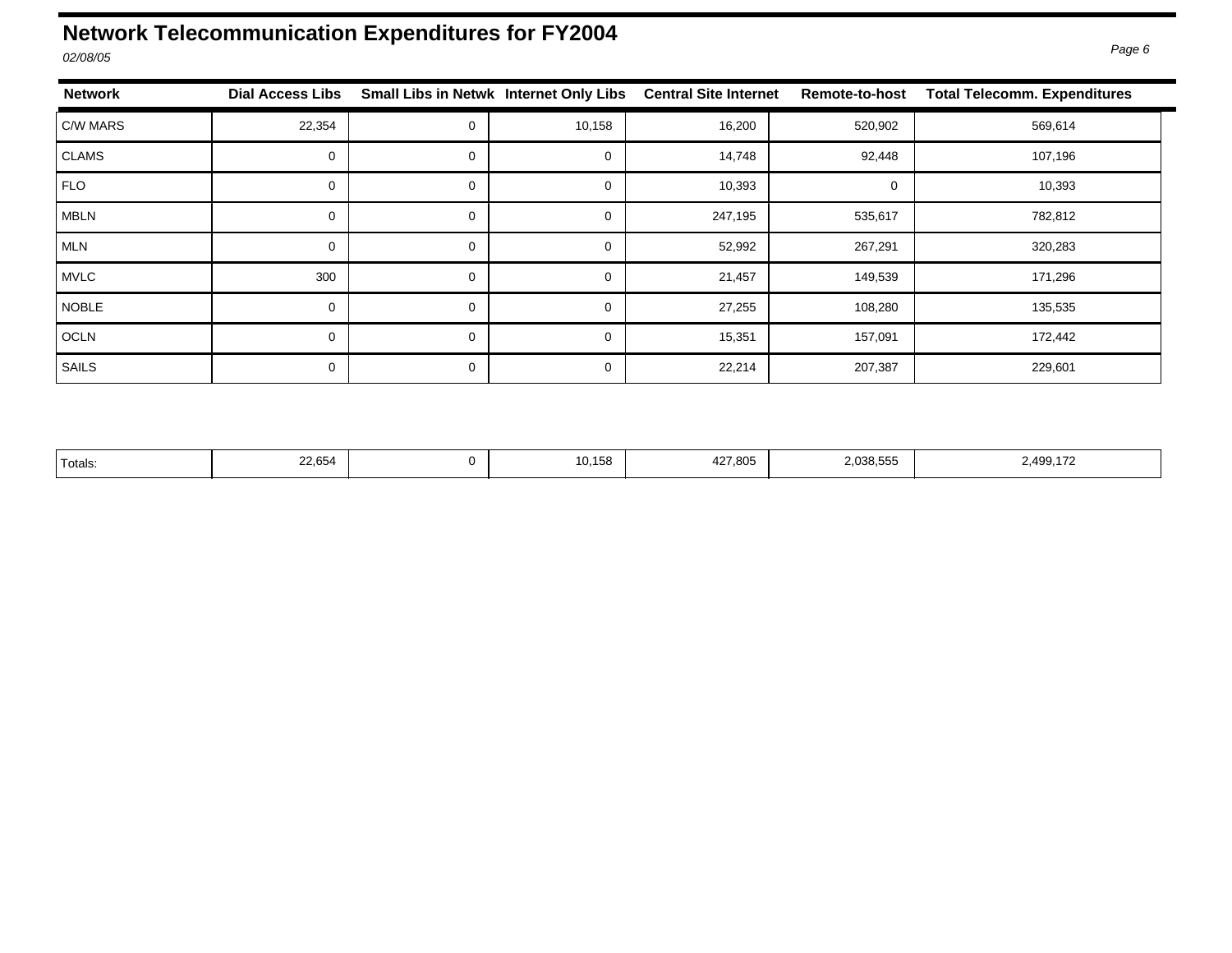## <span id="page-11-0"></span>**Network Telecommunication Expenditures for FY2004**

| <b>Network</b> | <b>Dial Access Libs</b> |   | Small Libs in Netwk Internet Only Libs | <b>Central Site Internet</b> | Remote-to-host | <b>Total Telecomm. Expenditures</b> |
|----------------|-------------------------|---|----------------------------------------|------------------------------|----------------|-------------------------------------|
| C/W MARS       | 22,354                  | 0 | 10,158                                 | 16,200                       | 520,902        | 569,614                             |
| CLAMS          | 0                       | 0 | 0                                      | 14,748                       | 92,448         | 107,196                             |
| FLO            | $\Omega$                | 0 | $\mathbf 0$                            | 10,393                       | 0              | 10,393                              |
| <b>MBLN</b>    | $\Omega$                | 0 | $\Omega$                               | 247,195                      | 535,617        | 782,812                             |
| MLN            | $\Omega$                | 0 | $\Omega$                               | 52,992                       | 267,291        | 320,283                             |
| MVLC           | 300                     | 0 | $\Omega$                               | 21,457                       | 149,539        | 171,296                             |
| NOBLE          | $\Omega$                | 0 | $\mathbf 0$                            | 27,255                       | 108,280        | 135,535                             |
| OCLN           | $\Omega$                | 0 | $\Omega$                               | 15,351                       | 157,091        | 172,442                             |
| SAILS          | $\Omega$                | 0 | 0                                      | 22,214                       | 207,387        | 229,601                             |

| 'Totals: | 22,654 |  | 10,158 | 427,805 | .038,555 | 2,499,172 |
|----------|--------|--|--------|---------|----------|-----------|
|----------|--------|--|--------|---------|----------|-----------|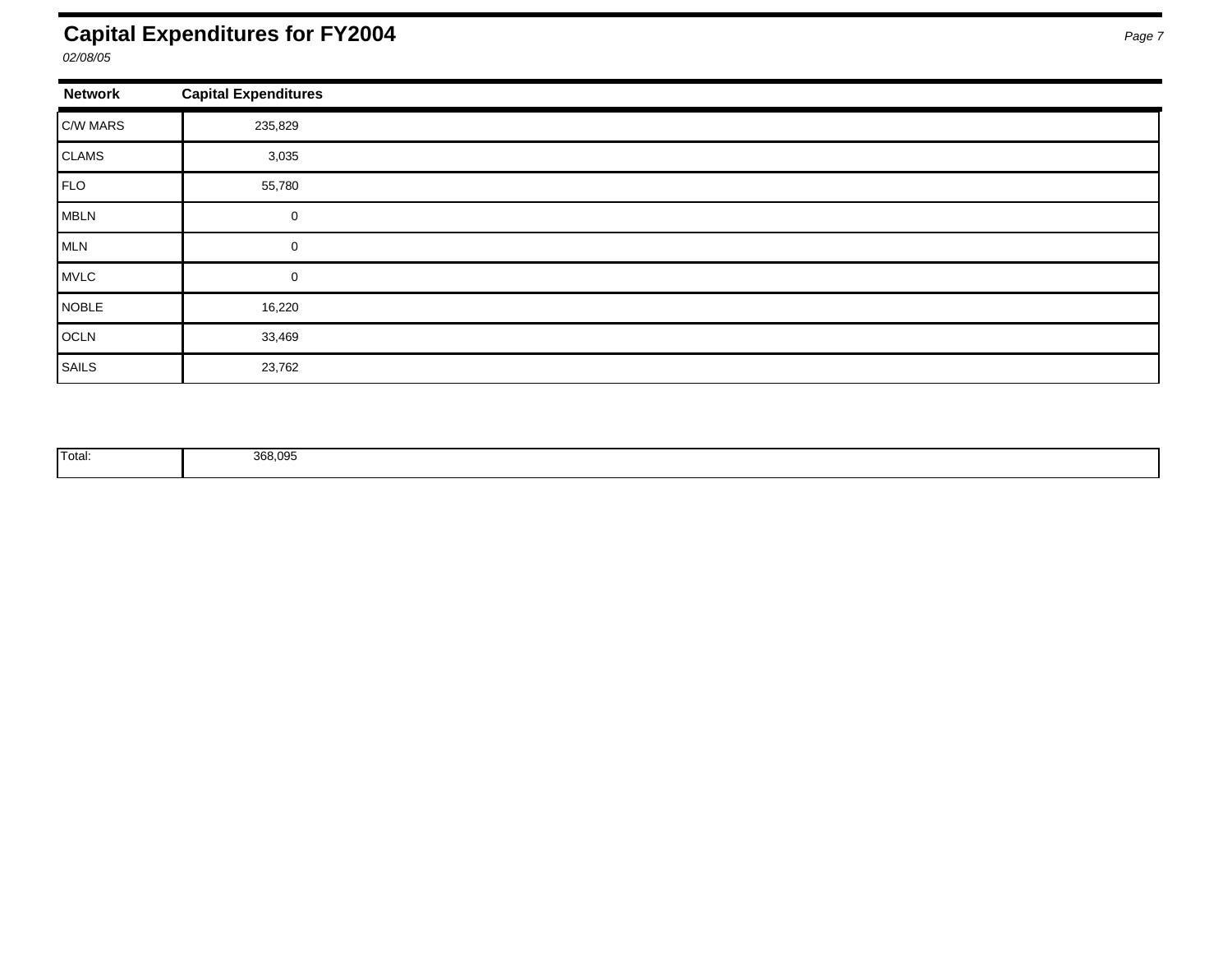### <span id="page-12-0"></span>**Capital Expenditures for FY2004** *Page 7*

*02/08/05* 

| <b>Network</b> | <b>Capital Expenditures</b> |
|----------------|-----------------------------|
| $ C/W$ MARS    | 235,829                     |
| CLAMS          | 3,035                       |
| FLO            | 55,780                      |
| MBLN           | $\mathbf 0$                 |
| MLN            | 0                           |
| MVLC           | 0                           |
| NOBLE          | 16,220                      |
| OCLN           | 33,469                      |
| SAILS          | 23,762                      |

| <sup>1</sup> Total: | 00000<br>uuu.uuu<br>---,--- |  |  |
|---------------------|-----------------------------|--|--|
|                     |                             |  |  |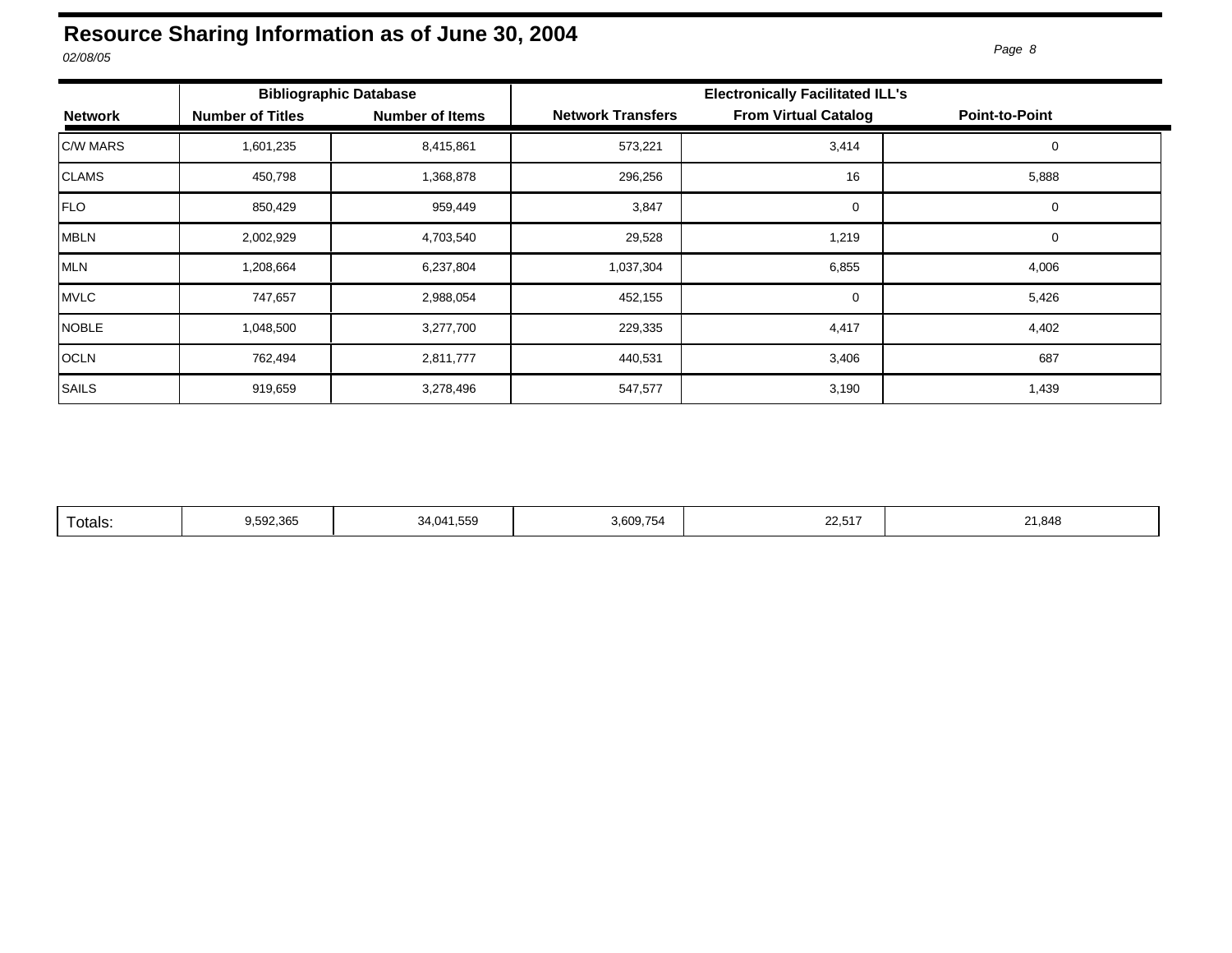#### <span id="page-13-0"></span>**Resource Sharing Information as of June 30, 2004**  *02/08/05 Page 8*

|                 | <b>Bibliographic Database</b> |                        |                          | <b>Electronically Facilitated ILL's</b> |                       |  |  |  |
|-----------------|-------------------------------|------------------------|--------------------------|-----------------------------------------|-----------------------|--|--|--|
| <b>Network</b>  | <b>Number of Titles</b>       | <b>Number of Items</b> | <b>Network Transfers</b> | <b>From Virtual Catalog</b>             | <b>Point-to-Point</b> |  |  |  |
| <b>C/W MARS</b> | 1,601,235                     | 8,415,861              | 573,221                  | 3,414                                   | 0                     |  |  |  |
| <b>CLAMS</b>    | 450,798                       | 1,368,878              | 296,256                  | 16                                      | 5,888                 |  |  |  |
| FLO             | 850,429                       | 959,449                | 3,847                    | 0                                       | 0                     |  |  |  |
| MBLN            | 2,002,929                     | 4,703,540              | 29,528                   | 1,219                                   | 0                     |  |  |  |
| MLN             | 1,208,664                     | 6,237,804              | 1,037,304                | 6,855                                   | 4,006                 |  |  |  |
| MVLC            | 747,657                       | 2,988,054              | 452,155                  | $\mathbf 0$                             | 5,426                 |  |  |  |
| <b>NOBLE</b>    | 1,048,500                     | 3,277,700              | 229,335                  | 4,417                                   | 4,402                 |  |  |  |
| <b>OCLN</b>     | 762,494                       | 2,811,777              | 440,531                  | 3,406                                   | 687                   |  |  |  |
| SAILS           | 919,659                       | 3,278,496              | 547,577                  | 3,190                                   | 1,439                 |  |  |  |

| 3.609.754<br>9.592.365<br>21,848<br>34.041.559<br>⊺otals:<br>22.J I I |
|-----------------------------------------------------------------------|
|-----------------------------------------------------------------------|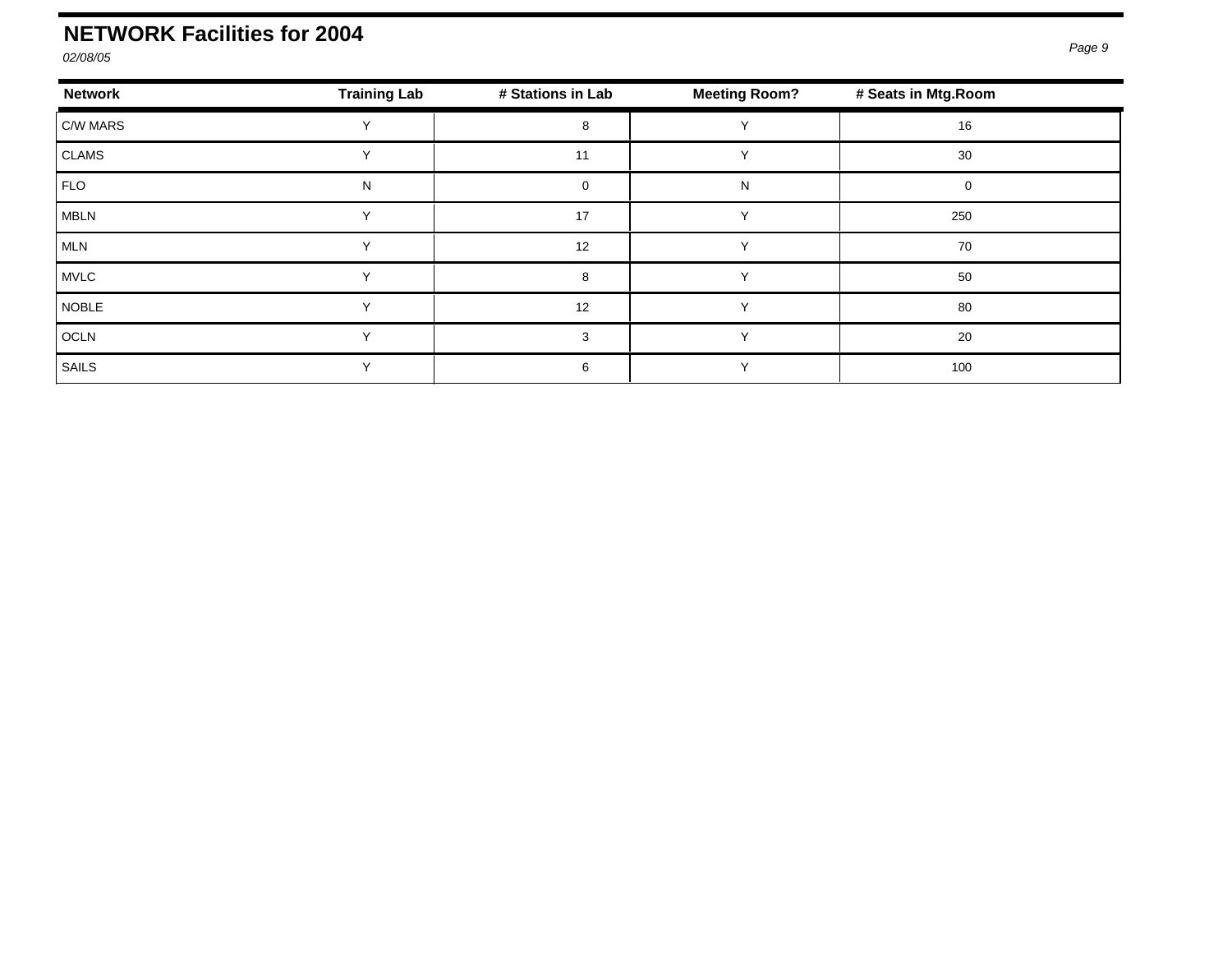### <span id="page-14-0"></span>**NETWORK Facilities for 2004**

*02/08/05*

| <b>Network</b> | <b>Training Lab</b> | # Stations in Lab | <b>Meeting Room?</b> | # Seats in Mtg. Room |  |
|----------------|---------------------|-------------------|----------------------|----------------------|--|
| C/W MARS       |                     | 8                 |                      | 16                   |  |
| <b>CLAMS</b>   |                     | 11                |                      | 30                   |  |
| FLO            | N                   | $\Omega$          | N                    |                      |  |
| <b>MBLN</b>    |                     | 17                |                      | 250                  |  |
| MLN            |                     | 12                |                      | 70                   |  |
| <b>MVLC</b>    |                     | 8                 |                      | 50                   |  |
| <b>NOBLE</b>   |                     | 12                |                      | 80                   |  |
| <b>OCLN</b>    | $\checkmark$        | 3                 |                      | 20                   |  |
| SAILS          |                     | 6                 |                      | 100                  |  |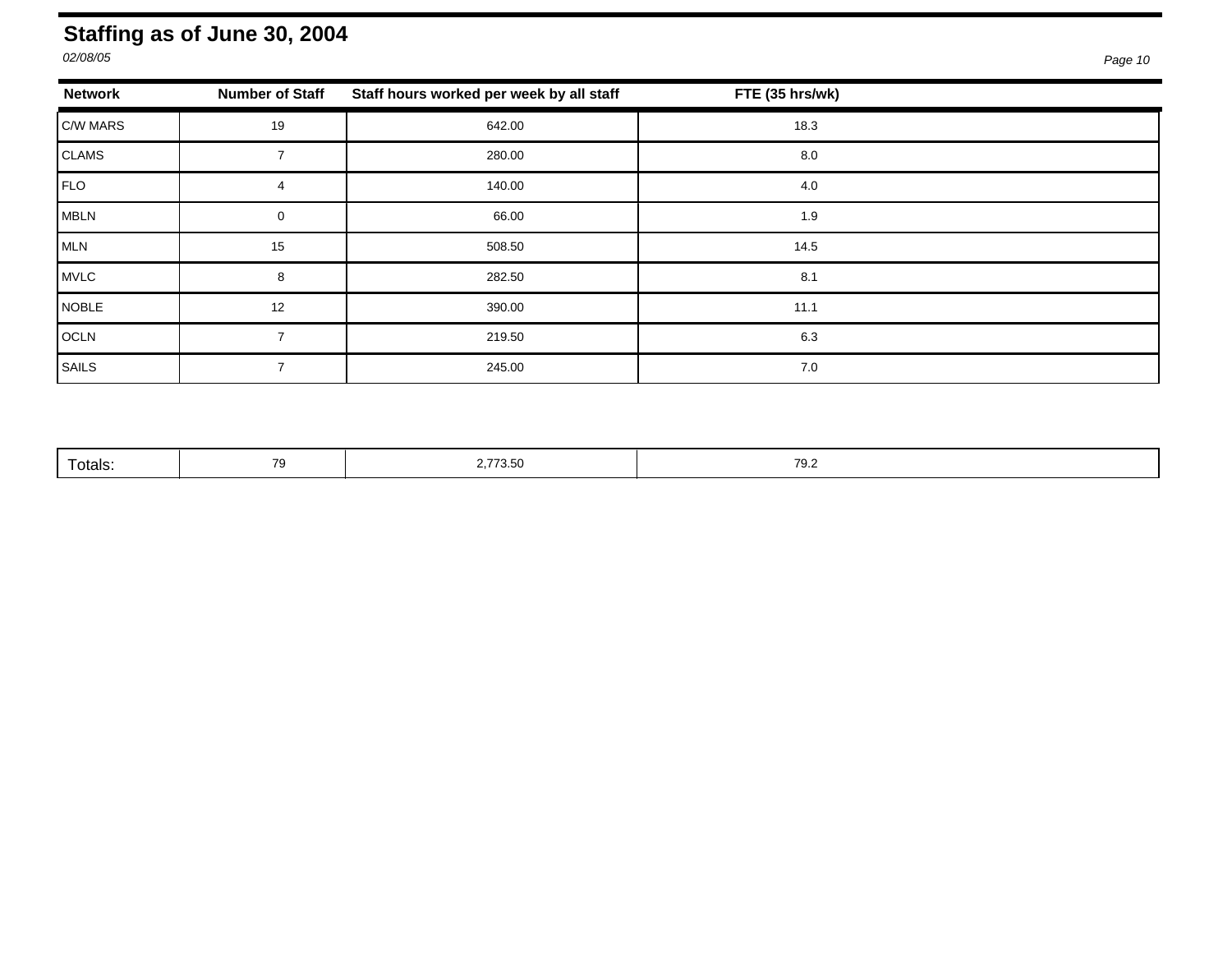#### <span id="page-15-0"></span>**Staffing as of June 30, 2004**

| <b>Network</b> | <b>Number of Staff</b> | Staff hours worked per week by all staff | FTE (35 hrs/wk) |  |
|----------------|------------------------|------------------------------------------|-----------------|--|
| C/W MARS       | 19                     | 642.00                                   | 18.3            |  |
| CLAMS          |                        | 280.00                                   | 8.0             |  |
| FLO            | 4                      | 140.00                                   | 4.0             |  |
| MBLN           | $\Omega$               | 66.00                                    | 1.9             |  |
| MLN            | 15                     | 508.50                                   | 14.5            |  |
| MVLC           | 8                      | 282.50                                   | 8.1             |  |
| NOBLE          | 12                     | 390.00                                   | 11.1            |  |
| OCLN           |                        | 219.50                                   | 6.3             |  |
| SAILS          |                        | 245.00                                   | 7.0             |  |

|  | Totals: | - | 2,773.50 | 70 S<br>ے. ب |
|--|---------|---|----------|--------------|
|--|---------|---|----------|--------------|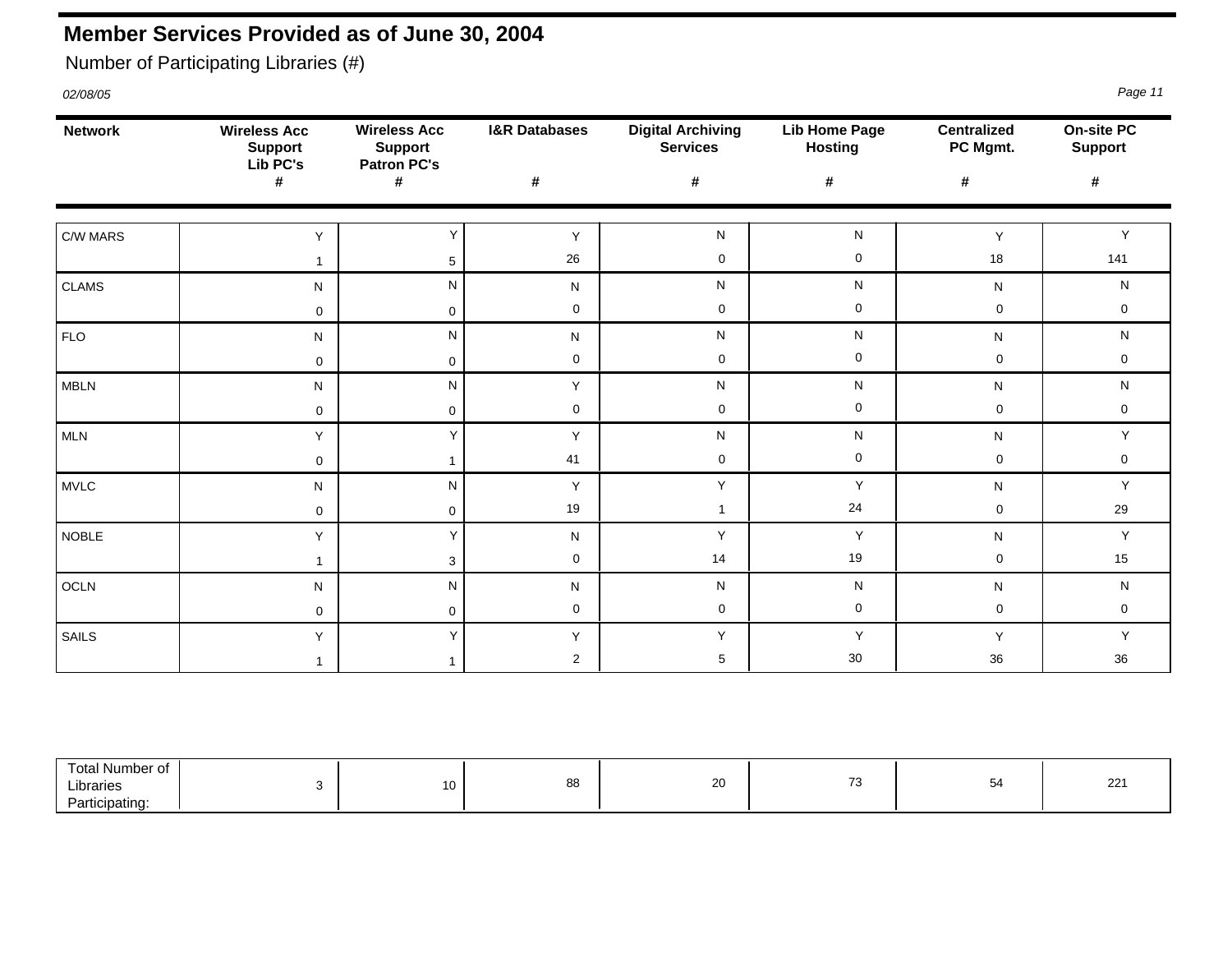### <span id="page-16-0"></span>**Member Services Provided as of June 30, 2004**

Number of Participating Libraries (#)

| <b>Network</b> | <b>Wireless Acc</b><br><b>Support</b><br>Lib <sub>PC's</sub> | <b>Wireless Acc</b><br><b>Support</b><br><b>Patron PC's</b> | <b>I&amp;R Databases</b> | <b>Digital Archiving</b><br><b>Services</b> | <b>Lib Home Page</b><br><b>Hosting</b> | <b>Centralized</b><br>PC Mgmt. | On-site PC<br><b>Support</b> |
|----------------|--------------------------------------------------------------|-------------------------------------------------------------|--------------------------|---------------------------------------------|----------------------------------------|--------------------------------|------------------------------|
|                | #                                                            | $\pmb{\#}$                                                  | $\pmb{\#}$               | #                                           | #                                      | #                              | $\pmb{\#}$                   |
| C/W MARS       | Y                                                            | Y                                                           | Y                        | N                                           | ${\sf N}$                              | Y                              | Y                            |
|                | $\mathbf{1}$                                                 | $\sqrt{5}$                                                  | 26                       | $\mathbf 0$                                 | $\mathbf 0$                            | 18                             | 141                          |
| <b>CLAMS</b>   | N                                                            | N                                                           | N                        | N                                           | N                                      | N                              | ${\sf N}$                    |
|                | 0                                                            | 0                                                           | $\mathsf{O}\xspace$      | $\pmb{0}$                                   | $\boldsymbol{0}$                       | 0                              | $\mathbf 0$                  |
| <b>FLO</b>     | N                                                            | N                                                           | N                        | N                                           | N                                      | ${\sf N}$                      | ${\sf N}$                    |
|                | $\mathbf 0$                                                  | $\mathbf 0$                                                 | $\mathbf 0$              | $\mathbf 0$                                 | $\boldsymbol{0}$                       | $\mathbf 0$                    | $\mathbf 0$                  |
| <b>MBLN</b>    | N                                                            | N                                                           | Y                        | N                                           | N                                      | N                              | ${\sf N}$                    |
|                | 0                                                            | 0                                                           | $\mathbf 0$              | $\mathbf 0$                                 | $\boldsymbol{0}$                       | 0                              | $\mathbf 0$                  |
| MLN            | Y                                                            | Υ                                                           | Y                        | N                                           | ${\sf N}$                              | N                              | Y                            |
|                | $\mathbf 0$                                                  | $\mathbf{1}$                                                | 41                       | $\mathbf 0$                                 | $\mathbf 0$                            | $\mathbf 0$                    | $\mathbf 0$                  |
| <b>MVLC</b>    | N                                                            | ${\sf N}$                                                   | Y                        | Υ                                           | Y                                      | ${\sf N}$                      | $\mathsf Y$                  |
|                | $\mathbf 0$                                                  | $\mathbf 0$                                                 | 19                       | $\mathbf{1}$                                | 24                                     | $\mathbf 0$                    | 29                           |
| <b>NOBLE</b>   | Y                                                            | Υ                                                           | N                        | Υ                                           | Y                                      | N                              | Y                            |
|                | $\mathbf 1$                                                  | 3                                                           | $\mathbf 0$              | 14                                          | 19                                     | $\mathbf 0$                    | 15                           |
| OCLN           | N                                                            | ${\sf N}$                                                   | N                        | N                                           | N                                      | N                              | ${\sf N}$                    |
|                | $\mathbf 0$                                                  | $\mathbf 0$                                                 | $\mathbf 0$              | $\mathbf 0$                                 | $\mathbf 0$                            | $\mathbf 0$                    | $\mathbf 0$                  |
| SAILS          | Y                                                            | Υ                                                           | Y                        | Υ                                           | Y                                      | Y                              | Y                            |
|                | 1                                                            | $\mathbf{1}$                                                | $\overline{2}$           | $\sqrt{5}$                                  | 30                                     | 36                             | 36                           |

| ⊺otal<br>سطاطا Number ∩+ |    |    |                |               |              |
|--------------------------|----|----|----------------|---------------|--------------|
| ∟ibraries                | 10 | 88 | $\Omega$<br>∠∪ | $\rightarrow$ | $\sim$<br>-- |
| Participating:           |    |    |                |               |              |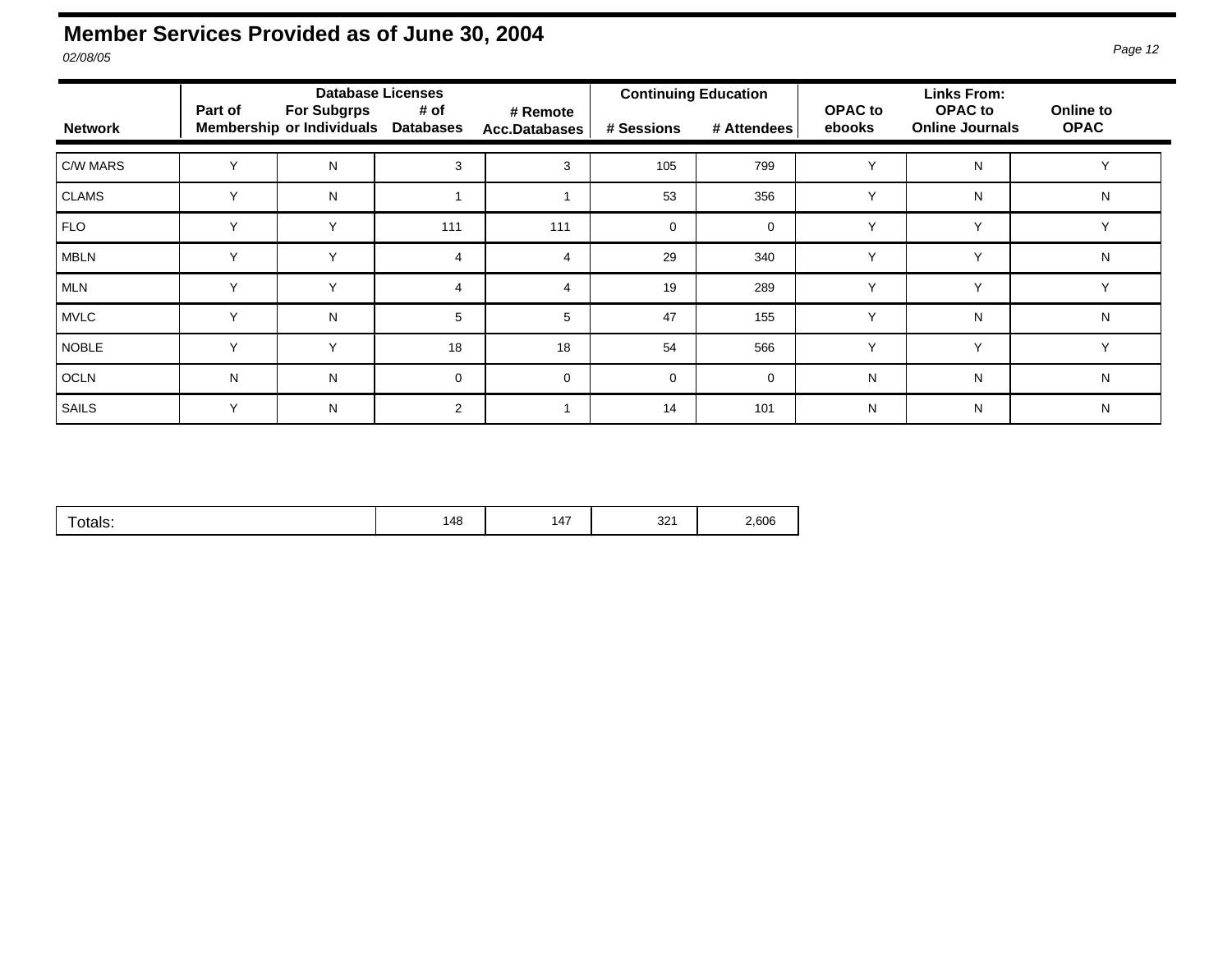#### **Member Services Provided as of June 30, 2004**  *02/08/05 Page 12*

|                | Part of      | <b>Database Licenses</b><br><b>For Subgrps</b> |                          |                                  | <b>Continuing Education</b> |             | <b>OPAC</b> to | <b>Links From:</b><br><b>OPAC</b> to | Online to    |
|----------------|--------------|------------------------------------------------|--------------------------|----------------------------------|-----------------------------|-------------|----------------|--------------------------------------|--------------|
| <b>Network</b> |              | <b>Membership or Individuals</b>               | # of<br><b>Databases</b> | # Remote<br><b>Acc.Databases</b> | # Sessions                  | # Attendees | ebooks         | <b>Online Journals</b>               | <b>OPAC</b>  |
| C/W MARS       | $\checkmark$ | N                                              | 3                        | 3                                | 105                         | 799         | $\checkmark$   | N                                    |              |
| <b>CLAMS</b>   | $\checkmark$ | N                                              |                          |                                  | 53                          | 356         | Y              | N                                    | N            |
| <b>FLO</b>     | $\checkmark$ | $\checkmark$                                   | 111                      | 111                              | $\Omega$                    | $\mathbf 0$ | $\checkmark$   | Y                                    | $\checkmark$ |
| <b>MBLN</b>    | $\vee$       | $\checkmark$                                   | 4                        | 4                                | 29                          | 340         | $\checkmark$   | $\vee$                               | N            |
| <b>MLN</b>     | $\checkmark$ | Y                                              | 4                        | $\overline{4}$                   | 19                          | 289         | $\checkmark$   | Y                                    | Y            |
| <b>MVLC</b>    | $\checkmark$ | N                                              | 5                        | 5                                | 47                          | 155         | $\checkmark$   | N                                    | N            |
| <b>NOBLE</b>   | $\vee$       | $\checkmark$                                   | 18                       | 18                               | 54                          | 566         | $\checkmark$   | Y                                    | $\checkmark$ |
| <b>OCLN</b>    | N            | N                                              | 0                        | $\mathbf 0$                      | $\Omega$                    | $\mathbf 0$ | N              | N                                    | N            |
| <b>SAILS</b>   | Y            | N                                              | $\overline{2}$           |                                  | 14                          | 101         | N              | N                                    | N            |

|--|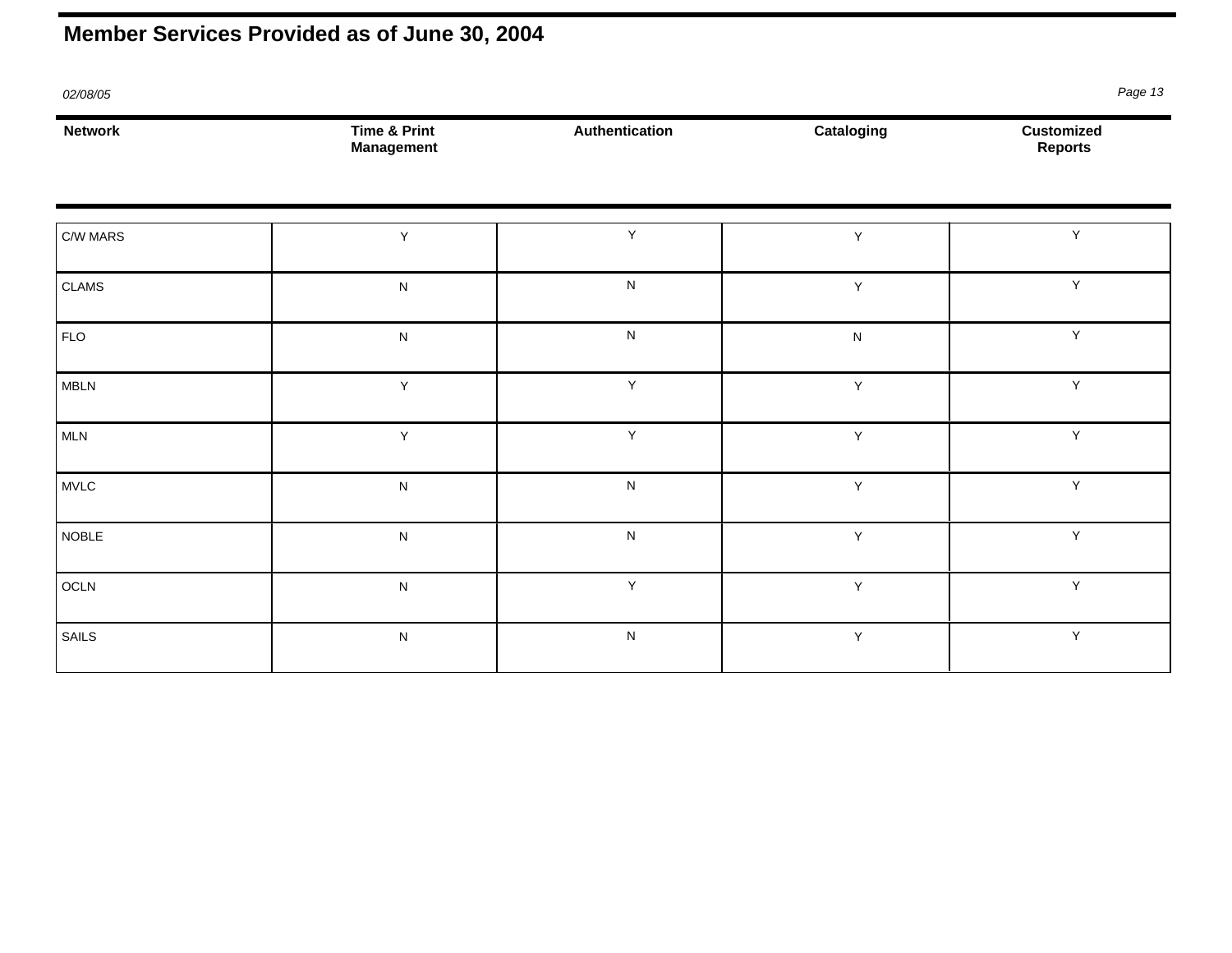## **Member Services Provided as of June 30, 2004**

| 02/08/05       |                                              |                |              | Page 13                      |
|----------------|----------------------------------------------|----------------|--------------|------------------------------|
| <b>Network</b> | <b>Time &amp; Print</b><br><b>Management</b> | Authentication | Cataloging   | Customized<br><b>Reports</b> |
| C/W MARS       | Υ                                            | $\sf Y$        | $\mathsf Y$  | Y                            |
| CLAMS          | ${\sf N}$                                    | ${\sf N}$      | $\sf Y$      | Y                            |
| <b>FLO</b>     | ${\sf N}$                                    | ${\sf N}$      | ${\sf N}$    | Y                            |
| <b>MBLN</b>    | Y                                            | $\sf Y$        | $\mathsf{Y}$ | Υ                            |
| MLN            | Y                                            | Y              | $\mathsf{Y}$ | Υ                            |
| MVLC           | ${\sf N}$                                    | ${\sf N}$      | $\mathsf Y$  | Υ                            |
| <b>NOBLE</b>   | ${\sf N}$                                    | ${\sf N}$      | $\mathsf Y$  | Υ                            |
| OCLN           | ${\sf N}$                                    | $\sf Y$        | $\mathsf Y$  | Y                            |
| SAILS          | ${\sf N}$                                    | ${\sf N}$      | $\mathsf{Y}$ | Y                            |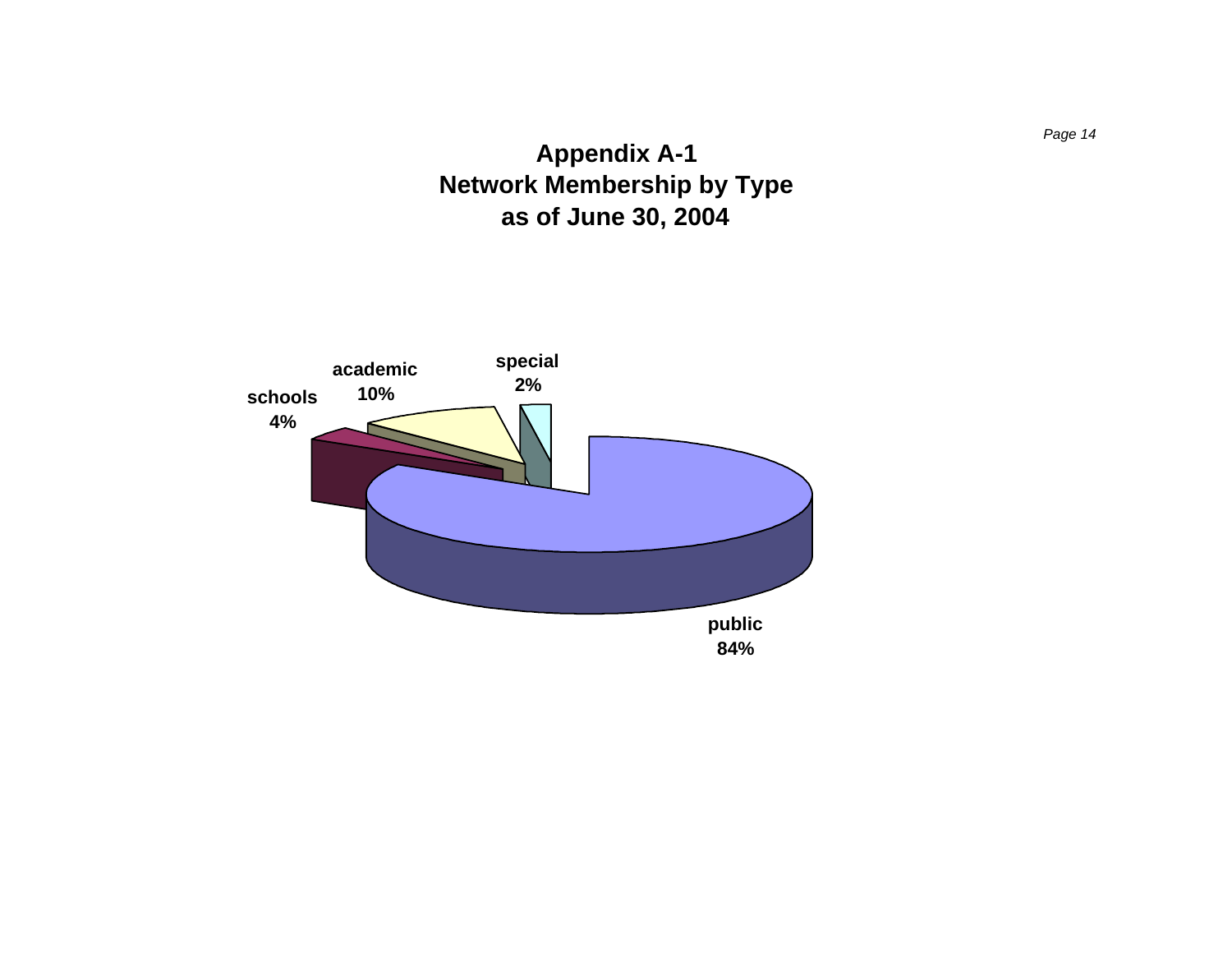### **Appendix A-1 Network Membership by Type as of June 30, 2004**

<span id="page-20-0"></span>

*Page 14*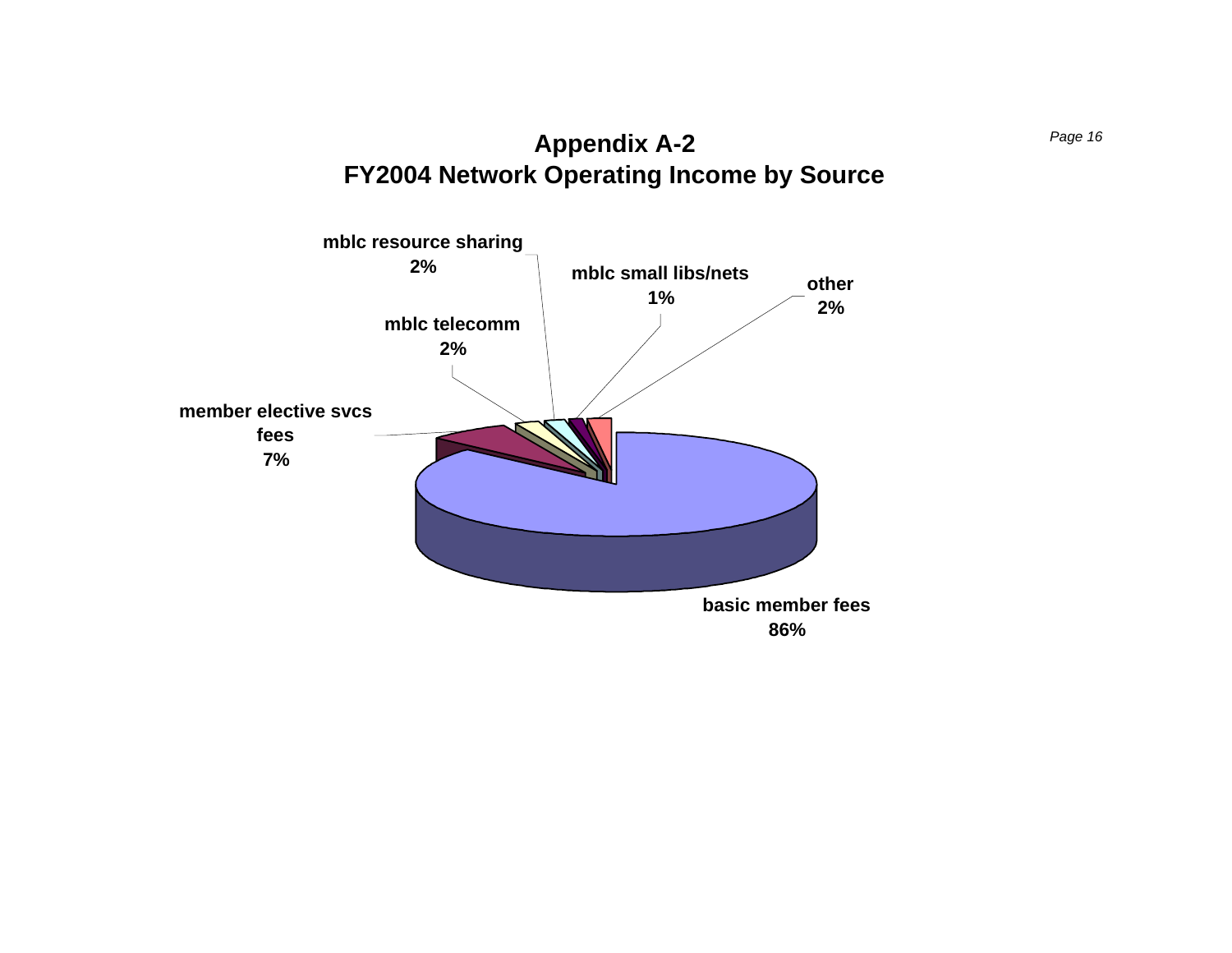

<span id="page-22-0"></span>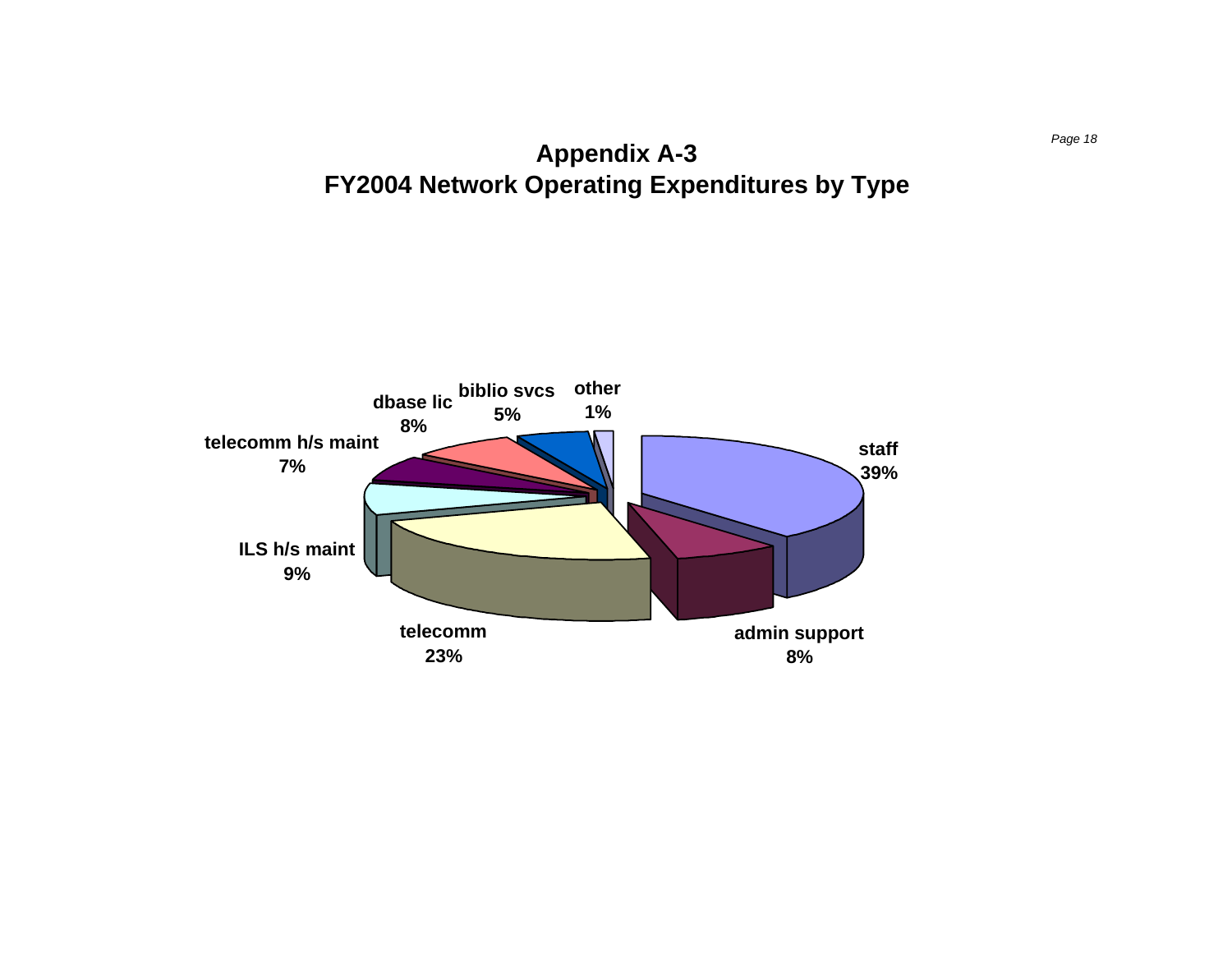<span id="page-24-0"></span>**Appendix A-3** *Page 18*  **FY2004 Network Operating Expenditures by Type** 

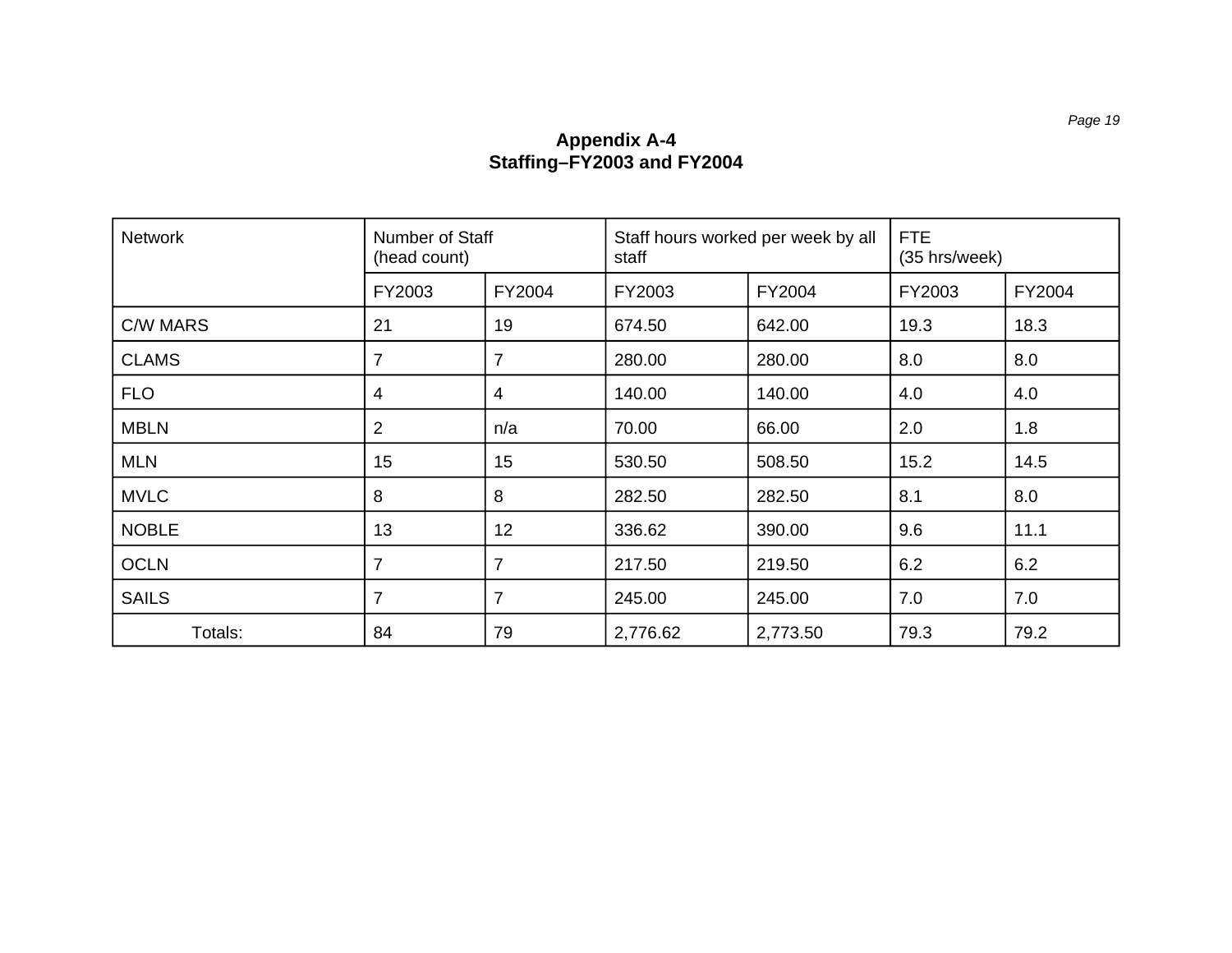#### **Appendix A-4 Staffing–FY2003 and FY2004**

<span id="page-26-0"></span>

| <b>Network</b>  | Number of Staff<br>(head count) |                | Staff hours worked per week by all<br>staff |          | <b>FTE</b><br>(35 hrs/week) |        |
|-----------------|---------------------------------|----------------|---------------------------------------------|----------|-----------------------------|--------|
|                 | FY2003                          | FY2004         | FY2003                                      | FY2004   | FY2003                      | FY2004 |
| <b>C/W MARS</b> | 21                              | 19             | 674.50                                      | 642.00   | 19.3                        | 18.3   |
| <b>CLAMS</b>    | 7                               | 7              | 280.00                                      | 280.00   | 8.0                         | 8.0    |
| <b>FLO</b>      | 4                               | 4              | 140.00                                      | 140.00   | 4.0                         | 4.0    |
| <b>MBLN</b>     | 2                               | n/a            | 70.00                                       | 66.00    | 2.0                         | 1.8    |
| <b>MLN</b>      | 15                              | 15             | 530.50                                      | 508.50   | 15.2                        | 14.5   |
| <b>MVLC</b>     | 8                               | 8              | 282.50                                      | 282.50   | 8.1                         | 8.0    |
| <b>NOBLE</b>    | 13                              | 12             | 336.62                                      | 390.00   | 9.6                         | 11.1   |
| <b>OCLN</b>     | $\overline{7}$                  | $\overline{7}$ | 217.50                                      | 219.50   | 6.2                         | 6.2    |
| <b>SAILS</b>    | $\overline{7}$                  | $\overline{7}$ | 245.00                                      | 245.00   | 7.0                         | 7.0    |
| Totals:         | 84                              | 79             | 2,776.62                                    | 2,773.50 | 79.3                        | 79.2   |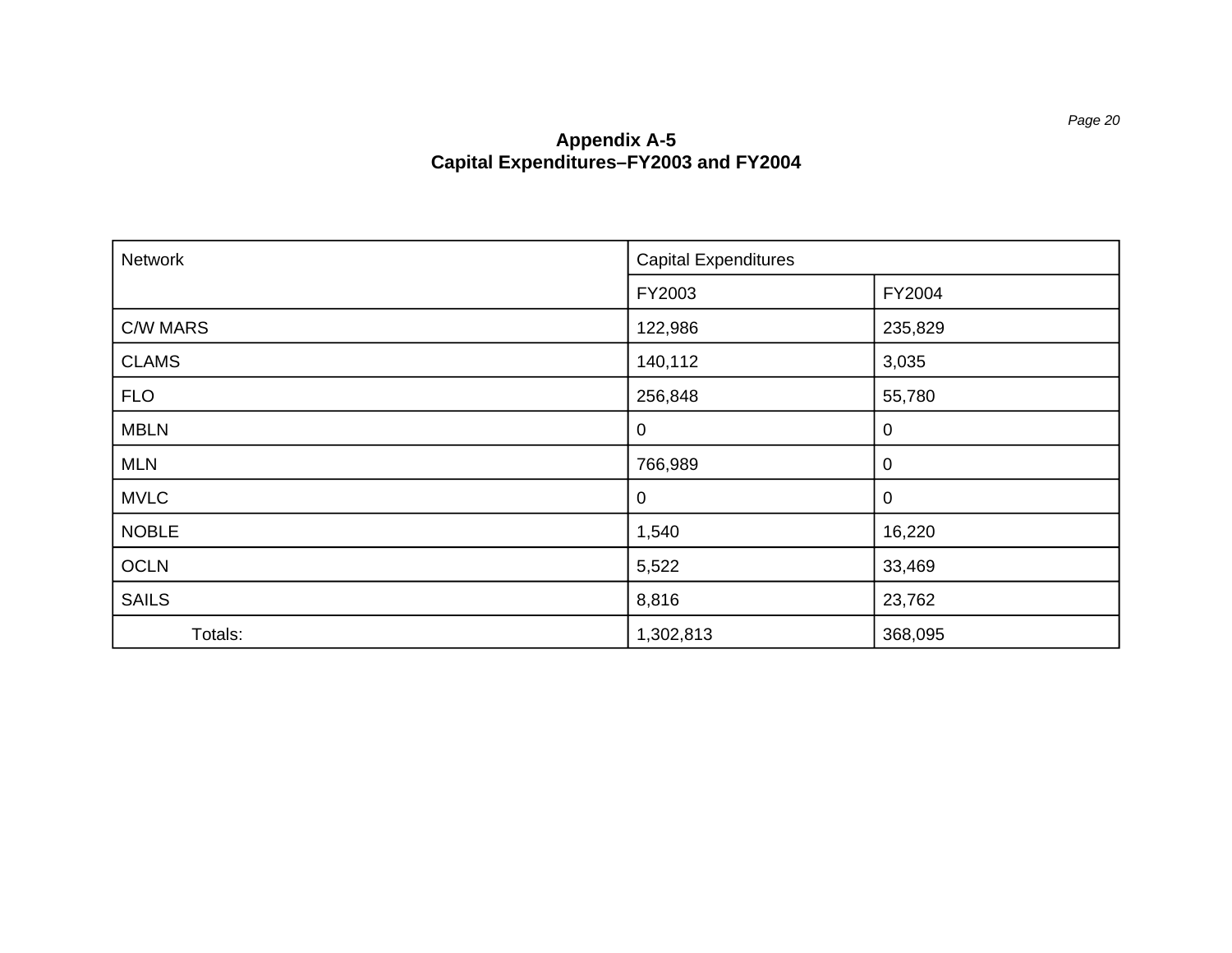#### **Appendix A-5 Capital Expenditures–FY2003 and FY2004**

<span id="page-27-0"></span>

| Network      | <b>Capital Expenditures</b> |         |
|--------------|-----------------------------|---------|
|              | FY2003                      | FY2004  |
| C/W MARS     | 122,986                     | 235,829 |
| <b>CLAMS</b> | 140,112                     | 3,035   |
| <b>FLO</b>   | 256,848                     | 55,780  |
| <b>MBLN</b>  | $\mathbf 0$                 | 0       |
| <b>MLN</b>   | 766,989                     | 0       |
| <b>MVLC</b>  | $\mathbf 0$                 | 0       |
| <b>NOBLE</b> | 1,540                       | 16,220  |
| <b>OCLN</b>  | 5,522                       | 33,469  |
| <b>SAILS</b> | 8,816                       | 23,762  |
| Totals:      | 1,302,813                   | 368,095 |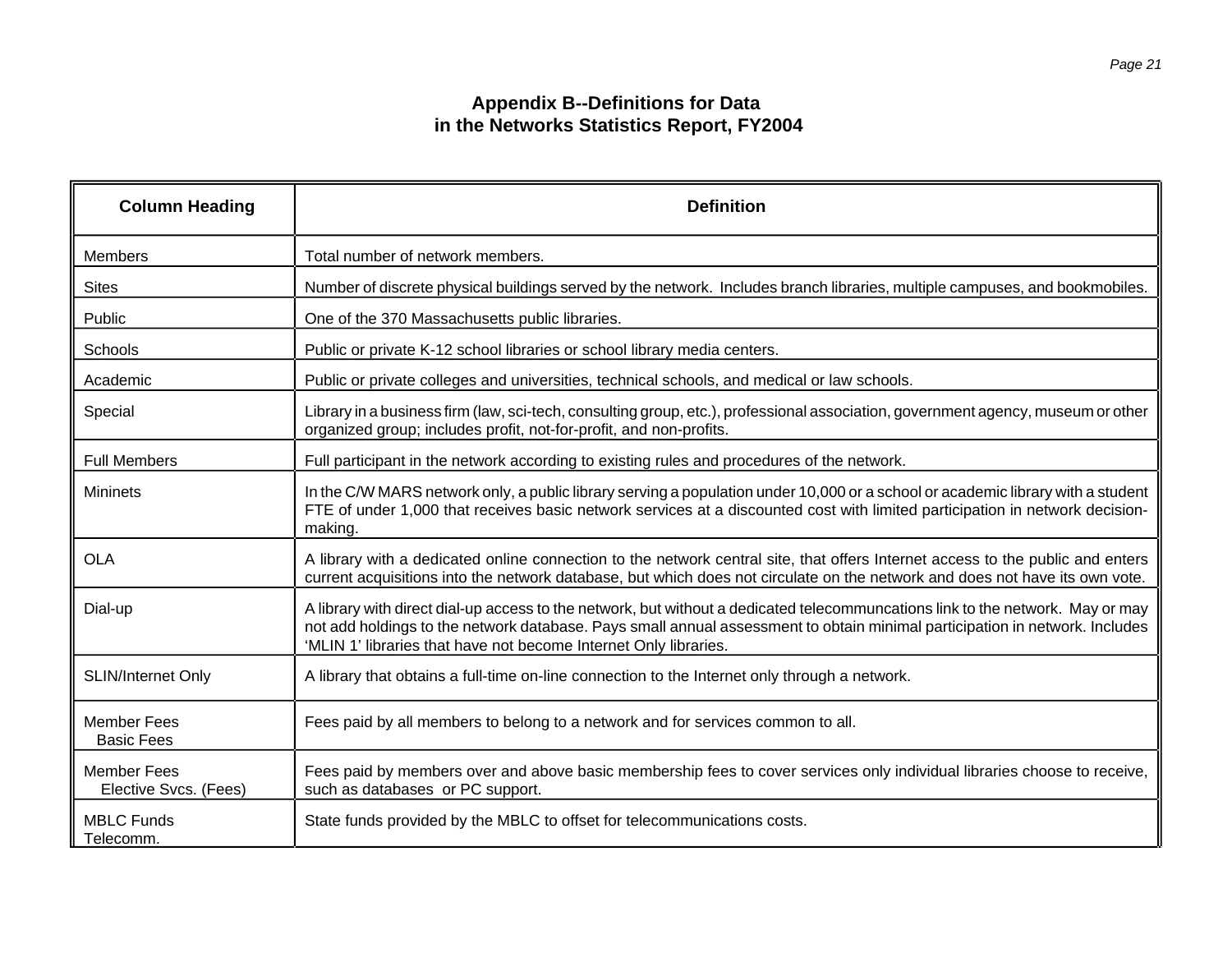#### **Appendix B--Definitions for Data in the Networks Statistics Report, FY2004**

<span id="page-28-0"></span>

| <b>Column Heading</b>                       | <b>Definition</b>                                                                                                                                                                                                                                                                                                                 |
|---------------------------------------------|-----------------------------------------------------------------------------------------------------------------------------------------------------------------------------------------------------------------------------------------------------------------------------------------------------------------------------------|
| <b>Members</b>                              | Total number of network members.                                                                                                                                                                                                                                                                                                  |
| <b>Sites</b>                                | Number of discrete physical buildings served by the network. Includes branch libraries, multiple campuses, and bookmobiles.                                                                                                                                                                                                       |
| Public                                      | One of the 370 Massachusetts public libraries.                                                                                                                                                                                                                                                                                    |
| Schools                                     | Public or private K-12 school libraries or school library media centers.                                                                                                                                                                                                                                                          |
| Academic                                    | Public or private colleges and universities, technical schools, and medical or law schools.                                                                                                                                                                                                                                       |
| Special                                     | Library in a business firm (law, sci-tech, consulting group, etc.), professional association, government agency, museum or other<br>organized group; includes profit, not-for-profit, and non-profits.                                                                                                                            |
| <b>Full Members</b>                         | Full participant in the network according to existing rules and procedures of the network.                                                                                                                                                                                                                                        |
| <b>Mininets</b>                             | In the C/W MARS network only, a public library serving a population under 10,000 or a school or academic library with a student<br>FTE of under 1,000 that receives basic network services at a discounted cost with limited participation in network decision-<br>making.                                                        |
| <b>OLA</b>                                  | A library with a dedicated online connection to the network central site, that offers Internet access to the public and enters<br>current acquisitions into the network database, but which does not circulate on the network and does not have its own vote.                                                                     |
| Dial-up                                     | A library with direct dial-up access to the network, but without a dedicated telecommuncations link to the network. May or may<br>not add holdings to the network database. Pays small annual assessment to obtain minimal participation in network. Includes<br>'MLIN 1' libraries that have not become Internet Only libraries. |
| <b>SLIN/Internet Only</b>                   | A library that obtains a full-time on-line connection to the Internet only through a network.                                                                                                                                                                                                                                     |
| <b>Member Fees</b><br><b>Basic Fees</b>     | Fees paid by all members to belong to a network and for services common to all.                                                                                                                                                                                                                                                   |
| <b>Member Fees</b><br>Elective Svcs. (Fees) | Fees paid by members over and above basic membership fees to cover services only individual libraries choose to receive,<br>such as databases or PC support.                                                                                                                                                                      |
| <b>MBLC Funds</b><br>Telecomm.              | State funds provided by the MBLC to offset for telecommunications costs.                                                                                                                                                                                                                                                          |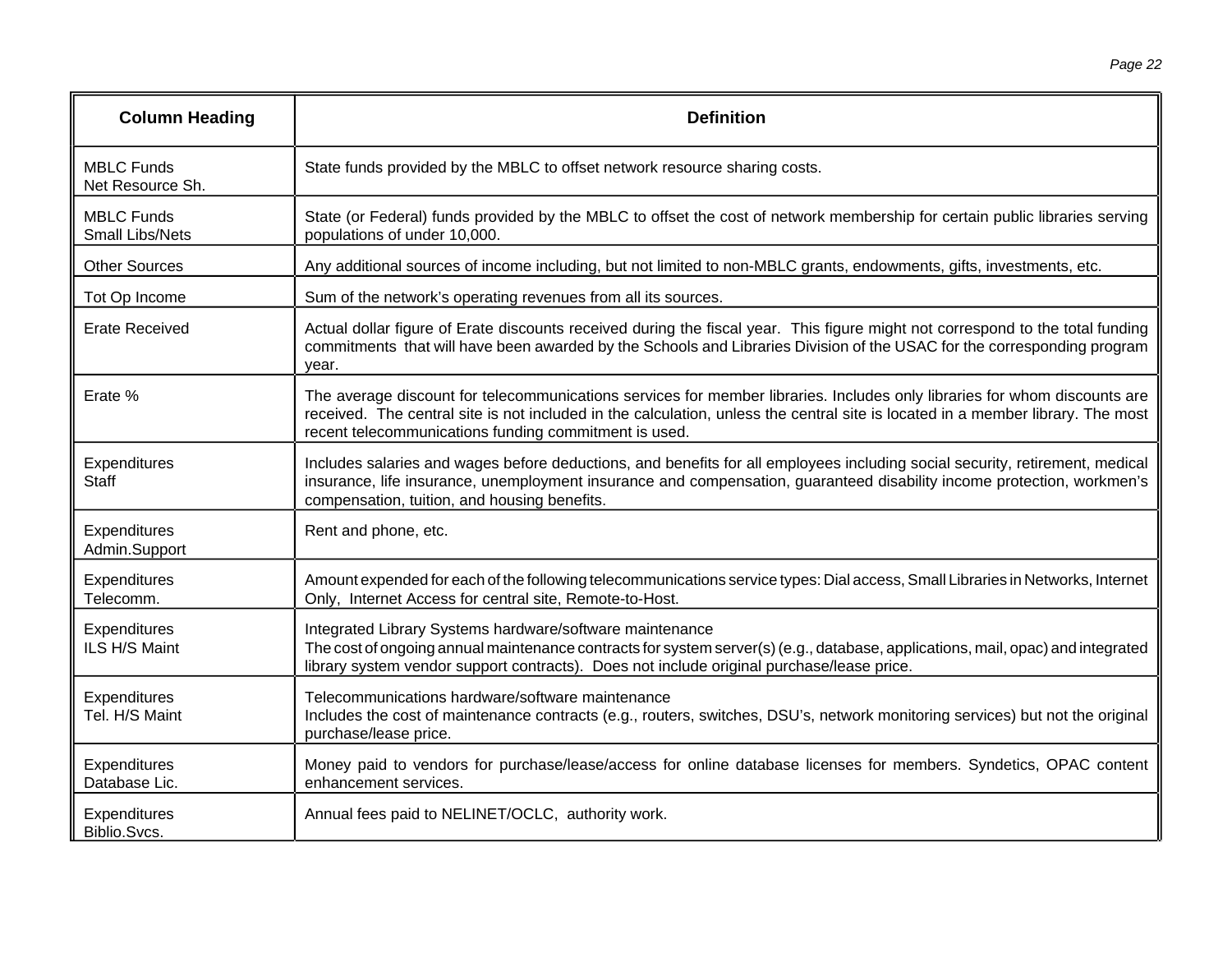| <b>Column Heading</b>                       | <b>Definition</b>                                                                                                                                                                                                                                                                                                     |
|---------------------------------------------|-----------------------------------------------------------------------------------------------------------------------------------------------------------------------------------------------------------------------------------------------------------------------------------------------------------------------|
| <b>MBLC Funds</b><br>Net Resource Sh.       | State funds provided by the MBLC to offset network resource sharing costs.                                                                                                                                                                                                                                            |
| <b>MBLC Funds</b><br><b>Small Libs/Nets</b> | State (or Federal) funds provided by the MBLC to offset the cost of network membership for certain public libraries serving<br>populations of under 10,000.                                                                                                                                                           |
| <b>Other Sources</b>                        | Any additional sources of income including, but not limited to non-MBLC grants, endowments, gifts, investments, etc.                                                                                                                                                                                                  |
| Tot Op Income                               | Sum of the network's operating revenues from all its sources.                                                                                                                                                                                                                                                         |
| <b>Erate Received</b>                       | Actual dollar figure of Erate discounts received during the fiscal year. This figure might not correspond to the total funding<br>commitments that will have been awarded by the Schools and Libraries Division of the USAC for the corresponding program<br>vear.                                                    |
| Erate %                                     | The average discount for telecommunications services for member libraries. Includes only libraries for whom discounts are<br>received. The central site is not included in the calculation, unless the central site is located in a member library. The most<br>recent telecommunications funding commitment is used. |
| Expenditures<br><b>Staff</b>                | Includes salaries and wages before deductions, and benefits for all employees including social security, retirement, medical<br>insurance, life insurance, unemployment insurance and compensation, guaranteed disability income protection, workmen's<br>compensation, tuition, and housing benefits.                |
| Expenditures<br>Admin.Support               | Rent and phone, etc.                                                                                                                                                                                                                                                                                                  |
| Expenditures<br>Telecomm.                   | Amount expended for each of the following telecommunications service types: Dial access, Small Libraries in Networks, Internet<br>Only, Internet Access for central site, Remote-to-Host.                                                                                                                             |
| Expenditures<br>ILS H/S Maint               | Integrated Library Systems hardware/software maintenance<br>The cost of ongoing annual maintenance contracts for system server(s) (e.g., database, applications, mail, opac) and integrated<br>library system vendor support contracts). Does not include original purchase/lease price.                              |
| Expenditures<br>Tel. H/S Maint              | Telecommunications hardware/software maintenance<br>Includes the cost of maintenance contracts (e.g., routers, switches, DSU's, network monitoring services) but not the original<br>purchase/lease price.                                                                                                            |
| Expenditures<br>Database Lic.               | Money paid to vendors for purchase/lease/access for online database licenses for members. Syndetics, OPAC content<br>enhancement services.                                                                                                                                                                            |
| Expenditures<br>Biblio.Svcs.                | Annual fees paid to NELINET/OCLC, authority work.                                                                                                                                                                                                                                                                     |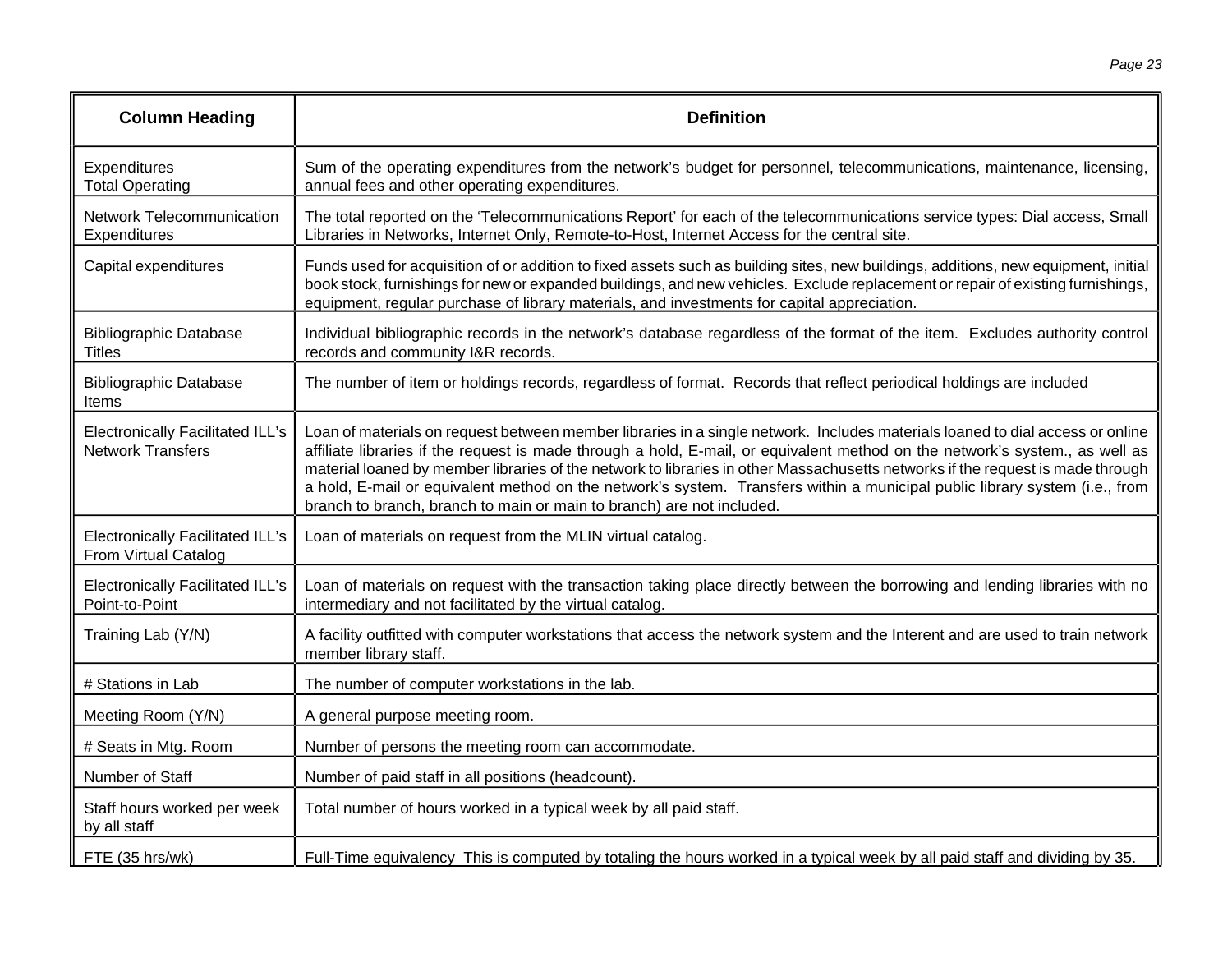| <b>Column Heading</b>                                               | <b>Definition</b>                                                                                                                                                                                                                                                                                                                                                                                                                                                                                                                                                                                       |
|---------------------------------------------------------------------|---------------------------------------------------------------------------------------------------------------------------------------------------------------------------------------------------------------------------------------------------------------------------------------------------------------------------------------------------------------------------------------------------------------------------------------------------------------------------------------------------------------------------------------------------------------------------------------------------------|
| Expenditures<br><b>Total Operating</b>                              | Sum of the operating expenditures from the network's budget for personnel, telecommunications, maintenance, licensing,<br>annual fees and other operating expenditures.                                                                                                                                                                                                                                                                                                                                                                                                                                 |
| <b>Network Telecommunication</b><br>Expenditures                    | The total reported on the 'Telecommunications Report' for each of the telecommunications service types: Dial access, Small<br>Libraries in Networks, Internet Only, Remote-to-Host, Internet Access for the central site.                                                                                                                                                                                                                                                                                                                                                                               |
| Capital expenditures                                                | Funds used for acquisition of or addition to fixed assets such as building sites, new buildings, additions, new equipment, initial<br>book stock, furnishings for new or expanded buildings, and new vehicles. Exclude replacement or repair of existing furnishings,<br>equipment, regular purchase of library materials, and investments for capital appreciation.                                                                                                                                                                                                                                    |
| <b>Bibliographic Database</b><br><b>Titles</b>                      | Individual bibliographic records in the network's database regardless of the format of the item. Excludes authority control<br>records and community I&R records.                                                                                                                                                                                                                                                                                                                                                                                                                                       |
| <b>Bibliographic Database</b><br>ltems                              | The number of item or holdings records, regardless of format. Records that reflect periodical holdings are included                                                                                                                                                                                                                                                                                                                                                                                                                                                                                     |
| <b>Electronically Facilitated ILL's</b><br><b>Network Transfers</b> | Loan of materials on request between member libraries in a single network. Includes materials loaned to dial access or online<br>affiliate libraries if the request is made through a hold, E-mail, or equivalent method on the network's system., as well as<br>material loaned by member libraries of the network to libraries in other Massachusetts networks if the request is made through<br>a hold, E-mail or equivalent method on the network's system. Transfers within a municipal public library system (i.e., from<br>branch to branch, branch to main or main to branch) are not included. |
| <b>Electronically Facilitated ILL's</b><br>From Virtual Catalog     | Loan of materials on request from the MLIN virtual catalog.                                                                                                                                                                                                                                                                                                                                                                                                                                                                                                                                             |
| <b>Electronically Facilitated ILL's</b><br>Point-to-Point           | Loan of materials on request with the transaction taking place directly between the borrowing and lending libraries with no<br>intermediary and not facilitated by the virtual catalog.                                                                                                                                                                                                                                                                                                                                                                                                                 |
| Training Lab (Y/N)                                                  | A facility outfitted with computer workstations that access the network system and the Interent and are used to train network<br>member library staff.                                                                                                                                                                                                                                                                                                                                                                                                                                                  |
| # Stations in Lab                                                   | The number of computer workstations in the lab.                                                                                                                                                                                                                                                                                                                                                                                                                                                                                                                                                         |
| Meeting Room (Y/N)                                                  | A general purpose meeting room.                                                                                                                                                                                                                                                                                                                                                                                                                                                                                                                                                                         |
| # Seats in Mtg. Room                                                | Number of persons the meeting room can accommodate.                                                                                                                                                                                                                                                                                                                                                                                                                                                                                                                                                     |
| Number of Staff                                                     | Number of paid staff in all positions (headcount).                                                                                                                                                                                                                                                                                                                                                                                                                                                                                                                                                      |
| Staff hours worked per week<br>by all staff                         | Total number of hours worked in a typical week by all paid staff.                                                                                                                                                                                                                                                                                                                                                                                                                                                                                                                                       |
| FTE (35 hrs/wk)                                                     | Full-Time equivalency This is computed by totaling the hours worked in a typical week by all paid staff and dividing by 35.                                                                                                                                                                                                                                                                                                                                                                                                                                                                             |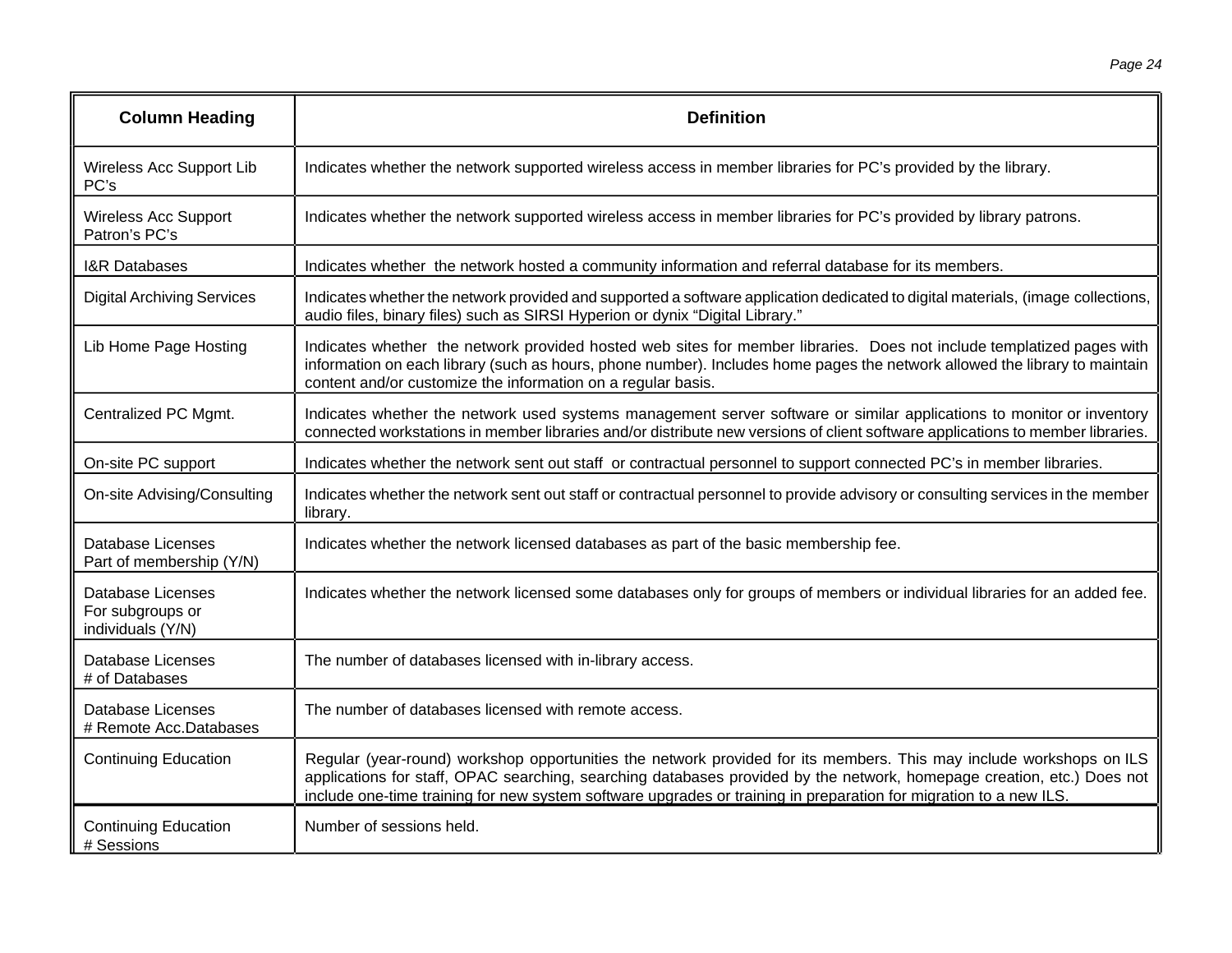| <b>Column Heading</b>                                             | <b>Definition</b>                                                                                                                                                                                                                                                                                                                                                  |
|-------------------------------------------------------------------|--------------------------------------------------------------------------------------------------------------------------------------------------------------------------------------------------------------------------------------------------------------------------------------------------------------------------------------------------------------------|
| Wireless Acc Support Lib<br>PC's                                  | Indicates whether the network supported wireless access in member libraries for PC's provided by the library.                                                                                                                                                                                                                                                      |
| <b>Wireless Acc Support</b><br>Patron's PC's                      | Indicates whether the network supported wireless access in member libraries for PC's provided by library patrons.                                                                                                                                                                                                                                                  |
| <b>I&amp;R Databases</b>                                          | Indicates whether the network hosted a community information and referral database for its members.                                                                                                                                                                                                                                                                |
| <b>Digital Archiving Services</b>                                 | Indicates whether the network provided and supported a software application dedicated to digital materials, (image collections,<br>audio files, binary files) such as SIRSI Hyperion or dynix "Digital Library."                                                                                                                                                   |
| Lib Home Page Hosting                                             | Indicates whether the network provided hosted web sites for member libraries. Does not include templatized pages with<br>information on each library (such as hours, phone number). Includes home pages the network allowed the library to maintain<br>content and/or customize the information on a regular basis.                                                |
| Centralized PC Mgmt.                                              | Indicates whether the network used systems management server software or similar applications to monitor or inventory<br>connected workstations in member libraries and/or distribute new versions of client software applications to member libraries.                                                                                                            |
| On-site PC support                                                | Indicates whether the network sent out staff or contractual personnel to support connected PC's in member libraries.                                                                                                                                                                                                                                               |
| On-site Advising/Consulting                                       | Indicates whether the network sent out staff or contractual personnel to provide advisory or consulting services in the member<br>library.                                                                                                                                                                                                                         |
| <b>Database Licenses</b><br>Part of membership (Y/N)              | Indicates whether the network licensed databases as part of the basic membership fee.                                                                                                                                                                                                                                                                              |
| <b>Database Licenses</b><br>For subgroups or<br>individuals (Y/N) | Indicates whether the network licensed some databases only for groups of members or individual libraries for an added fee.                                                                                                                                                                                                                                         |
| <b>Database Licenses</b><br># of Databases                        | The number of databases licensed with in-library access.                                                                                                                                                                                                                                                                                                           |
| Database Licenses<br># Remote Acc.Databases                       | The number of databases licensed with remote access.                                                                                                                                                                                                                                                                                                               |
| <b>Continuing Education</b>                                       | Regular (year-round) workshop opportunities the network provided for its members. This may include workshops on ILS<br>applications for staff, OPAC searching, searching databases provided by the network, homepage creation, etc.) Does not<br>include one-time training for new system software upgrades or training in preparation for migration to a new ILS. |
| <b>Continuing Education</b><br># Sessions                         | Number of sessions held.                                                                                                                                                                                                                                                                                                                                           |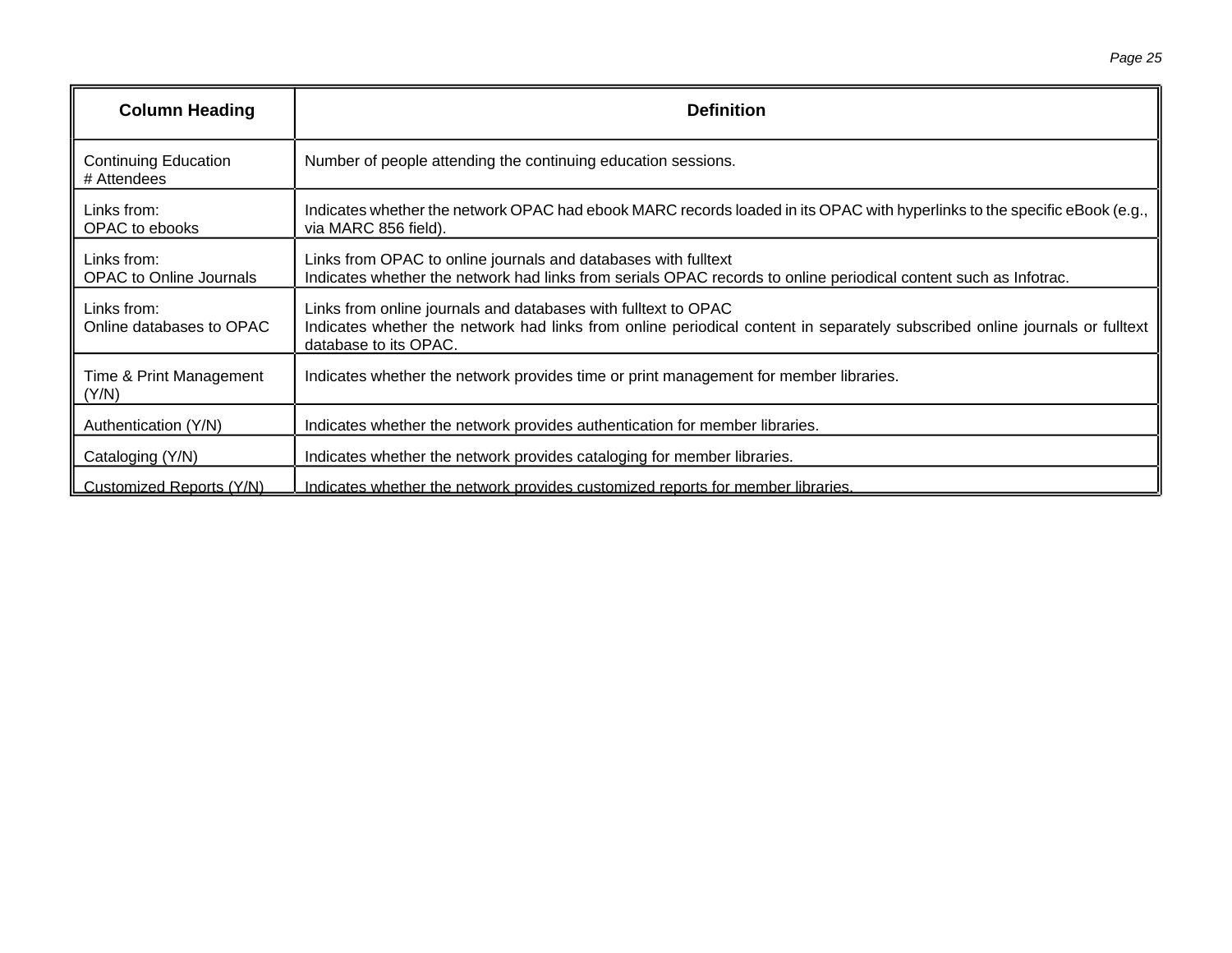| <b>Column Heading</b>                         | <b>Definition</b>                                                                                                                                                                                                      |
|-----------------------------------------------|------------------------------------------------------------------------------------------------------------------------------------------------------------------------------------------------------------------------|
| <b>Continuing Education</b><br># Attendees    | Number of people attending the continuing education sessions.                                                                                                                                                          |
| Links from:<br>OPAC to ebooks                 | Indicates whether the network OPAC had ebook MARC records loaded in its OPAC with hyperlinks to the specific eBook (e.g.,<br>via MARC 856 field).                                                                      |
| Links from:<br><b>OPAC</b> to Online Journals | Links from OPAC to online journals and databases with fulltext<br>Indicates whether the network had links from serials OPAC records to online periodical content such as Infotrac.                                     |
| Links from:<br>Online databases to OPAC       | Links from online journals and databases with fulltext to OPAC<br>Indicates whether the network had links from online periodical content in separately subscribed online journals or fulltext<br>database to its OPAC. |
| Time & Print Management<br>(Y/N)              | Indicates whether the network provides time or print management for member libraries.                                                                                                                                  |
| Authentication (Y/N)                          | Indicates whether the network provides authentication for member libraries.                                                                                                                                            |
| Cataloging (Y/N)                              | Indicates whether the network provides cataloging for member libraries.                                                                                                                                                |
| Customized Reports (Y/N)                      | Indicates whether the network provides customized reports for member libraries.                                                                                                                                        |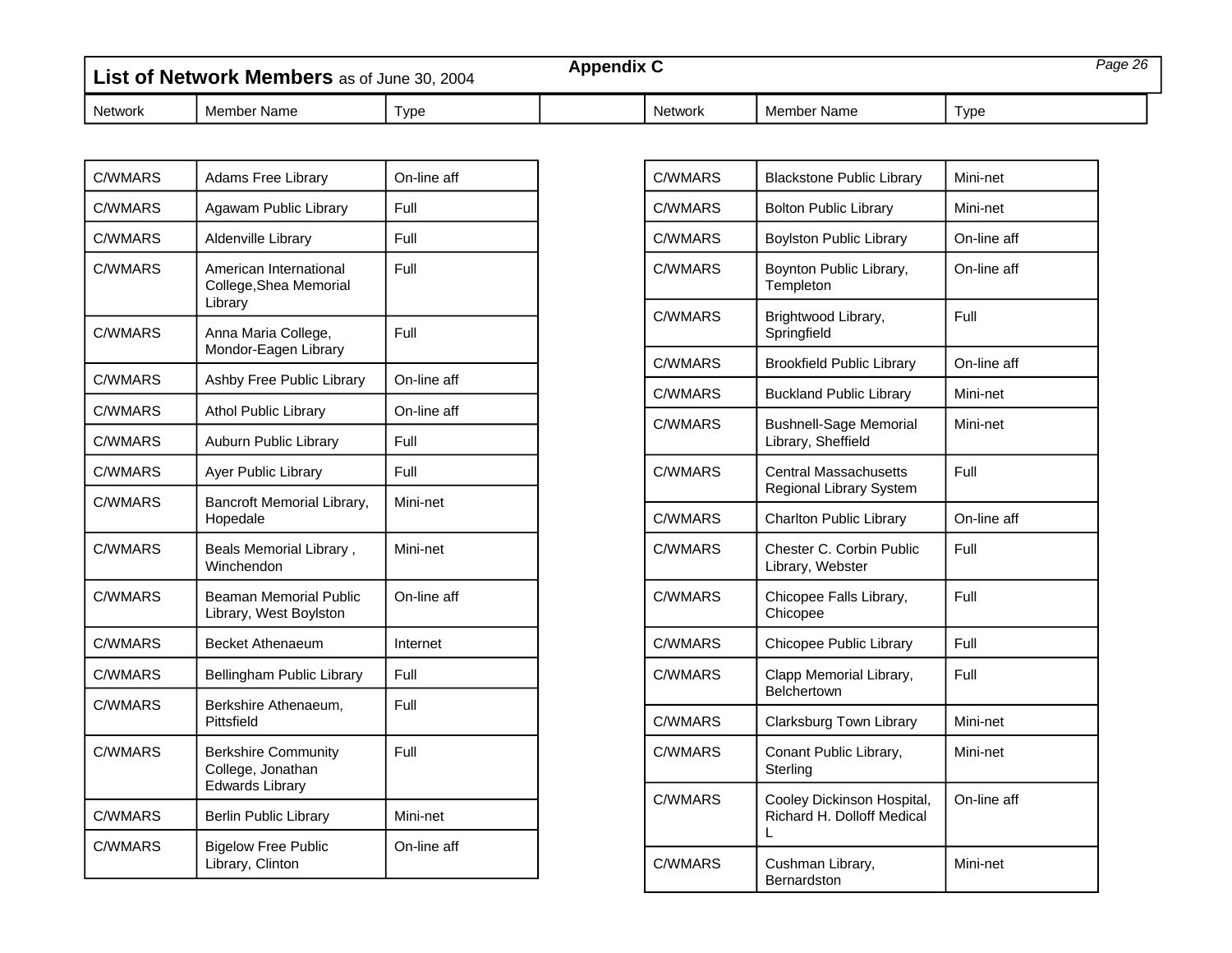<span id="page-33-0"></span>

| List of Network Members as of June 30, 2004 |             |      |  | <b>Appendix C</b> |             |      | Page 26 |  |
|---------------------------------------------|-------------|------|--|-------------------|-------------|------|---------|--|
| Network                                     | Member Name | Type |  | <b>Network</b>    | Member Name | Type |         |  |

| <b>C/WMARS</b> | Adams Free Library                                                        | On-line aff |
|----------------|---------------------------------------------------------------------------|-------------|
| <b>C/WMARS</b> | Agawam Public Library                                                     | Full        |
| <b>C/WMARS</b> | Aldenville Library                                                        | Full        |
| <b>C/WMARS</b> | American International<br>College, Shea Memorial<br>Library               | Full        |
| <b>C/WMARS</b> | Anna Maria College,<br>Mondor-Eagen Library                               | Full        |
| C/WMARS        | Ashby Free Public Library                                                 | On-line aff |
| <b>C/WMARS</b> | <b>Athol Public Library</b>                                               | On-line aff |
| <b>C/WMARS</b> | Auburn Public Library                                                     | Full        |
| C/WMARS        | Ayer Public Library                                                       | Full        |
| C/WMARS        | Bancroft Memorial Library,<br>Hopedale                                    | Mini-net    |
| <b>C/WMARS</b> | Beals Memorial Library,<br>Winchendon                                     | Mini-net    |
| C/WMARS        | Beaman Memorial Public<br>Library, West Boylston                          | On-line aff |
| <b>C/WMARS</b> | Becket Athenaeum                                                          | Internet    |
| C/WMARS        | Bellingham Public Library                                                 | Full        |
| C/WMARS        | Berkshire Athenaeum,<br>Pittsfield                                        | Full        |
| <b>C/WMARS</b> | <b>Berkshire Community</b><br>College, Jonathan<br><b>Edwards Library</b> | Full        |
| <b>C/WMARS</b> | <b>Berlin Public Library</b>                                              | Mini-net    |
| <b>C/WMARS</b> | <b>Bigelow Free Public</b><br>Library, Clinton                            | On-line aff |

| C/WMARS        | <b>Blackstone Public Library</b>                              | Mini-net    |
|----------------|---------------------------------------------------------------|-------------|
| C/WMARS        | <b>Bolton Public Library</b>                                  | Mini-net    |
| <b>C/WMARS</b> | <b>Boylston Public Library</b>                                | On-line aff |
| C/WMARS        | Boynton Public Library,<br>Templeton                          | On-line aff |
| <b>C/WMARS</b> | Brightwood Library,<br>Springfield                            | Full        |
| C/WMARS        | <b>Brookfield Public Library</b>                              | On-line aff |
| C/WMARS        | <b>Buckland Public Library</b>                                | Mini-net    |
| C/WMARS        | <b>Bushnell-Sage Memorial</b><br>Library, Sheffield           | Mini-net    |
| C/WMARS        | Central Massachusetts<br>Regional Library System              | Full        |
| <b>C/WMARS</b> | Charlton Public Library                                       | On-line aff |
| <b>C/WMARS</b> | Chester C. Corbin Public<br>Library, Webster                  | Full        |
| <b>C/WMARS</b> | Chicopee Falls Library,<br>Chicopee                           | Full        |
| C/WMARS        | Chicopee Public Library                                       | Full        |
| <b>C/WMARS</b> | Clapp Memorial Library,<br><b>Belchertown</b>                 | Full        |
| C/WMARS        | Clarksburg Town Library                                       | Mini-net    |
| C/WMARS        | Conant Public Library,<br>Sterling                            | Mini-net    |
| <b>C/WMARS</b> | Cooley Dickinson Hospital,<br>Richard H. Dolloff Medical<br>L | On-line aff |
| C/WMARS        | Cushman Library,<br>Bernardston                               | Mini-net    |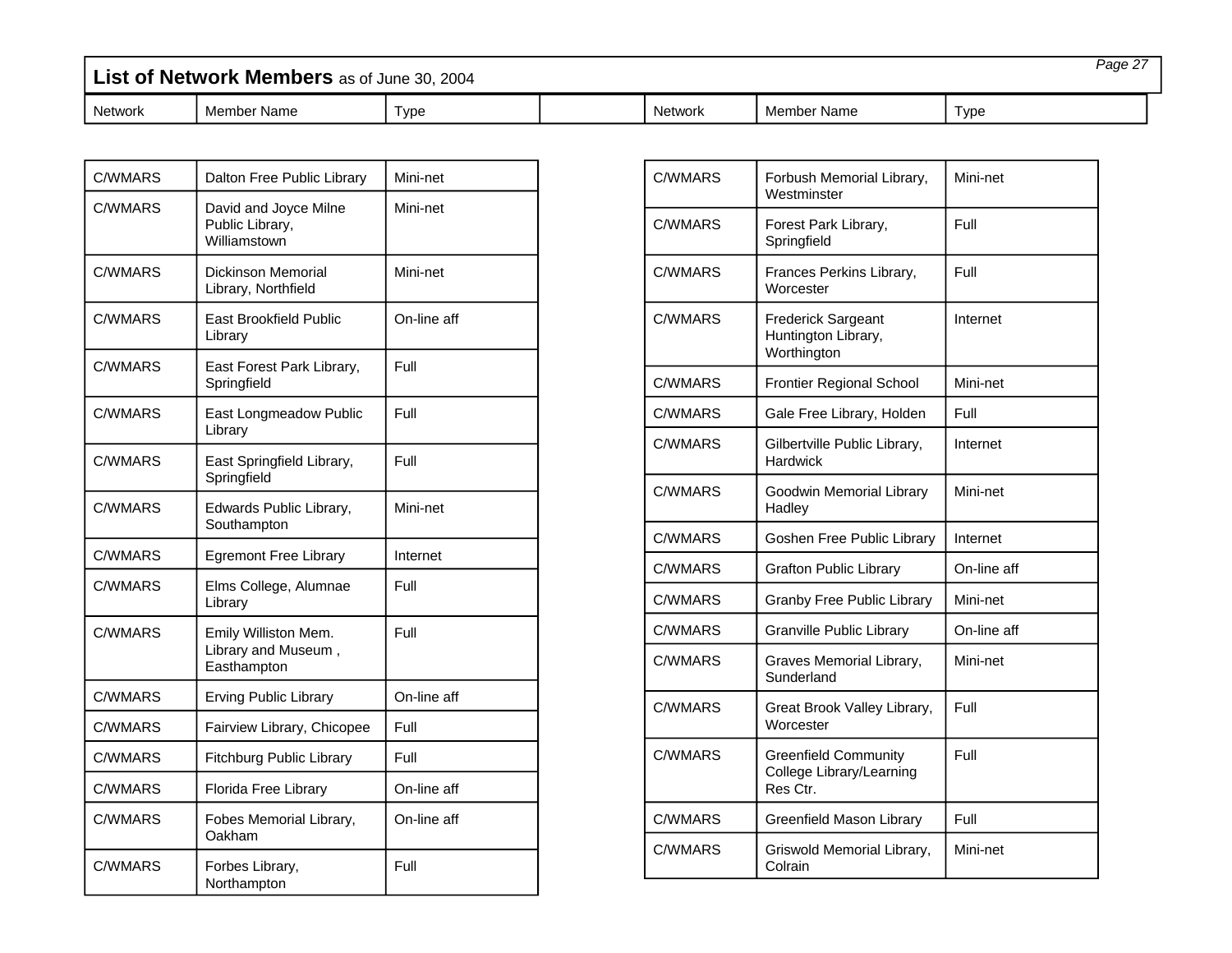| List of Network Members as of June 30, 2004 |         |             |      |  | Page 27 |             |       |  |
|---------------------------------------------|---------|-------------|------|--|---------|-------------|-------|--|
|                                             | Network | Member Name | Tvpe |  | Network | Member Name | Tvpe: |  |

| C/WMARS        | Dalton Free Public Library                                 | Mini-net    |
|----------------|------------------------------------------------------------|-------------|
| <b>C/WMARS</b> | David and Joyce Milne<br>Public Library,<br>Williamstown   | Mini-net    |
| C/WMARS        | Dickinson Memorial<br>Library, Northfield                  | Mini-net    |
| <b>C/WMARS</b> | East Brookfield Public<br>Library                          | On-line aff |
| C/WMARS        | East Forest Park Library,<br>Springfield                   | Full        |
| C/WMARS        | East Longmeadow Public<br>Library                          | Full        |
| <b>C/WMARS</b> | East Springfield Library,<br>Springfield                   | Full        |
| C/WMARS        | Edwards Public Library,<br>Southampton                     | Mini-net    |
| C/WMARS        | <b>Egremont Free Library</b>                               | Internet    |
| C/WMARS        | Elms College, Alumnae<br>Library                           | Full        |
| <b>C/WMARS</b> | Emily Williston Mem.<br>Library and Museum,<br>Easthampton | Full        |
| <b>C/WMARS</b> | <b>Erving Public Library</b>                               | On-line aff |
| <b>C/WMARS</b> | Fairview Library, Chicopee                                 | Full        |
| <b>C/WMARS</b> | Fitchburg Public Library                                   | Full        |
| <b>C/WMARS</b> | Florida Free Library                                       | On-line aff |
| <b>C/WMARS</b> | Fobes Memorial Library,<br>Oakham                          | On-line aff |
| <b>C/WMARS</b> | Forbes Library,<br>Northampton                             | Full        |

г

| C/WMARS        | Forbush Memorial Library,<br>Westminster                            | Mini-net    |
|----------------|---------------------------------------------------------------------|-------------|
| C/WMARS        | Forest Park Library,<br>Springfield                                 | Full        |
| C/WMARS        | Frances Perkins Library,<br>Worcester                               | Full        |
| <b>C/WMARS</b> | <b>Frederick Sargeant</b><br>Huntington Library,<br>Worthington     | Internet    |
| C/WMARS        | <b>Frontier Regional School</b>                                     | Mini-net    |
| C/WMARS        | Gale Free Library, Holden                                           | Full        |
| <b>C/WMARS</b> | Gilbertville Public Library,<br>Hardwick                            | Internet    |
| C/WMARS        | Goodwin Memorial Library<br>Hadley                                  | Mini-net    |
| C/WMARS        | Goshen Free Public Library                                          | Internet    |
| <b>C/WMARS</b> | <b>Grafton Public Library</b>                                       | On-line aff |
| <b>C/WMARS</b> | Granby Free Public Library                                          | Mini-net    |
| <b>C/WMARS</b> | Granville Public Library                                            | On-line aff |
| C/WMARS        | Graves Memorial Library,<br>Sunderland                              | Mini-net    |
| <b>C/WMARS</b> | Great Brook Valley Library,<br>Worcester                            | Full        |
| C/WMARS        | <b>Greenfield Community</b><br>College Library/Learning<br>Res Ctr. | Full        |
| <b>C/WMARS</b> | Greenfield Mason Library                                            | Full        |
| C/WMARS        | Griswold Memorial Library,<br>Colrain                               | Mini-net    |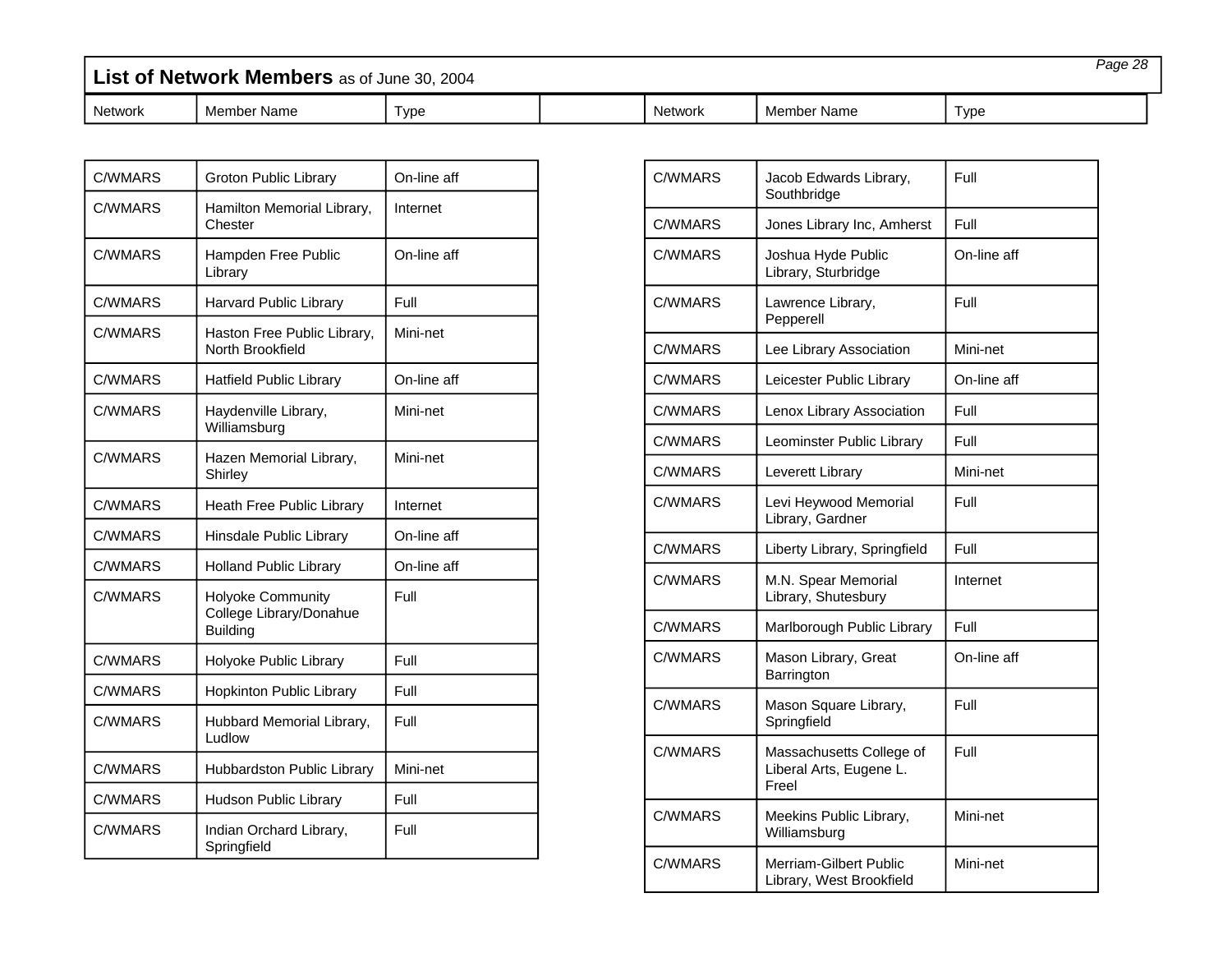| List of Network Members as of June 30, 2004 |             |      |  |                |             | Page 28 |  |
|---------------------------------------------|-------------|------|--|----------------|-------------|---------|--|
| Network                                     | Member Name | ⊺ype |  | <b>Network</b> | Member Name | Type    |  |

| <b>C/WMARS</b> | Groton Public Library                                           | On-line aff |
|----------------|-----------------------------------------------------------------|-------------|
| <b>C/WMARS</b> | Hamilton Memorial Library,<br>Chester                           | Internet    |
| C/WMARS        | Hampden Free Public<br>Library                                  | On-line aff |
| C/WMARS        | <b>Harvard Public Library</b>                                   | Full        |
| <b>C/WMARS</b> | Haston Free Public Library,<br>North Brookfield                 | Mini-net    |
| C/WMARS        | <b>Hatfield Public Library</b>                                  | On-line aff |
| <b>C/WMARS</b> | Haydenville Library,<br>Williamsburg                            | Mini-net    |
| C/WMARS        | Hazen Memorial Library,<br>Shirley                              | Mini-net    |
| C/WMARS        | Heath Free Public Library                                       | Internet    |
| C/WMARS        | Hinsdale Public Library                                         | On-line aff |
| C/WMARS        | <b>Holland Public Library</b>                                   | On-line aff |
| <b>C/WMARS</b> | Holyoke Community<br>College Library/Donahue<br><b>Building</b> | Full        |
| C/WMARS        | Holyoke Public Library                                          | Full        |
| <b>C/WMARS</b> | Hopkinton Public Library                                        | Full        |
| <b>C/WMARS</b> | Hubbard Memorial Library,<br>Ludlow                             | Full        |
| C/WMARS        | <b>Hubbardston Public Library</b>                               | Mini-net    |
| <b>C/WMARS</b> | <b>Hudson Public Library</b>                                    | Full        |
| <b>C/WMARS</b> | Indian Orchard Library,<br>Springfield                          | Full        |

| <b>C/WMARS</b> | Jacob Edwards Library,<br>Southbridge                        | Full        |
|----------------|--------------------------------------------------------------|-------------|
| C/WMARS        | Jones Library Inc, Amherst                                   | Full        |
| <b>C/WMARS</b> | Joshua Hyde Public<br>Library, Sturbridge                    | On-line aff |
| <b>C/WMARS</b> | Lawrence Library,<br>Pepperell                               | Full        |
| C/WMARS        | Lee Library Association                                      | Mini-net    |
| <b>C/WMARS</b> | Leicester Public Library                                     | On-line aff |
| C/WMARS        | Lenox Library Association                                    | Full        |
| C/WMARS        | Leominster Public Library                                    | Full        |
| <b>C/WMARS</b> | Leverett Library                                             | Mini-net    |
| <b>C/WMARS</b> | Levi Heywood Memorial<br>Library, Gardner                    | Full        |
| <b>C/WMARS</b> | Liberty Library, Springfield                                 | Full        |
| <b>C/WMARS</b> | M.N. Spear Memorial<br>Library, Shutesbury                   | Internet    |
| <b>C/WMARS</b> | Marlborough Public Library                                   | Full        |
| C/WMARS        | Mason Library, Great<br>Barrington                           | On-line aff |
| <b>C/WMARS</b> | Mason Square Library,<br>Springfield                         | Full        |
| <b>C/WMARS</b> | Massachusetts College of<br>Liberal Arts, Eugene L.<br>Freel | Full        |
| <b>C/WMARS</b> | Meekins Public Library,<br>Williamsburg                      | Mini-net    |
| <b>C/WMARS</b> | Merriam-Gilbert Public<br>Library, West Brookfield           | Mini-net    |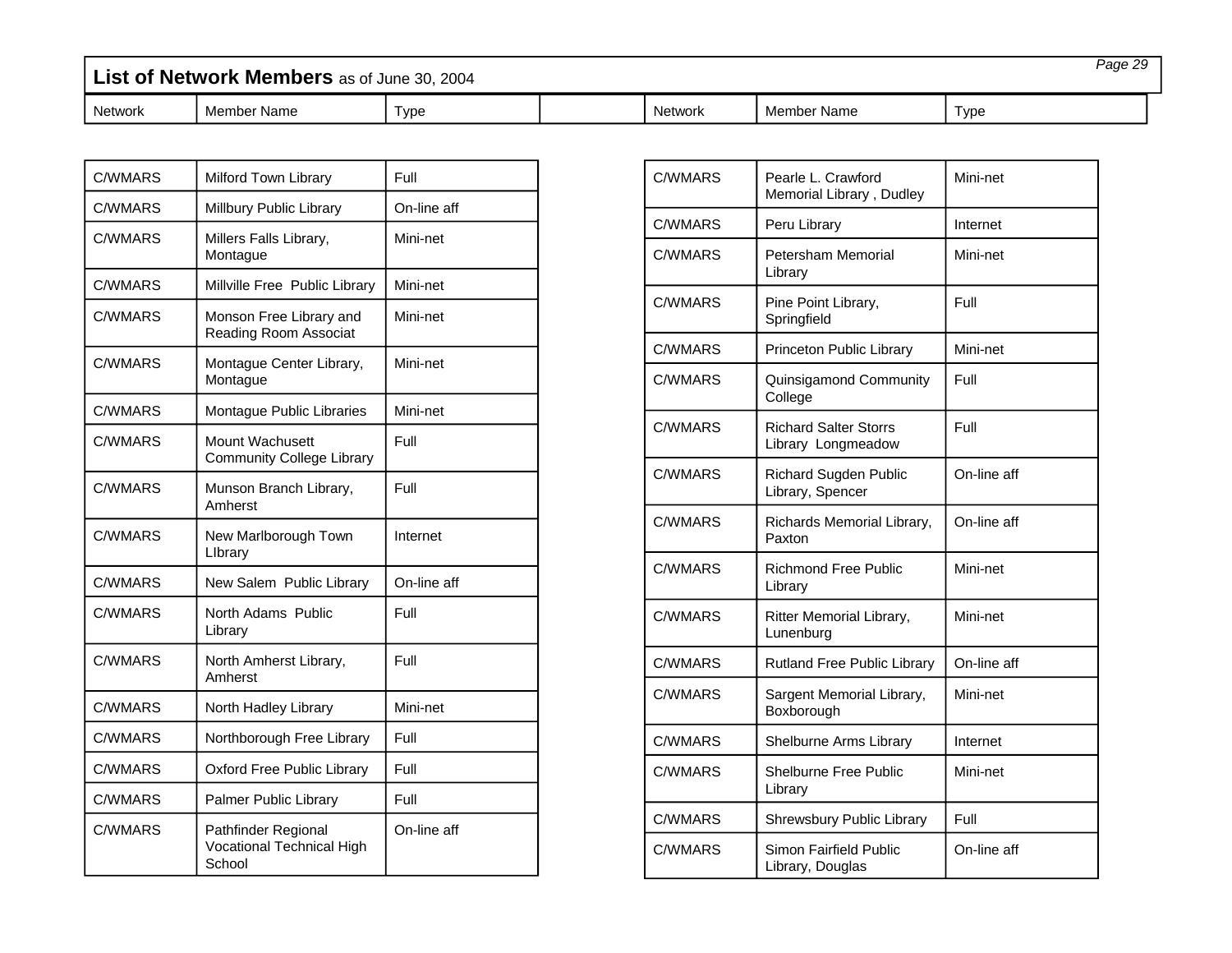| List of Network Members as of June 30, 2004 |             |      |  |                |             | Paqe 29 |  |
|---------------------------------------------|-------------|------|--|----------------|-------------|---------|--|
| <b>Network</b>                              | Member Name | ⊺vpe |  | <b>Network</b> | Member Name | Tvpe    |  |

| <b>C/WMARS</b> | Milford Town Library                                       | Full        |
|----------------|------------------------------------------------------------|-------------|
| <b>C/WMARS</b> | Millbury Public Library                                    | On-line aff |
| <b>C/WMARS</b> | Millers Falls Library,<br>Montague                         | Mini-net    |
| <b>C/WMARS</b> | Millville Free Public Library                              | Mini-net    |
| C/WMARS        | Monson Free Library and<br>Reading Room Associat           | Mini-net    |
| C/WMARS        | Montague Center Library,<br>Montague                       | Mini-net    |
| <b>C/WMARS</b> | Montague Public Libraries                                  | Mini-net    |
| C/WMARS        | Mount Wachusett<br><b>Community College Library</b>        | Full        |
| C/WMARS        | Munson Branch Library,<br>Amherst                          | Full        |
| <b>C/WMARS</b> | New Marlborough Town<br>Library                            | Internet    |
| <b>C/WMARS</b> | New Salem Public Library                                   | On-line aff |
| C/WMARS        | North Adams Public<br>Library                              | Full        |
| <b>C/WMARS</b> | North Amherst Library,<br>Amherst                          | Full        |
| C/WMARS        | North Hadley Library                                       | Mini-net    |
| <b>C/WMARS</b> | Northborough Free Library                                  | Full        |
| C/WMARS        | Oxford Free Public Library                                 | Full        |
| <b>C/WMARS</b> | Palmer Public Library                                      | Full        |
| <b>C/WMARS</b> | Pathfinder Regional<br>Vocational Technical High<br>School | On-line aff |

г

| C/WMARS        | Pearle L. Crawford<br>Memorial Library, Dudley     | Mini-net    |
|----------------|----------------------------------------------------|-------------|
| C/WMARS        | Peru Library                                       | Internet    |
| C/WMARS        | Petersham Memorial<br>Library                      | Mini-net    |
| C/WMARS        | Pine Point Library,<br>Springfield                 | Full        |
| C/WMARS        | Princeton Public Library                           | Mini-net    |
| C/WMARS        | Quinsigamond Community<br>College                  | Full        |
| <b>C/WMARS</b> | <b>Richard Salter Storrs</b><br>Library Longmeadow | Full        |
| C/WMARS        | <b>Richard Sugden Public</b><br>Library, Spencer   | On-line aff |
| C/WMARS        | Richards Memorial Library,<br>Paxton               | On-line aff |
| <b>C/WMARS</b> | <b>Richmond Free Public</b><br>Library             | Mini-net    |
| <b>C/WMARS</b> | Ritter Memorial Library,<br>Lunenburg              | Mini-net    |
| <b>C/WMARS</b> | <b>Rutland Free Public Library</b>                 | On-line aff |
| <b>C/WMARS</b> | Sargent Memorial Library,<br>Boxborough            | Mini-net    |
| <b>C/WMARS</b> | Shelburne Arms Library                             | Internet    |
| <b>C/WMARS</b> | <b>Shelburne Free Public</b><br>Library            | Mini-net    |
| C/WMARS        | Shrewsbury Public Library                          | Full        |
| <b>C/WMARS</b> | Simon Fairfield Public<br>Library, Douglas         | On-line aff |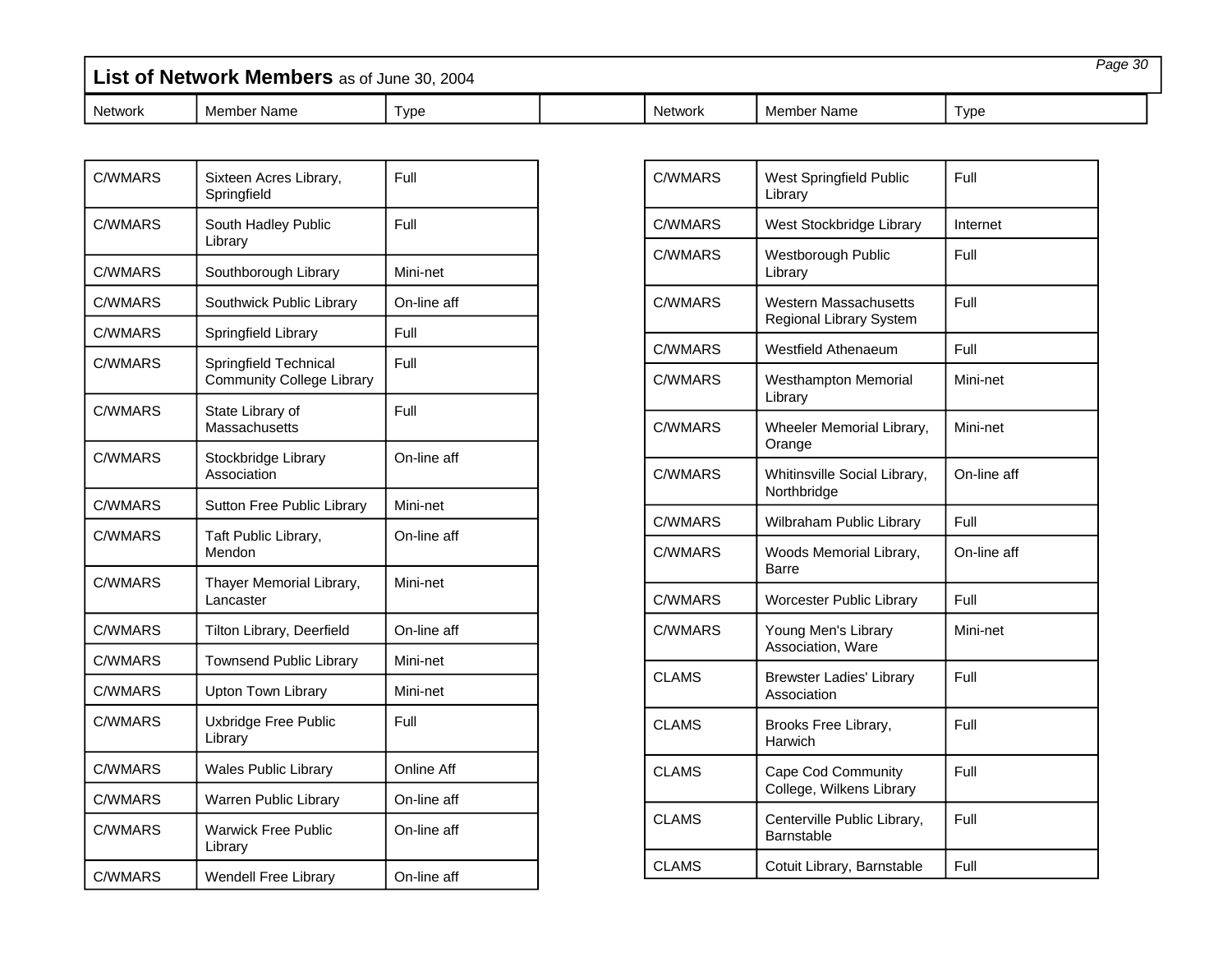| List of Network Members as of June 30, 2004 |             |      |  |                | Page 30     |      |
|---------------------------------------------|-------------|------|--|----------------|-------------|------|
| <b>Network</b>                              | Member Name | Type |  | <b>Network</b> | Member Name | Type |

| <b>C/WMARS</b> | Sixteen Acres Library,<br>Springfield                     | Full        |
|----------------|-----------------------------------------------------------|-------------|
| <b>C/WMARS</b> | South Hadley Public<br>Library                            | Full        |
| C/WMARS        | Southborough Library                                      | Mini-net    |
| <b>C/WMARS</b> | Southwick Public Library                                  | On-line aff |
| C/WMARS        | Springfield Library                                       | Full        |
| <b>C/WMARS</b> | Springfield Technical<br><b>Community College Library</b> | Full        |
| C/WMARS        | State Library of<br><b>Massachusetts</b>                  | Full        |
| C/WMARS        | Stockbridge Library<br>Association                        | On-line aff |
| C/WMARS        | Sutton Free Public Library                                | Mini-net    |
| <b>C/WMARS</b> | Taft Public Library,<br>Mendon                            | On-line aff |
| C/WMARS        | Thayer Memorial Library,<br>Lancaster                     | Mini-net    |
| <b>C/WMARS</b> | Tilton Library, Deerfield                                 | On-line aff |
| <b>C/WMARS</b> | <b>Townsend Public Library</b>                            | Mini-net    |
| C/WMARS        | <b>Upton Town Library</b>                                 | Mini-net    |
| C/WMARS        | Uxbridge Free Public<br>Library                           | Full        |
| <b>C/WMARS</b> | <b>Wales Public Library</b>                               | Online Aff  |
| C/WMARS        | Warren Public Library                                     | On-line aff |
| <b>C/WMARS</b> | <b>Warwick Free Public</b><br>Library                     | On-line aff |
| C/WMARS        | <b>Wendell Free Library</b>                               | On-line aff |

| <b>C/WMARS</b><br>Full<br>West Springfield Public<br>Library<br>C/WMARS<br>West Stockbridge Library<br>Internet<br>C/WMARS<br>Full<br>Westborough Public<br>Library<br>C/WMARS<br>Full<br>Western Massachusetts<br>Regional Library System<br><b>C/WMARS</b><br><b>Westfield Athenaeum</b><br>Full<br>C/WMARS<br><b>Westhampton Memorial</b><br>Mini-net<br>Library<br>C/WMARS<br>Mini-net<br>Wheeler Memorial Library,<br>Orange<br><b>C/WMARS</b><br>On-line aff<br>Whitinsville Social Library,<br>Northbridge<br>C/WMARS<br>Wilbraham Public Library<br>Full<br><b>C/WMARS</b><br>On-line aff<br>Woods Memorial Library,<br>Barre<br>C/WMARS<br>Full<br><b>Worcester Public Library</b><br>C/WMARS<br>Young Men's Library<br>Mini-net<br>Association, Ware<br><b>CLAMS</b><br>Full<br><b>Brewster Ladies' Library</b><br>Association<br><b>CLAMS</b><br>Full<br>Brooks Free Library,<br>Harwich<br>Full<br><b>CLAMS</b><br>Cape Cod Community<br>College, Wilkens Library<br>Full<br><b>CLAMS</b><br>Centerville Public Library,<br>Barnstable<br><b>CLAMS</b><br>Cotuit Library, Barnstable<br>Full |  |  |
|----------------------------------------------------------------------------------------------------------------------------------------------------------------------------------------------------------------------------------------------------------------------------------------------------------------------------------------------------------------------------------------------------------------------------------------------------------------------------------------------------------------------------------------------------------------------------------------------------------------------------------------------------------------------------------------------------------------------------------------------------------------------------------------------------------------------------------------------------------------------------------------------------------------------------------------------------------------------------------------------------------------------------------------------------------------------------------------------------------|--|--|
|                                                                                                                                                                                                                                                                                                                                                                                                                                                                                                                                                                                                                                                                                                                                                                                                                                                                                                                                                                                                                                                                                                          |  |  |
|                                                                                                                                                                                                                                                                                                                                                                                                                                                                                                                                                                                                                                                                                                                                                                                                                                                                                                                                                                                                                                                                                                          |  |  |
|                                                                                                                                                                                                                                                                                                                                                                                                                                                                                                                                                                                                                                                                                                                                                                                                                                                                                                                                                                                                                                                                                                          |  |  |
|                                                                                                                                                                                                                                                                                                                                                                                                                                                                                                                                                                                                                                                                                                                                                                                                                                                                                                                                                                                                                                                                                                          |  |  |
|                                                                                                                                                                                                                                                                                                                                                                                                                                                                                                                                                                                                                                                                                                                                                                                                                                                                                                                                                                                                                                                                                                          |  |  |
|                                                                                                                                                                                                                                                                                                                                                                                                                                                                                                                                                                                                                                                                                                                                                                                                                                                                                                                                                                                                                                                                                                          |  |  |
|                                                                                                                                                                                                                                                                                                                                                                                                                                                                                                                                                                                                                                                                                                                                                                                                                                                                                                                                                                                                                                                                                                          |  |  |
|                                                                                                                                                                                                                                                                                                                                                                                                                                                                                                                                                                                                                                                                                                                                                                                                                                                                                                                                                                                                                                                                                                          |  |  |
|                                                                                                                                                                                                                                                                                                                                                                                                                                                                                                                                                                                                                                                                                                                                                                                                                                                                                                                                                                                                                                                                                                          |  |  |
|                                                                                                                                                                                                                                                                                                                                                                                                                                                                                                                                                                                                                                                                                                                                                                                                                                                                                                                                                                                                                                                                                                          |  |  |
|                                                                                                                                                                                                                                                                                                                                                                                                                                                                                                                                                                                                                                                                                                                                                                                                                                                                                                                                                                                                                                                                                                          |  |  |
|                                                                                                                                                                                                                                                                                                                                                                                                                                                                                                                                                                                                                                                                                                                                                                                                                                                                                                                                                                                                                                                                                                          |  |  |
|                                                                                                                                                                                                                                                                                                                                                                                                                                                                                                                                                                                                                                                                                                                                                                                                                                                                                                                                                                                                                                                                                                          |  |  |
|                                                                                                                                                                                                                                                                                                                                                                                                                                                                                                                                                                                                                                                                                                                                                                                                                                                                                                                                                                                                                                                                                                          |  |  |
|                                                                                                                                                                                                                                                                                                                                                                                                                                                                                                                                                                                                                                                                                                                                                                                                                                                                                                                                                                                                                                                                                                          |  |  |
|                                                                                                                                                                                                                                                                                                                                                                                                                                                                                                                                                                                                                                                                                                                                                                                                                                                                                                                                                                                                                                                                                                          |  |  |
|                                                                                                                                                                                                                                                                                                                                                                                                                                                                                                                                                                                                                                                                                                                                                                                                                                                                                                                                                                                                                                                                                                          |  |  |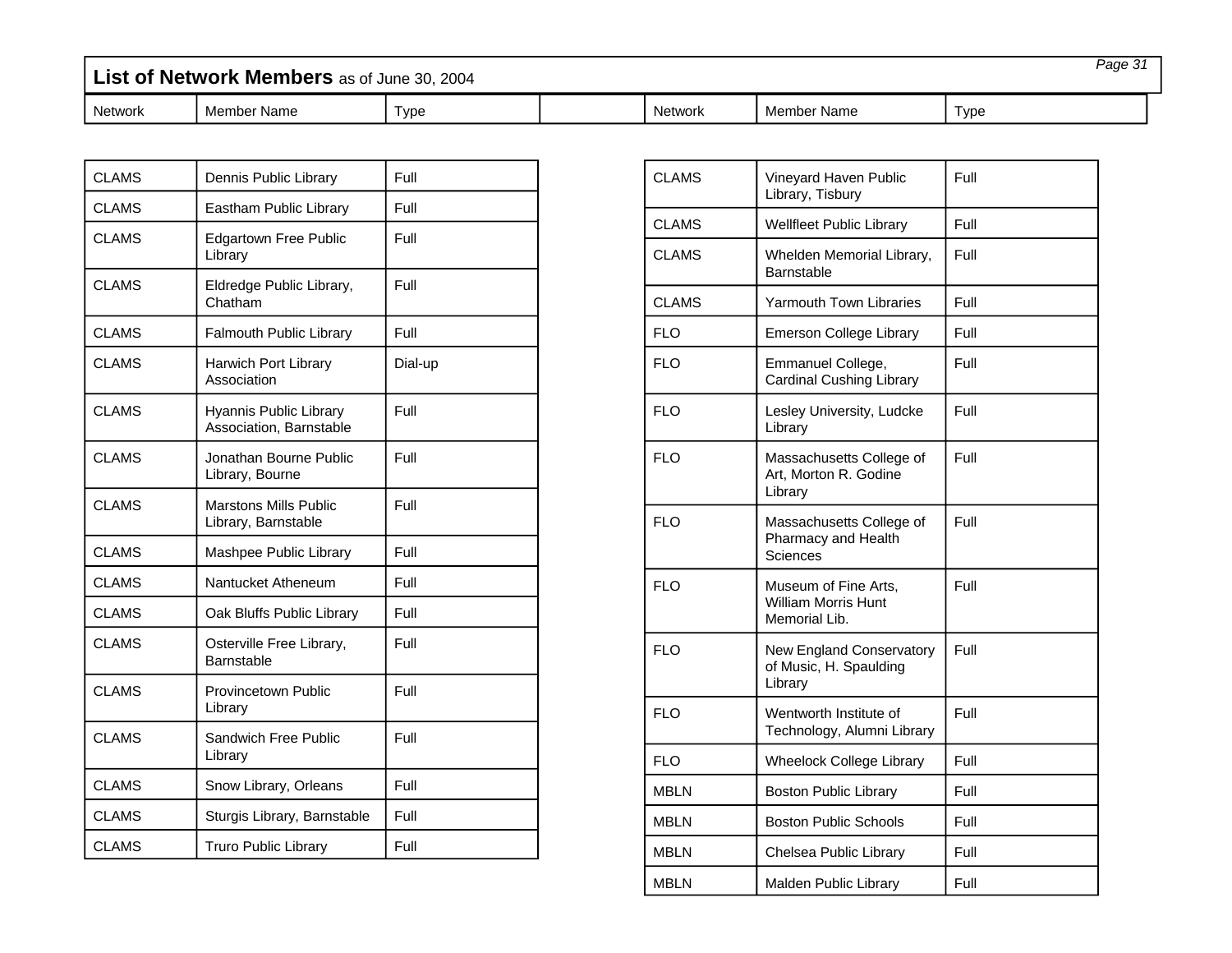| List of Network Members as of June 30, 2004 |             |     |  |         |             |      | Page 31 |
|---------------------------------------------|-------------|-----|--|---------|-------------|------|---------|
| Network                                     | Member Name | vpe |  | Network | Member Name | Type |         |

| <b>CLAMS</b> | Dennis Public Library                               | Full    |
|--------------|-----------------------------------------------------|---------|
| <b>CLAMS</b> | Eastham Public Library                              | Full    |
| <b>CLAMS</b> | <b>Edgartown Free Public</b><br>Library             | Full    |
| <b>CLAMS</b> | Eldredge Public Library,<br>Chatham                 | Full    |
| <b>CLAMS</b> | <b>Falmouth Public Library</b>                      | Full    |
| <b>CLAMS</b> | Harwich Port Library<br>Association                 | Dial-up |
| <b>CLAMS</b> | Hyannis Public Library<br>Association, Barnstable   | Full    |
| <b>CLAMS</b> | Jonathan Bourne Public<br>Library, Bourne           | Full    |
| <b>CLAMS</b> | <b>Marstons Mills Public</b><br>Library, Barnstable | Full    |
| <b>CLAMS</b> | Mashpee Public Library                              | Full    |
| <b>CLAMS</b> | Nantucket Atheneum                                  | Full    |
| <b>CLAMS</b> | Oak Bluffs Public Library                           | Full    |
| <b>CLAMS</b> | Osterville Free Library,<br>Barnstable              | Full    |
| <b>CLAMS</b> | <b>Provincetown Public</b><br>Library               | Full    |
| <b>CLAMS</b> | Sandwich Free Public<br>Library                     | Full    |
| <b>CLAMS</b> | Snow Library, Orleans                               | Full    |
| <b>CLAMS</b> | Sturgis Library, Barnstable                         | Full    |
| <b>CLAMS</b> | <b>Truro Public Library</b>                         | Full    |

| <b>CLAMS</b> | Vineyard Haven Public<br>Library, Tisbury                           | Full |
|--------------|---------------------------------------------------------------------|------|
| <b>CLAMS</b> | <b>Wellfleet Public Library</b>                                     | Full |
| <b>CLAMS</b> | Whelden Memorial Library,<br>Barnstable                             | Full |
| <b>CLAMS</b> | <b>Yarmouth Town Libraries</b>                                      | Full |
| <b>FLO</b>   | <b>Emerson College Library</b>                                      | Full |
| <b>FLO</b>   | Emmanuel College,<br><b>Cardinal Cushing Library</b>                | Full |
| <b>FLO</b>   | Lesley University, Ludcke<br>Library                                | Full |
| <b>FLO</b>   | Massachusetts College of<br>Art, Morton R. Godine<br>Library        | Full |
| <b>FLO</b>   | Massachusetts College of<br>Pharmacy and Health<br>Sciences         | Full |
| <b>FLO</b>   | Museum of Fine Arts,<br><b>William Morris Hunt</b><br>Memorial Lib. | Full |
| <b>FLO</b>   | New England Conservatory<br>of Music, H. Spaulding<br>Library       | Full |
| <b>FLO</b>   | Wentworth Institute of<br>Technology, Alumni Library                | Full |
| <b>FLO</b>   | <b>Wheelock College Library</b>                                     | Full |
| <b>MBLN</b>  | <b>Boston Public Library</b>                                        | Full |
| <b>MBLN</b>  | <b>Boston Public Schools</b>                                        | Full |
| MBLN         | Chelsea Public Library                                              | Full |
| MBLN         | Malden Public Library                                               | Full |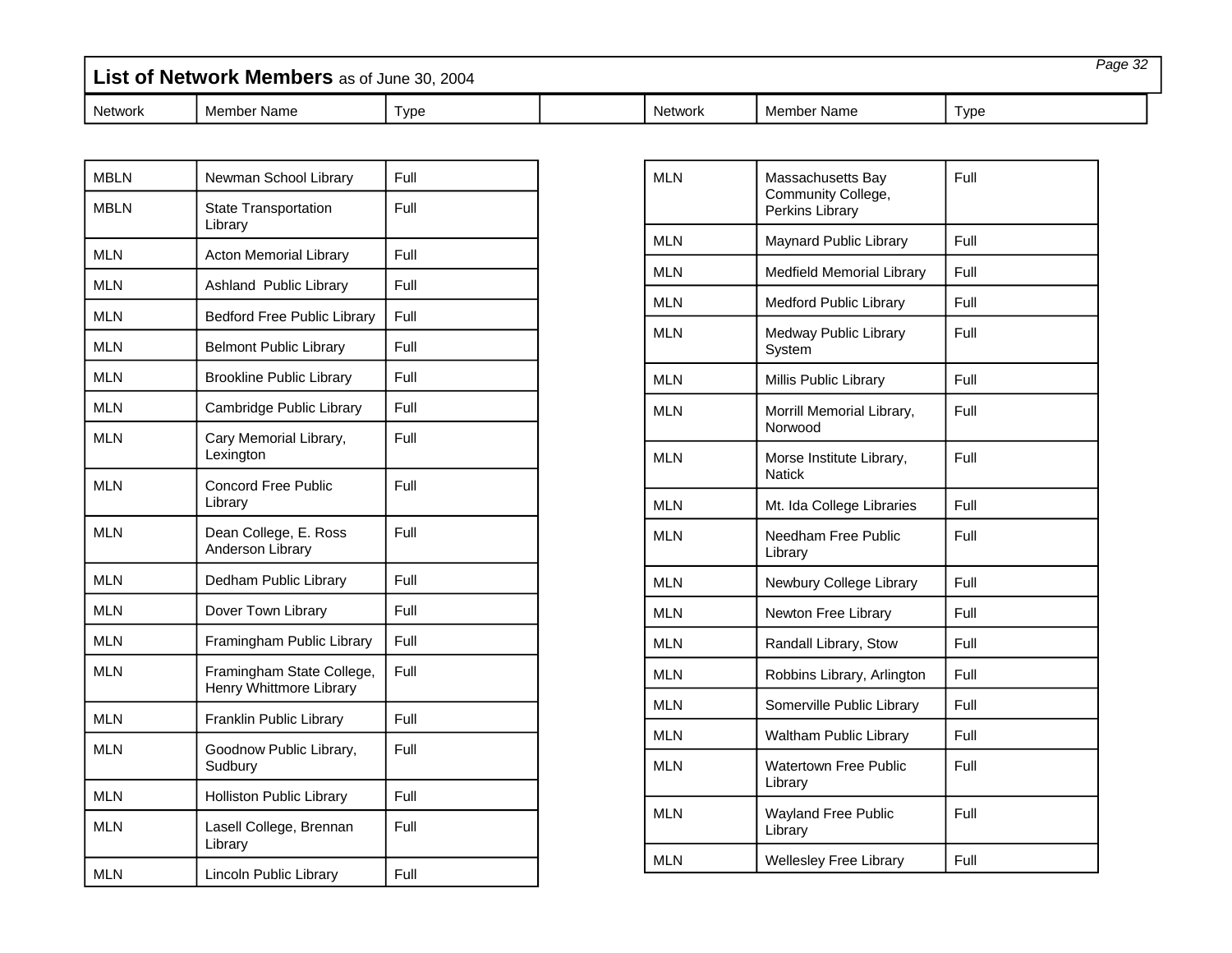| List of Network Members as of June 30, 2004 |             |      |  |         |             | Page 32 |  |
|---------------------------------------------|-------------|------|--|---------|-------------|---------|--|
| <b>Network</b>                              | Member Name | Type |  | Network | Member Name | Type    |  |

| <b>MBLN</b> | Newman School Library                                | Full |
|-------------|------------------------------------------------------|------|
| <b>MBLN</b> | <b>State Transportation</b><br>Library               | Full |
| <b>MLN</b>  | <b>Acton Memorial Library</b>                        | Full |
| <b>MLN</b>  | Ashland Public Library                               | Full |
| <b>MLN</b>  | <b>Bedford Free Public Library</b>                   | Full |
| <b>MLN</b>  | <b>Belmont Public Library</b>                        | Full |
| <b>MLN</b>  | <b>Brookline Public Library</b>                      | Full |
| <b>MLN</b>  | Cambridge Public Library                             | Full |
| <b>MLN</b>  | Cary Memorial Library,<br>Lexington                  | Full |
| <b>MLN</b>  | Concord Free Public<br>Library                       | Full |
| <b>MLN</b>  | Dean College, E. Ross<br>Anderson Library            | Full |
| <b>MLN</b>  | Dedham Public Library                                | Full |
| <b>MLN</b>  | Dover Town Library                                   | Full |
| <b>MLN</b>  | Framingham Public Library                            | Full |
| <b>MLN</b>  | Framingham State College,<br>Henry Whittmore Library | Full |
| <b>MLN</b>  | <b>Franklin Public Library</b>                       | Full |
| <b>MLN</b>  | Goodnow Public Library,<br>Sudbury                   | Full |
| <b>MLN</b>  | <b>Holliston Public Library</b>                      | Full |
| <b>MLN</b>  | Lasell College, Brennan<br>Library                   | Full |
| <b>MLN</b>  | Lincoln Public Library                               | Full |

| <b>MLN</b> | Massachusetts Bay<br>Community College,<br>Perkins Library | Full |
|------------|------------------------------------------------------------|------|
| <b>MLN</b> | Maynard Public Library                                     | Full |
| <b>MLN</b> | <b>Medfield Memorial Library</b>                           | Full |
| <b>MLN</b> | <b>Medford Public Library</b>                              | Full |
| <b>MLN</b> | Medway Public Library<br>System                            | Full |
| <b>MLN</b> | Millis Public Library                                      | Full |
| <b>MLN</b> | Morrill Memorial Library,<br>Norwood                       | Full |
| <b>MLN</b> | Morse Institute Library,<br><b>Natick</b>                  | Full |
| <b>MLN</b> | Mt. Ida College Libraries                                  | Full |
| <b>MLN</b> | Needham Free Public<br>Library                             | Full |
| <b>MLN</b> | Newbury College Library                                    | Full |
| <b>MLN</b> | Newton Free Library                                        | Full |
| <b>MLN</b> | Randall Library, Stow                                      | Full |
| <b>MLN</b> | Robbins Library, Arlington                                 | Full |
| <b>MLN</b> | Somerville Public Library                                  | Full |
| <b>MLN</b> | <b>Waltham Public Library</b>                              | Full |
| <b>MLN</b> | <b>Watertown Free Public</b><br>Library                    | Full |
| MLN        | <b>Wayland Free Public</b><br>Library                      | Full |
| <b>MLN</b> | <b>Wellesley Free Library</b>                              | Full |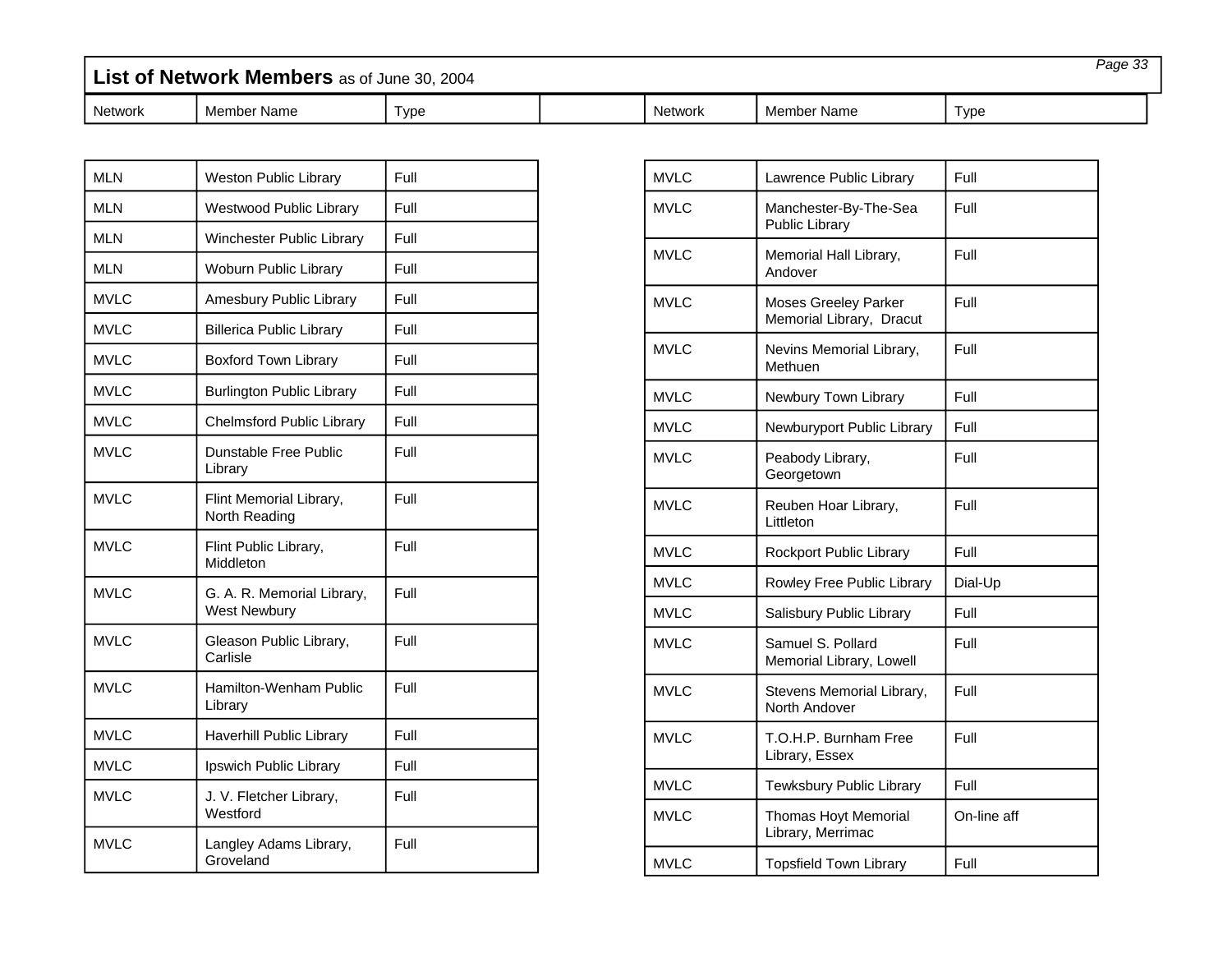| List of Network Members as of June 30, 2004 |             |      |         |             | Page 33 |  |
|---------------------------------------------|-------------|------|---------|-------------|---------|--|
| <b>Network</b>                              | Member Name | Гуре | Network | Member Name | Type    |  |

| <b>MLN</b>  | <b>Weston Public Library</b>                      | Full |
|-------------|---------------------------------------------------|------|
| <b>MLN</b>  | Westwood Public Library                           | Full |
| <b>MLN</b>  | Winchester Public Library                         | Full |
| <b>MLN</b>  | Woburn Public Library                             | Full |
| <b>MVLC</b> | Amesbury Public Library                           | Full |
| <b>MVLC</b> | <b>Billerica Public Library</b>                   | Full |
| <b>MVLC</b> | <b>Boxford Town Library</b>                       | Full |
| <b>MVLC</b> | <b>Burlington Public Library</b>                  | Full |
| <b>MVLC</b> | <b>Chelmsford Public Library</b>                  | Full |
| <b>MVLC</b> | <b>Dunstable Free Public</b><br>Library           | Full |
| <b>MVLC</b> | Flint Memorial Library,<br>North Reading          | Full |
| <b>MVLC</b> | Flint Public Library,<br>Middleton                | Full |
| <b>MVLC</b> | G. A. R. Memorial Library,<br><b>West Newbury</b> | Full |
| <b>MVLC</b> | Gleason Public Library,<br>Carlisle               | Full |
| <b>MVLC</b> | Hamilton-Wenham Public<br>Library                 | Full |
| <b>MVLC</b> | <b>Haverhill Public Library</b>                   | Full |
| <b>MVLC</b> | Ipswich Public Library                            | Full |
| <b>MVLC</b> | J. V. Fletcher Library,<br>Westford               | Full |
| <b>MVLC</b> | Langley Adams Library,<br>Groveland               | Full |

| <b>MVLC</b> | Lawrence Public Library                                 | Full        |
|-------------|---------------------------------------------------------|-------------|
| <b>MVLC</b> | Manchester-By-The-Sea<br><b>Public Library</b>          | Full        |
| <b>MVLC</b> | Memorial Hall Library,<br>Andover                       | Full        |
| MVLC        | <b>Moses Greeley Parker</b><br>Memorial Library, Dracut | Full        |
| <b>MVLC</b> | Nevins Memorial Library,<br>Methuen                     | Full        |
| <b>MVLC</b> | Newbury Town Library                                    | Full        |
| <b>MVLC</b> | Newburyport Public Library                              | Full        |
| <b>MVLC</b> | Peabody Library,<br>Georgetown                          | Full        |
| <b>MVLC</b> | Reuben Hoar Library,<br>Littleton                       | Full        |
| <b>MVLC</b> | Rockport Public Library                                 | Full        |
| <b>MVLC</b> | Rowley Free Public Library                              | Dial-Up     |
| <b>MVLC</b> | Salisbury Public Library                                | Full        |
| <b>MVLC</b> | Samuel S. Pollard<br>Memorial Library, Lowell           | Full        |
| <b>MVLC</b> | Stevens Memorial Library,<br>North Andover              | Full        |
| <b>MVLC</b> | T.O.H.P. Burnham Free<br>Library, Essex                 | Full        |
| <b>MVLC</b> | Tewksbury Public Library                                | Full        |
| <b>MVLC</b> | <b>Thomas Hoyt Memorial</b><br>Library, Merrimac        | On-line aff |
| <b>MVLC</b> | <b>Topsfield Town Library</b>                           | Full        |
|             |                                                         |             |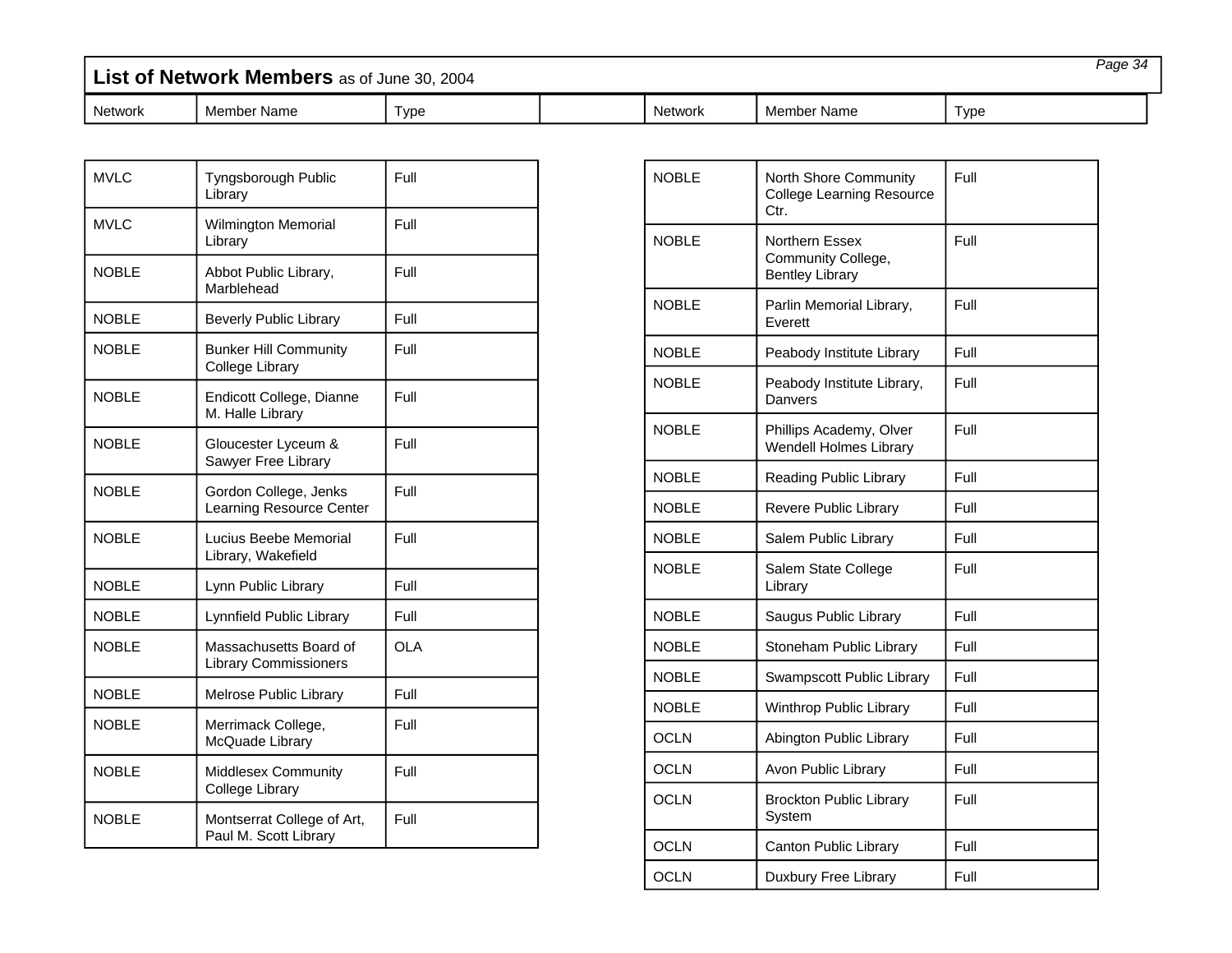| List of Network Members as of June 30, 2004 |             |      |  |                | Page 34     |      |  |
|---------------------------------------------|-------------|------|--|----------------|-------------|------|--|
| Network                                     | Member Name | Type |  | <b>Network</b> | Member Name | Type |  |

| <b>MVLC</b>  | Tyngsborough Public<br>Library                         | Full       |
|--------------|--------------------------------------------------------|------------|
| <b>MVLC</b>  | <b>Wilmington Memorial</b><br>Library                  | Full       |
| <b>NOBLE</b> | Abbot Public Library,<br>Marblehead                    | Full       |
| <b>NOBLE</b> | <b>Beverly Public Library</b>                          | Full       |
| <b>NOBLE</b> | <b>Bunker Hill Community</b><br><b>College Library</b> | Full       |
| <b>NOBLE</b> | Endicott College, Dianne<br>M. Halle Library           | Full       |
| <b>NOBLE</b> | Gloucester Lyceum &<br>Sawyer Free Library             | Full       |
| <b>NOBLE</b> | Gordon College, Jenks<br>Learning Resource Center      | Full       |
| <b>NOBLE</b> | Lucius Beebe Memorial<br>Library, Wakefield            | Full       |
| NOBI F       | Lynn Public Library                                    | Full       |
| <b>NOBLE</b> | Lynnfield Public Library                               | Full       |
| <b>NOBLE</b> | Massachusetts Board of<br><b>Library Commissioners</b> | <b>OLA</b> |
| <b>NOBLE</b> | Melrose Public Library                                 | Full       |
| <b>NOBLE</b> | Merrimack College,<br>McQuade Library                  | Full       |
| <b>NOBLE</b> | Middlesex Community<br>College Library                 | Full       |
| <b>NOBLE</b> | Montserrat College of Art,<br>Paul M. Scott Library    | Full       |

| <b>NOBLE</b> | North Shore Community<br><b>College Learning Resource</b><br>Ctr. | Full |
|--------------|-------------------------------------------------------------------|------|
| <b>NOBLE</b> | Northern Essex<br>Community College,<br><b>Bentley Library</b>    | Full |
| <b>NOBLE</b> | Parlin Memorial Library,<br>Everett                               | Full |
| <b>NOBLE</b> | Peabody Institute Library                                         | Full |
| <b>NOBLE</b> | Peabody Institute Library,<br>Danvers                             | Full |
| <b>NOBLE</b> | Phillips Academy, Olver<br>Wendell Holmes Library                 | Full |
| <b>NOBLE</b> | Reading Public Library                                            | Full |
| <b>NOBLE</b> | Revere Public Library                                             | Full |
| <b>NOBLE</b> | Salem Public Library                                              | Full |
| <b>NOBLE</b> | Salem State College<br>Library                                    | Full |
| <b>NOBLE</b> | Saugus Public Library                                             | Full |
| <b>NOBLE</b> | Stoneham Public Library                                           | Full |
| <b>NOBLE</b> | Swampscott Public Library                                         | Full |
| <b>NOBLE</b> | Winthrop Public Library                                           | Full |
| <b>OCLN</b>  | Abington Public Library                                           | Full |
| <b>OCLN</b>  | Avon Public Library                                               | Full |
| <b>OCLN</b>  | <b>Brockton Public Library</b><br>System                          | Full |
| <b>OCLN</b>  | Canton Public Library                                             | Full |
| <b>OCLN</b>  | Duxbury Free Library                                              | Full |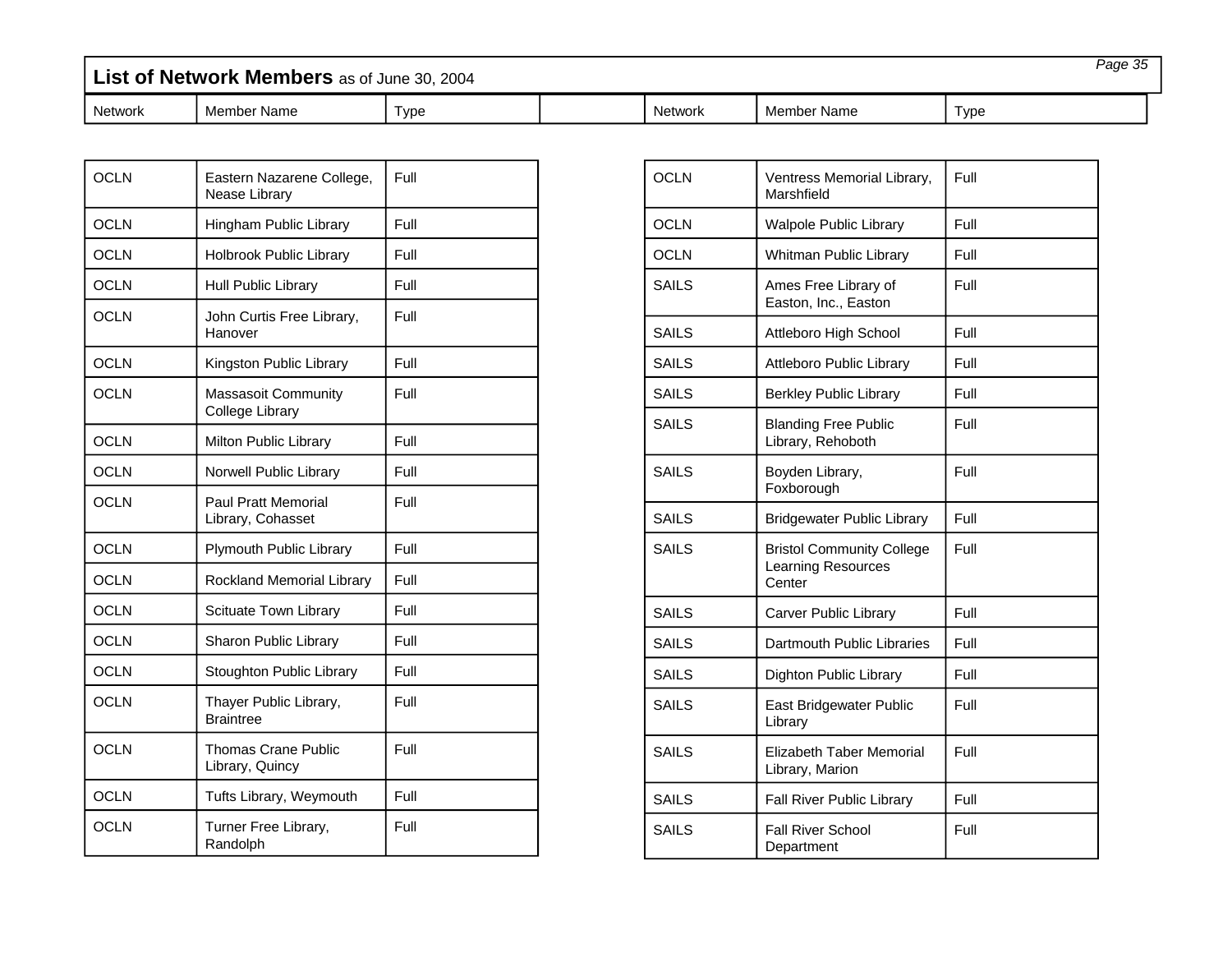| List of Network Members as of June 30, 2004 |             |      | Page 35 |                |             |      |  |
|---------------------------------------------|-------------|------|---------|----------------|-------------|------|--|
| <b>Network</b>                              | Member Name | ⊺vpe |         | <b>Network</b> | Member Name | Tvpe |  |

| <b>OCLN</b> | Eastern Nazarene College,<br>Nease Library      | Full |
|-------------|-------------------------------------------------|------|
| <b>OCLN</b> | Hingham Public Library                          | Full |
| <b>OCLN</b> | Holbrook Public Library                         | Full |
| <b>OCLN</b> | Hull Public Library                             | Full |
| <b>OCLN</b> | John Curtis Free Library,<br>Hanover            | Full |
| <b>OCLN</b> | Kingston Public Library                         | Full |
| <b>OCLN</b> | <b>Massasoit Community</b><br>College Library   | Full |
| <b>OCLN</b> | Milton Public Library                           | Full |
| <b>OCLN</b> | Norwell Public Library                          | Full |
| <b>OCLN</b> | <b>Paul Pratt Memorial</b><br>Library, Cohasset | Full |
| <b>OCLN</b> | Plymouth Public Library                         | Full |
| <b>OCLN</b> | Rockland Memorial Library                       | Full |
| <b>OCLN</b> | Scituate Town Library                           | Full |
| <b>OCLN</b> | Sharon Public Library                           | Full |
| <b>OCLN</b> | Stoughton Public Library                        | Full |
| <b>OCLN</b> | Thayer Public Library,<br><b>Braintree</b>      | Full |
| <b>OCLN</b> | Thomas Crane Public<br>Library, Quincy          | Full |
| <b>OCLN</b> | Tufts Library, Weymouth                         | Full |
| <b>OCLN</b> | Turner Free Library,<br>Randolph                | Full |

| <b>OCLN</b>  | Ventress Memorial Library,<br>Marshfield                                | Full |
|--------------|-------------------------------------------------------------------------|------|
| OCLN         | <b>Walpole Public Library</b>                                           | Full |
| <b>OCLN</b>  | Whitman Public Library                                                  | Full |
| <b>SAILS</b> | Ames Free Library of<br>Easton, Inc., Easton                            | Full |
| SAILS        | Attleboro High School                                                   | Full |
| <b>SAILS</b> | <b>Attleboro Public Library</b>                                         | Full |
| <b>SAILS</b> | <b>Berkley Public Library</b>                                           | Full |
| <b>SAILS</b> | <b>Blanding Free Public</b><br>Library, Rehoboth                        | Full |
| SAILS        | Boyden Library,<br>Foxborough                                           | Full |
| SAILS        | <b>Bridgewater Public Library</b>                                       | Full |
| <b>SAILS</b> | <b>Bristol Community College</b><br><b>Learning Resources</b><br>Center | Full |
| SAILS        | Carver Public Library                                                   | Full |
| SAILS        | Dartmouth Public Libraries                                              | Full |
| SAILS        | Dighton Public Library                                                  | Full |
| <b>SAILS</b> | East Bridgewater Public<br>Library                                      | Full |
| <b>SAILS</b> | <b>Elizabeth Taber Memorial</b><br>Library, Marion                      | Full |
| <b>SAILS</b> | Fall River Public Library                                               | Full |
| <b>SAILS</b> | <b>Fall River School</b><br>Department                                  | Full |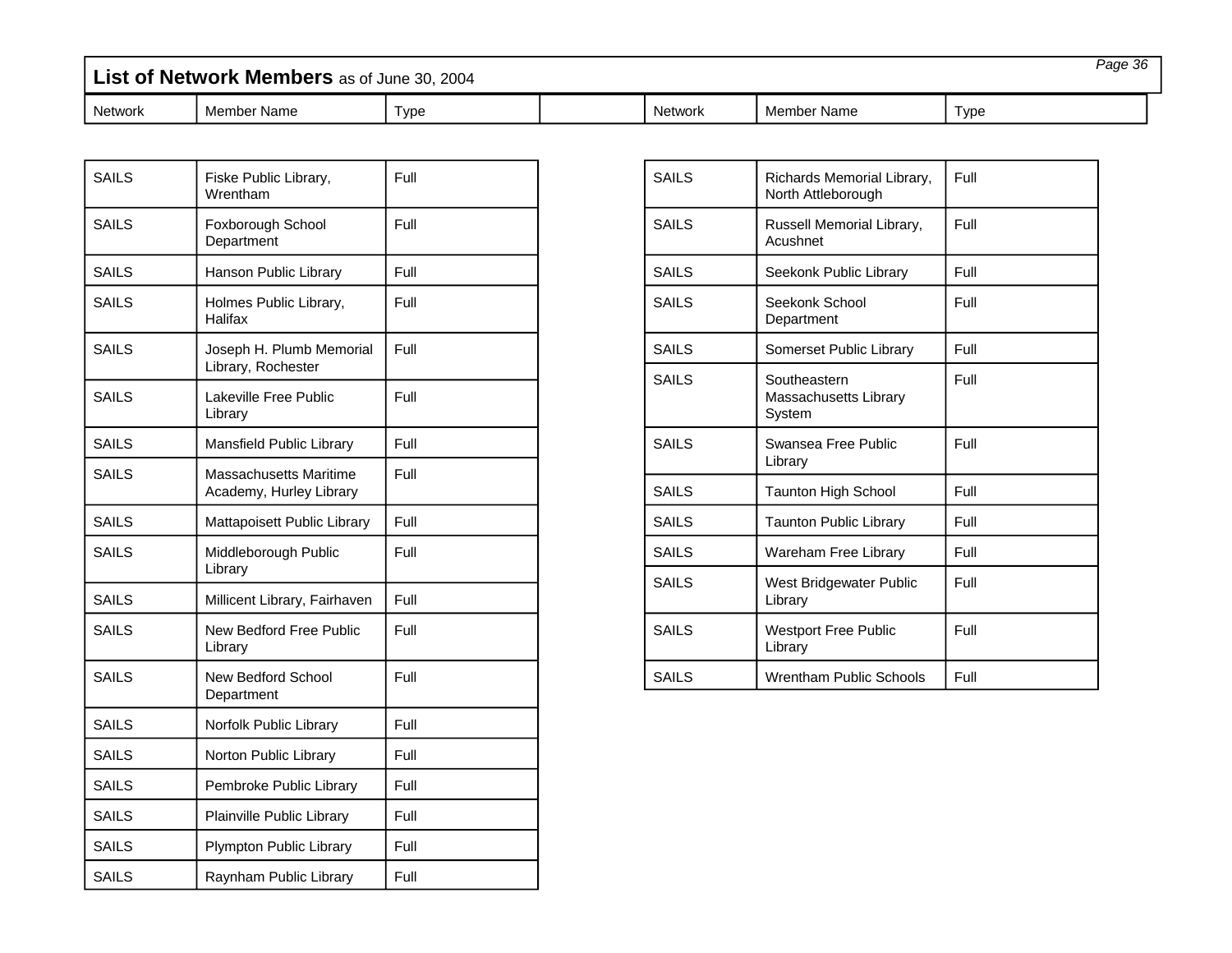| List of Network Members as of June 30, 2004 |             |      |  |         |             | Page 36 |  |
|---------------------------------------------|-------------|------|--|---------|-------------|---------|--|
| Network                                     | Member Name | Type |  | Network | Member Name | Type    |  |

| <b>SAILS</b> | Fiske Public Library,<br>Wrentham                 | Full |
|--------------|---------------------------------------------------|------|
| <b>SAILS</b> | Foxborough School<br>Department                   | Full |
| <b>SAILS</b> | Hanson Public Library                             | Full |
| <b>SAILS</b> | Holmes Public Library,<br>Halifax                 | Full |
| SAILS        | Joseph H. Plumb Memorial<br>Library, Rochester    | Full |
| SAILS        | Lakeville Free Public<br>Library                  | Full |
| SAIL S       | Mansfield Public Library                          | Full |
| <b>SAILS</b> | Massachusetts Maritime<br>Academy, Hurley Library | Full |
| <b>SAILS</b> | Mattapoisett Public Library                       | Full |
| SAILS        | Middleborough Public<br>Library                   | Full |
| <b>SAILS</b> | Millicent Library, Fairhaven                      | Full |
| <b>SAILS</b> | New Bedford Free Public<br>Library                | Full |
| <b>SAILS</b> | <b>New Bedford School</b><br>Department           | Full |
| SAILS        | Norfolk Public Library                            | Full |
| <b>SAILS</b> | Norton Public Library                             | Full |
| <b>SAILS</b> | Pembroke Public Library                           | Full |
| <b>SAILS</b> | Plainville Public Library                         | Full |
| <b>SAILS</b> | Plympton Public Library                           | Full |
| <b>SAILS</b> | Raynham Public Library                            | Full |

| <b>SAILS</b> | Richards Memorial Library,<br>North Attleborough | Full |
|--------------|--------------------------------------------------|------|
| SAILS        | Russell Memorial Library,<br>Acushnet            | Full |
| <b>SAILS</b> | Seekonk Public Library                           | Full |
| <b>SAILS</b> | Seekonk School<br>Department                     | Full |
| <b>SAILS</b> | Somerset Public Library                          | Full |
| <b>SAILS</b> | Southeastern<br>Massachusetts Library<br>System  | Full |
| <b>SAILS</b> | Swansea Free Public<br>Library                   | Full |
| <b>SAILS</b> | <b>Taunton High School</b>                       | Full |
| <b>SAILS</b> | <b>Taunton Public Library</b>                    | Full |
| <b>SAILS</b> | Wareham Free Library                             | Full |
| <b>SAILS</b> | West Bridgewater Public<br>Library               | Full |
| <b>SAILS</b> | <b>Westport Free Public</b><br>Library           | Full |
| <b>SAILS</b> | Wrentham Public Schools                          | Full |